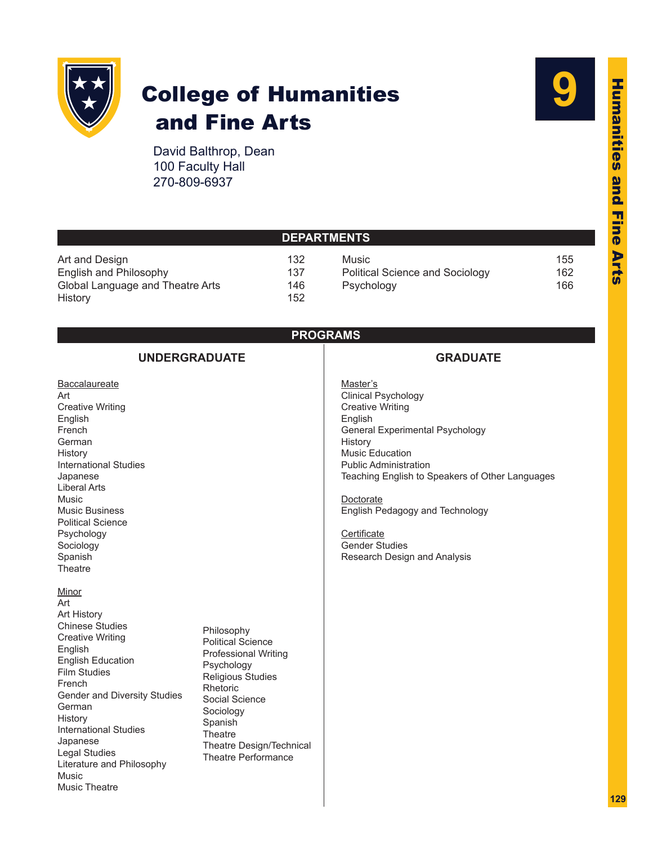

Sociology Spanish **Theatre** 

Minor Art Art History Chinese Studies Creative Writing

English

German **History** 

Japanese Legal Studies

Music Music Theatre

English Education Film Studies French

International Studies

Literature and Philosophy

Gender and Diversity Studies

# College of Humanities and Fine Arts



David Balthrop, Dean 100 Faculty Hall 270-809-6937

> Philosophy Political Science Professional Writing

Psychology Religious Studies

Theatre Design/Technical Theatre Performance

Rhetoric Social Science Sociology Spanish **Theatre** 

| <b>DEPARTMENTS</b>                                                                                                                                                                                                                       |                                                                                                                                                                                                                                                                                                        |  |  |  |
|------------------------------------------------------------------------------------------------------------------------------------------------------------------------------------------------------------------------------------------|--------------------------------------------------------------------------------------------------------------------------------------------------------------------------------------------------------------------------------------------------------------------------------------------------------|--|--|--|
| Art and Design<br>132<br>English and Philosophy<br>137<br>Global Language and Theatre Arts<br>146<br>152<br><b>History</b>                                                                                                               | 155<br>Music<br>162<br><b>Political Science and Sociology</b><br>166<br>Psychology                                                                                                                                                                                                                     |  |  |  |
|                                                                                                                                                                                                                                          | <b>PROGRAMS</b>                                                                                                                                                                                                                                                                                        |  |  |  |
| <b>UNDERGRADUATE</b>                                                                                                                                                                                                                     | <b>GRADUATE</b>                                                                                                                                                                                                                                                                                        |  |  |  |
| Baccalaureate<br>Art<br><b>Creative Writing</b><br>English<br>French<br>German<br>History<br><b>International Studies</b><br>Japanese<br><b>Liberal Arts</b><br>Music<br><b>Music Business</b><br><b>Political Science</b><br>Psychology | Master's<br><b>Clinical Psychology</b><br><b>Creative Writing</b><br>English<br>General Experimental Psychology<br>History<br><b>Music Education</b><br><b>Public Administration</b><br>Teaching English to Speakers of Other Languages<br>Doctorate<br>English Pedagogy and Technology<br>Certificate |  |  |  |

Certificate Gender Studies Research Design and Analysis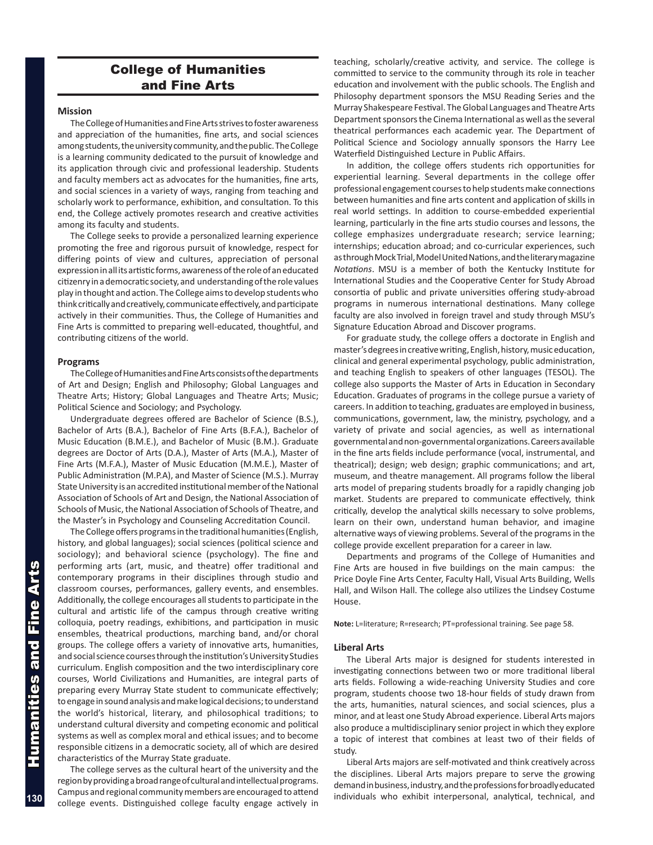## College of Humanities and Fine Arts

#### **Mission**

The College of Humanities and Fine Arts strives to foster awareness and appreciation of the humanities, fine arts, and social sciences among students, the university community, and the public. The College is a learning community dedicated to the pursuit of knowledge and its application through civic and professional leadership. Students and faculty members act as advocates for the humanities, fine arts, and social sciences in a variety of ways, ranging from teaching and scholarly work to performance, exhibition, and consultation. To this end, the College actively promotes research and creative activities among its faculty and students.

The College seeks to provide a personalized learning experience promoting the free and rigorous pursuit of knowledge, respect for differing points of view and cultures, appreciation of personal expression in all its artistic forms, awareness of the role of an educated citizenry in a democratic society, and understanding of the role values play in thought and action. The College aims to develop students who think critically and creatively, communicate effectively, and participate actively in their communities. Thus, the College of Humanities and Fine Arts is committed to preparing well-educated, thoughtful, and contributing citizens of the world.

### **Programs**

The College of Humanities and Fine Arts consists of the departments of Art and Design; English and Philosophy; Global Languages and Theatre Arts; History; Global Languages and Theatre Arts; Music; Political Science and Sociology; and Psychology.

Undergraduate degrees offered are Bachelor of Science (B.S.), Bachelor of Arts (B.A.), Bachelor of Fine Arts (B.F.A.), Bachelor of Music Education (B.M.E.), and Bachelor of Music (B.M.). Graduate degrees are Doctor of Arts (D.A.), Master of Arts (M.A.), Master of Fine Arts (M.F.A.), Master of Music Education (M.M.E.), Master of Public Administration (M.P.A), and Master of Science (M.S.). Murray State University is an accredited institutional member of the National Association of Schools of Art and Design, the National Association of Schools of Music, the National Association of Schools of Theatre, and the Master's in Psychology and Counseling Accreditation Council.

The College offers programs in the traditional humanities (English, history, and global languages); social sciences (political science and sociology); and behavioral science (psychology). The fine and performing arts (art, music, and theatre) offer traditional and contemporary programs in their disciplines through studio and classroom courses, performances, gallery events, and ensembles. Additionally, the college encourages all students to participate in the cultural and artistic life of the campus through creative writing colloquia, poetry readings, exhibitions, and participation in music ensembles, theatrical productions, marching band, and/or choral groups. The college offers a variety of innovative arts, humanities, and social science courses through the institution's University Studies curriculum. English composition and the two interdisciplinary core courses, World Civilizations and Humanities, are integral parts of preparing every Murray State student to communicate effectively; to engage in sound analysis and make logical decisions; to understand the world's historical, literary, and philosophical traditions; to understand cultural diversity and competing economic and political systems as well as complex moral and ethical issues; and to become responsible citizens in a democratic society, all of which are desired characteristics of the Murray State graduate.

The college serves as the cultural heart of the university and the region by providing a broad range of cultural and intellectual programs. Campus and regional community members are encouraged to attend college events. Distinguished college faculty engage actively in

teaching, scholarly/creative activity, and service. The college is committed to service to the community through its role in teacher education and involvement with the public schools. The English and Philosophy department sponsors the MSU Reading Series and the Murray Shakespeare Festival. The Global Languages and Theatre Arts Department sponsors the Cinema International as well as the several theatrical performances each academic year. The Department of Political Science and Sociology annually sponsors the Harry Lee Waterfield Distinguished Lecture in Public Affairs.

In addition, the college offers students rich opportunities for experiential learning. Several departments in the college offer professional engagement courses to help students make connections between humanities and fine arts content and application of skills in real world settings. In addition to course-embedded experiential learning, particularly in the fine arts studio courses and lessons, the college emphasizes undergraduate research; service learning; internships; education abroad; and co-curricular experiences, such as through Mock Trial, Model United Nations, and the literary magazine *Notations*. MSU is a member of both the Kentucky Institute for International Studies and the Cooperative Center for Study Abroad consortia of public and private universities offering study-abroad programs in numerous international destinations. Many college faculty are also involved in foreign travel and study through MSU's Signature Education Abroad and Discover programs.

For graduate study, the college offers a doctorate in English and master's degrees in creative writing, English, history, music education, clinical and general experimental psychology, public administration, and teaching English to speakers of other languages (TESOL). The college also supports the Master of Arts in Education in Secondary Education. Graduates of programs in the college pursue a variety of careers. In addition to teaching, graduates are employed in business, communications, government, law, the ministry, psychology, and a variety of private and social agencies, as well as international governmental and non-governmental organizations. Careers available in the fine arts fields include performance (vocal, instrumental, and theatrical); design; web design; graphic communications; and art, museum, and theatre management. All programs follow the liberal arts model of preparing students broadly for a rapidly changing job market. Students are prepared to communicate effectively, think critically, develop the analytical skills necessary to solve problems, learn on their own, understand human behavior, and imagine alternative ways of viewing problems. Several of the programs in the college provide excellent preparation for a career in law.

Departments and programs of the College of Humanities and Fine Arts are housed in five buildings on the main campus: the Price Doyle Fine Arts Center, Faculty Hall, Visual Arts Building, Wells Hall, and Wilson Hall. The college also utilizes the Lindsey Costume House.

**Note:** L=literature; R=research; PT=professional training. See page 58.

#### **Liberal Arts**

The Liberal Arts major is designed for students interested in investigating connections between two or more traditional liberal arts fields. Following a wide-reaching University Studies and core program, students choose two 18-hour fields of study drawn from the arts, humanities, natural sciences, and social sciences, plus a minor, and at least one Study Abroad experience. Liberal Arts majors also produce a multidisciplinary senior project in which they explore a topic of interest that combines at least two of their fields of study.

Liberal Arts majors are self-motivated and think creatively across the disciplines. Liberal Arts majors prepare to serve the growing demand in business, industry, and the professions for broadly educated individuals who exhibit interpersonal, analytical, technical, and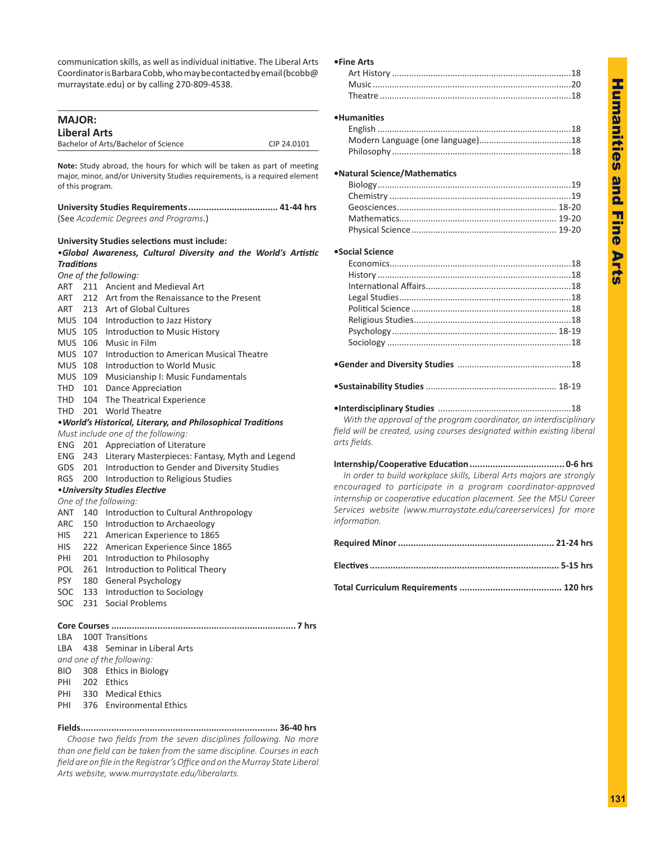**Humanities and Fine** Humanities and Fine Arts **Arts** 

communication skills, as well as individual initiative. The Liberal Arts Coordinator is Barbara Cobb, who may be contacted by email (bcobb@ murraystate.edu) or by calling 270-809-4538.

| <b>MAJOR:</b>     |                     |                                                                                                    |             |
|-------------------|---------------------|----------------------------------------------------------------------------------------------------|-------------|
|                   | <b>Liberal Arts</b> |                                                                                                    |             |
|                   |                     | Bachelor of Arts/Bachelor of Science                                                               | CIP 24.0101 |
|                   |                     |                                                                                                    |             |
|                   |                     | Note: Study abroad, the hours for which will be taken as part of meeting                           |             |
|                   |                     | major, minor, and/or University Studies requirements, is a required element                        |             |
|                   | of this program.    |                                                                                                    |             |
|                   |                     |                                                                                                    |             |
|                   |                     |                                                                                                    |             |
|                   |                     | (See Academic Degrees and Programs.)                                                               |             |
|                   |                     |                                                                                                    |             |
|                   |                     | <b>University Studies selections must include:</b>                                                 |             |
|                   |                     | .Global Awareness, Cultural Diversity and the World's Artistic                                     |             |
| <b>Traditions</b> |                     |                                                                                                    |             |
|                   |                     | One of the following:                                                                              |             |
| ART               |                     | 211 Ancient and Medieval Art<br>ART 212 Art from the Renaissance to the Present                    |             |
|                   |                     |                                                                                                    |             |
|                   |                     | ART 213 Art of Global Cultures                                                                     |             |
|                   |                     | MUS 104 Introduction to Jazz History                                                               |             |
|                   |                     | MUS 105 Introduction to Music History<br>MUS 106 Music in Film                                     |             |
|                   |                     | 107 Introduction to American Musical Theatre                                                       |             |
| MUS<br>MUS        |                     | 108 Introduction to World Music                                                                    |             |
|                   |                     |                                                                                                    |             |
|                   |                     | MUS 109 Musicianship I: Music Fundamentals                                                         |             |
|                   |                     | THD 101 Dance Appreciation<br>THD 104 The Theatrical Experience                                    |             |
|                   |                     | THD 201 World Theatre                                                                              |             |
|                   |                     |                                                                                                    |             |
|                   |                     | . World's Historical, Literary, and Philosophical Traditions<br>Must include one of the following: |             |
| ENG               |                     | 201 Appreciation of Literature                                                                     |             |
| ENG               | 243                 | Literary Masterpieces: Fantasy, Myth and Legend                                                    |             |
|                   |                     | GDS 201 Introduction to Gender and Diversity Studies                                               |             |
| <b>RGS</b>        |                     | 200 Introduction to Religious Studies                                                              |             |
|                   |                     | • University Studies Elective                                                                      |             |
|                   |                     | One of the following:                                                                              |             |
|                   |                     | ANT 140 Introduction to Cultural Anthropology                                                      |             |
| ARC               |                     | 150 Introduction to Archaeology                                                                    |             |
| HIS               |                     | 221 American Experience to 1865                                                                    |             |
| HIS               |                     | 222 American Experience Since 1865                                                                 |             |
| PHI               |                     | 201 Introduction to Philosophy                                                                     |             |
| POL.              | 261                 | Introduction to Political Theory                                                                   |             |
| PSY               | 180                 | General Psychology                                                                                 |             |
| SOC               |                     | 133 Introduction to Sociology                                                                      |             |
| SOC               | 231                 | <b>Social Problems</b>                                                                             |             |
|                   |                     |                                                                                                    |             |
|                   |                     |                                                                                                    |             |
| LBA               |                     | 100T Transitions                                                                                   |             |
| LBA               | 438                 | Seminar in Liberal Arts                                                                            |             |
|                   |                     | and one of the following:                                                                          |             |
| <b>BIO</b>        | 308                 | Ethics in Biology                                                                                  |             |
| PHI               | 202                 | <b>Ethics</b>                                                                                      |             |

### PHI 330 Medical Ethics

PHI 376 Environmental Ethics

**Fields............................................................................. 36-40 hrs**

 *Choose two fields from the seven disciplines following. No more than one field can be taken from the same discipline. Courses in each field are on file in the Registrar'sOffice and on the Murray State Liberal Arts website, www.murraystate.edu/liberalarts.*

### **•Fine Arts**

## **•Humanities**

## **•Natural Science/Mathematics**

## **•Social Science**

*With the approval of the program coordinator, an interdisciplinary field will be created, using courses designated within existing liberal arts fields.*

**Internship/Cooperative Education ..................................... 0-6 hrs** *In order to build workplace skills, Liberal Arts majors are strongly encouraged to participate in a program coordinator-approved internship or cooperative education placement. See the MSU Career Services website (www.murraystate.edu/careerservices) for more information.*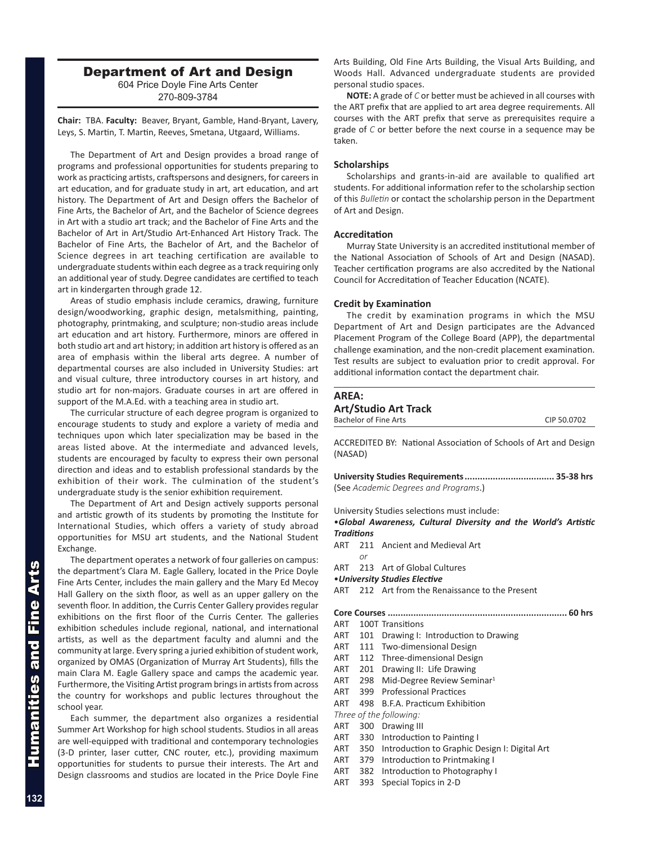## Department of Art and Design

604 Price Doyle Fine Arts Center 270-809-3784

**Chair:** TBA. **Faculty:** Beaver, Bryant, Gamble, Hand-Bryant, Lavery, Leys, S. Martin, T. Martin, Reeves, Smetana, Utgaard, Williams.

The Department of Art and Design provides a broad range of programs and professional opportunities for students preparing to work as practicing artists, craftspersons and designers, for careers in art education, and for graduate study in art, art education, and art history. The Department of Art and Design offers the Bachelor of Fine Arts, the Bachelor of Art, and the Bachelor of Science degrees in Art with a studio art track; and the Bachelor of Fine Arts and the Bachelor of Art in Art/Studio Art-Enhanced Art History Track. The Bachelor of Fine Arts, the Bachelor of Art, and the Bachelor of Science degrees in art teaching certification are available to undergraduate students within each degree as a track requiring only an additional year of study. Degree candidates are certified to teach art in kindergarten through grade 12.

Areas of studio emphasis include ceramics, drawing, furniture design/woodworking, graphic design, metalsmithing, painting, photography, printmaking, and sculpture; non-studio areas include art education and art history. Furthermore, minors are offered in both studio art and art history; in addition art history is offered as an area of emphasis within the liberal arts degree. A number of departmental courses are also included in University Studies: art and visual culture, three introductory courses in art history, and studio art for non-majors. Graduate courses in art are offered in support of the M.A.Ed. with a teaching area in studio art.

The curricular structure of each degree program is organized to encourage students to study and explore a variety of media and techniques upon which later specialization may be based in the areas listed above. At the intermediate and advanced levels, students are encouraged by faculty to express their own personal direction and ideas and to establish professional standards by the exhibition of their work. The culmination of the student's undergraduate study is the senior exhibition requirement.

The Department of Art and Design actively supports personal and artistic growth of its students by promoting the Institute for International Studies, which offers a variety of study abroad opportunities for MSU art students, and the National Student Exchange.

The department operates a network of four galleries on campus: the department's Clara M. Eagle Gallery, located in the Price Doyle Fine Arts Center, includes the main gallery and the Mary Ed Mecoy Hall Gallery on the sixth floor, as well as an upper gallery on the seventh floor. In addition, the Curris Center Gallery provides regular exhibitions on the first floor of the Curris Center. The galleries exhibition schedules include regional, national, and international artists, as well as the department faculty and alumni and the community at large. Every spring a juried exhibition of student work, organized by OMAS (Organization of Murray Art Students), fills the main Clara M. Eagle Gallery space and camps the academic year. Furthermore, the Visiting Artist program brings in artists from across the country for workshops and public lectures throughout the school year.

Each summer, the department also organizes a residential Summer Art Workshop for high school students. Studios in all areas are well-equipped with traditional and contemporary technologies (3-D printer, laser cutter, CNC router, etc.), providing maximum opportunities for students to pursue their interests. The Art and Design classrooms and studios are located in the Price Doyle Fine Arts Building, Old Fine Arts Building, the Visual Arts Building, and Woods Hall. Advanced undergraduate students are provided personal studio spaces.

**NOTE:** A grade of *C* or better must be achieved in all courses with the ART prefix that are applied to art area degree requirements. All courses with the ART prefix that serve as prerequisites require a grade of *C* or better before the next course in a sequence may be taken.

## **Scholarships**

Scholarships and grants-in-aid are available to qualified art students. For additional information refer to the scholarship section of this *Bulletin* or contact the scholarship person in the Department of Art and Design.

## **Accreditation**

Murray State University is an accredited institutional member of the National Association of Schools of Art and Design (NASAD). Teacher certification programs are also accredited by the National Council for Accreditation of Teacher Education (NCATE).

## **Credit by Examination**

The credit by examination programs in which the MSU Department of Art and Design participates are the Advanced Placement Program of the College Board (APP), the departmental challenge examination, and the non-credit placement examination. Test results are subject to evaluation prior to credit approval. For additional information contact the department chair.

## **AREA: Art/Studio Art Track** Bachelor of Fine Arts CIP 50.0702

ACCREDITED BY: National Association of Schools of Art and Design (NASAD)

**University Studies Requirements................................... 35-38 hrs** (See *Academic Degrees and Programs*.)

University Studies selections must include:

•*Global Awareness, Cultural Diversity and the World's Artistic Traditions*

- ART 211 Ancient and Medieval Art
- *or* ART 213 Art of Global Cultures
- •*University Studies Elective*

ART 212 Art from the Renaissance to the Present

**Core Courses ...................................................................... 60 hrs**

- ART 100T Transitions
- ART 101 Drawing I: Introduction to Drawing
- ART 111 Two-dimensional Design
- ART 112 Three-dimensional Design
- ART 201 Drawing II: Life Drawing
- ART 298 Mid-Degree Review Seminar<sup>1</sup>
- ART 399 Professional Practices
- ART 498 B.F.A. Practicum Exhibition

*Three of the following:*

- ART 300 Drawing III
- ART 330 Introduction to Painting I
- ART 350 Introduction to Graphic Design I: Digital Art
- ART 379 Introduction to Printmaking I
- ART 382 Introduction to Photography I
- ART 393 Special Topics in 2-D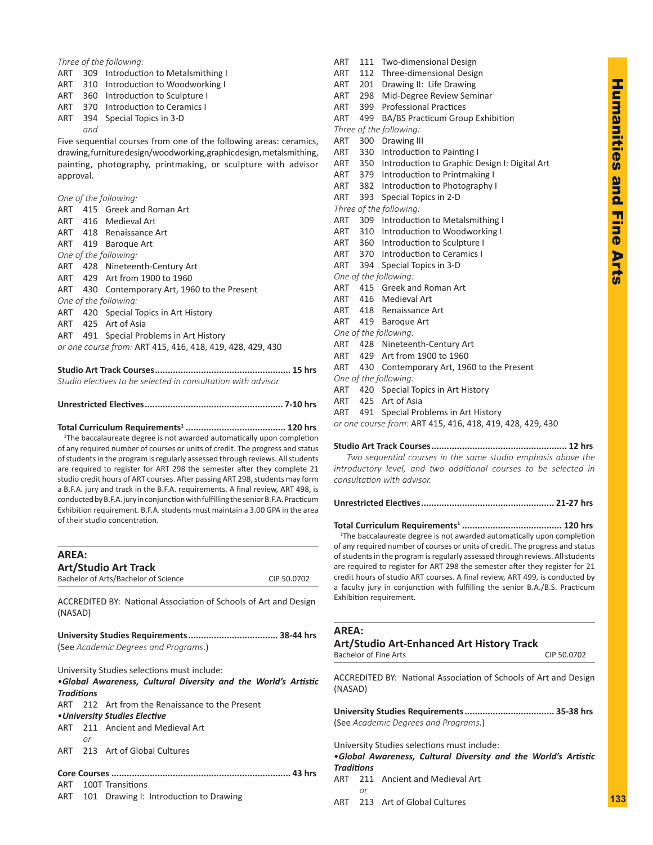**Humanities** Humanities and Fine Arts pue **Hine Arts** 

## *Three of the following:*

- ART 309 Introduction to Metalsmithing I
- ART 310 Introduction to Woodworking I
- ART 360 Introduction to Sculpture I
- ART 370 Introduction to Ceramics I
- ART 394 Special Topics in 3-D
- *and*

Five sequential courses from one of the following areas: ceramics, drawing, furniture design/woodworking, graphic design, metalsmithing, painting, photography, printmaking, or sculpture with advisor approval.

*One of the following:*

of their studio concentration.

|                                                           |  | ART 415 Greek and Roman Art                   |  |
|-----------------------------------------------------------|--|-----------------------------------------------|--|
|                                                           |  | ART 416 Medieval Art                          |  |
|                                                           |  | ART 418 Renaissance Art                       |  |
|                                                           |  | ART 419 Baroque Art                           |  |
|                                                           |  | One of the following:                         |  |
|                                                           |  | ART 428 Nineteenth-Century Art                |  |
|                                                           |  | ART 429 Art from 1900 to 1960                 |  |
|                                                           |  | ART 430 Contemporary Art, 1960 to the Present |  |
| One of the following:                                     |  |                                               |  |
|                                                           |  | ART 420 Special Topics in Art History         |  |
|                                                           |  | ART 425 Art of Asia                           |  |
|                                                           |  | ART 491 Special Problems in Art History       |  |
| or one course from: ART 415, 416, 418, 419, 428, 429, 430 |  |                                               |  |
|                                                           |  |                                               |  |

**Studio Art Track Courses..................................................... 15 hrs** *Studio electives to be selected in consultation with advisor.*

## **Unrestricted Electives...................................................... 7-10 hrs**

**Total Curriculum Requirements1 ....................................... 120 hrs** <sup>1</sup>The baccalaureate degree is not awarded automatically upon completion of any required number of courses or units of credit. The progress and status of students in the program is regularly assessed through reviews. All students are required to register for ART 298 the semester after they complete 21 studio credit hours of ART courses. After passing ART 298, students may form a B.F.A. jury and track in the B.F.A. requirements. A final review, ART 498, is conducted by B.F.A. jury in conjunction with fulfilling the senior B.F.A. Practicum

Exhibition requirement. B.F.A. students must maintain a 3.00 GPA in the area

| <b>AREA:</b>      |    |                                                                  |             |
|-------------------|----|------------------------------------------------------------------|-------------|
|                   |    | <b>Art/Studio Art Track</b>                                      |             |
|                   |    | Bachelor of Arts/Bachelor of Science                             | CIP 50.0702 |
| (NASAD)           |    | ACCREDITED BY: National Association of Schools of Art and Design |             |
|                   |    |                                                                  |             |
|                   |    | (See Academic Degrees and Programs.)                             |             |
|                   |    | University Studies selections must include:                      |             |
|                   |    | •Global Awareness, Cultural Diversity and the World's Artistic   |             |
| <b>Traditions</b> |    |                                                                  |             |
|                   |    | ART 212 Art from the Renaissance to the Present                  |             |
|                   |    | • University Studies Elective                                    |             |
|                   |    | ART 211 Ancient and Medieval Art                                 |             |
|                   | or |                                                                  |             |
|                   |    | ART 213 Art of Global Cultures                                   |             |
|                   |    |                                                                  |             |
| ART               |    | 100T Transitions                                                 |             |

ART 101 Drawing I: Introduction to Drawing

ART 112 Three-dimensional Design ART 201 Drawing II: Life Drawing ART 298 Mid-Degree Review Seminar<sup>1</sup> ART 399 Professional Practices ART 499 BA/BS Practicum Group Exhibition *Three of the following:* ART 300 Drawing III ART 330 Introduction to Painting I ART 350 Introduction to Graphic Design I: Digital Art ART 379 Introduction to Printmaking I ART 382 Introduction to Photography I ART 393 Special Topics in 2-D *Three of the following:* ART 309 Introduction to Metalsmithing I ART 310 Introduction to Woodworking I ART 360 Introduction to Sculpture I ART 370 Introduction to Ceramics I ART 394 Special Topics in 3-D *One of the following:* ART 415 Greek and Roman Art ART 416 Medieval Art ART 418 Renaissance Art ART 419 Baroque Art *One of the following:* ART 428 Nineteenth-Century Art ART 429 Art from 1900 to 1960 ART 430 Contemporary Art, 1960 to the Present *One of the following:* ART 420 Special Topics in Art History ART 425 Art of Asia

ART 111 Two-dimensional Design

ART 491 Special Problems in Art History

*or one course from:* ART 415, 416, 418, 419, 428, 429, 430

#### **Studio Art Track Courses..................................................... 12 hrs**

 *Two sequential courses in the same studio emphasis above the introductory level, and two additional courses to be selected in consultation with advisor.*

**Unrestricted Electives.................................................... 21-27 hrs**

**Total Curriculum Requirements1 ....................................... 120 hrs** <sup>1</sup>The baccalaureate degree is not awarded automatically upon completion of any required number of courses or units of credit. The progress and status of students in the program is regularly assessed through reviews. All students are required to register for ART 298 the semester after they register for 21 credit hours of studio ART courses. A final review, ART 499, is conducted by a faculty jury in conjunction with fulfilling the senior B.A./B.S. Practicum Exhibition requirement.

## **AREA:**

## **Art/Studio Art-Enhanced Art History Track**

Bachelor of Fine Arts CIP 50.0702

ACCREDITED BY: National Association of Schools of Art and Design (NASAD)

**University Studies Requirements................................... 35-38 hrs** (See *Academic Degrees and Programs*.)

University Studies selections must include:

| Traditions |  |
|------------|--|

- ART 211 Ancient and Medieval Art *or*
- ART 213 Art of Global Cultures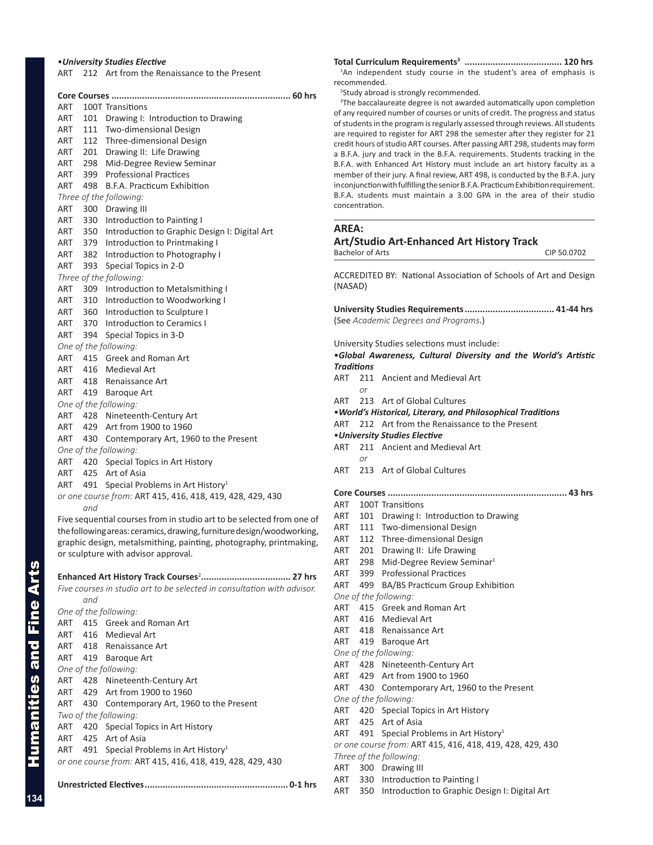### •*University Studies Elective*

ART 212 Art from the Renaissance to the Present

|     |       | Core Courses                                                          |
|-----|-------|-----------------------------------------------------------------------|
| ART |       | 100T Transitions                                                      |
| ART |       | 101 Drawing I: Introduction to Drawing                                |
| ART |       | 111 Two-dimensional Design                                            |
| ART |       | 112 Three-dimensional Design                                          |
| ART |       | 201 Drawing II: Life Drawing                                          |
| ART | 298   | Mid-Degree Review Seminar                                             |
| ART |       | 399 Professional Practices                                            |
| ART |       | 498 B.F.A. Practicum Exhibition                                       |
|     |       | Three of the following:                                               |
|     |       | ART 300 Drawing III                                                   |
| ART |       | 330 Introduction to Painting I                                        |
| ART |       | 350 Introduction to Graphic Design I: Digital Art                     |
| ART |       | 379 Introduction to Printmaking I                                     |
|     |       | ART 382 Introduction to Photography I                                 |
| ART | 393   | Special Topics in 2-D                                                 |
|     |       | Three of the following:                                               |
|     |       | ART 309 Introduction to Metalsmithing I                               |
|     |       | ART 310 Introduction to Woodworking I                                 |
|     |       | ART 360 Introduction to Sculpture I                                   |
|     |       | ART 370 Introduction to Ceramics I                                    |
| ART |       | 394 Special Topics in 3-D                                             |
|     |       | One of the following:                                                 |
| ART |       | 415 Greek and Roman Art                                               |
|     |       | ART 416 Medieval Art                                                  |
|     |       | ART 418 Renaissance Art                                               |
|     |       | ART 419 Baroque Art                                                   |
|     |       | One of the following:                                                 |
|     |       | ART 428 Nineteenth-Century Art                                        |
|     |       | ART 429 Art from 1900 to 1960                                         |
|     |       | ART 430 Contemporary Art, 1960 to the Present                         |
|     |       | One of the following:                                                 |
|     |       | ART 420 Special Topics in Art History                                 |
|     |       | ART 425 Art of Asia                                                   |
| ART | - 491 | Special Problems in Art History <sup>1</sup>                          |
|     |       | or one course from: ART 415, 416, 418, 419, 428, 429, 430             |
|     | and   |                                                                       |
|     |       | Five sequential courses from in studio art to be selected from one of |
|     |       | the following areas: ceramics, drawing, furniture design/woodworking, |
|     |       | graphic design, metalsmithing, painting, photography, printmaking,    |
|     |       | or sculpture with advisor approval.                                   |
|     |       |                                                                       |
|     |       |                                                                       |

*Five courses in studio art to be selected in consultation with advisor. and One of the following:* ART 415 Greek and Roman Art ART 416 Medieval Art ART 418 Renaissance Art ART 419 Baroque Art *One of the following:* ART 428 Nineteenth-Century Art ART 429 Art from 1900 to 1960 ART 430 Contemporary Art, 1960 to the Present *Two of the following:* ART 420 Special Topics in Art History ART 425 Art of Asia ART 491 Special Problems in Art History<sup>1</sup> *or one course from:* ART 415, 416, 418, 419, 428, 429, 430

**Unrestricted Electives........................................................ 0-1 hrs**

**Total Curriculum Requirements3 ...................................... 120 hrs** <sup>1</sup>An independent study course in the student's area of emphasis is recommended.

<sup>2</sup>Study abroad is strongly recommended.

<sup>3</sup>The baccalaureate degree is not awarded automatically upon completion of any required number of courses or units of credit. The progress and status of students in the program is regularly assessed through reviews. All students are required to register for ART 298 the semester after they register for 21 credit hours of studio ART courses. After passing ART 298, students may form a B.F.A. jury and track in the B.F.A. requirements. Students tracking in the B.F.A. with Enhanced Art History must include an art history faculty as a member of their jury. A final review, ART 498, is conducted by the B.F.A. jury in conjunction with fulfilling the senior B.F.A. Practicum Exhibition requirement. B.F.A. students must maintain a 3.00 GPA in the area of their studio concentration.

## **AREA:**

## **Art/Studio Art-Enhanced Art History Track**

Bachelor of Arts CIP 50.0702

ACCREDITED BY: National Association of Schools of Art and Design (NASAD)

**University Studies Requirements................................... 41-44 hrs** (See *Academic Degrees and Programs*.)

University Studies selections must include:

## •*Global Awareness, Cultural Diversity and the World's Artistic Traditions*

- ART 211 Ancient and Medieval Art
- ART 213 Art of Global Cultures
- •*World's Historical, Literary, and Philosophical Traditions*
- ART 212 Art from the Renaissance to the Present
- •*University Studies Elective*

*or*

- ART 211 Ancient and Medieval Art *or*
- ART 213 Art of Global Cultures
- **Core Courses ...................................................................... 43 hrs** ART 100T Transitions
- ART 101 Drawing I: Introduction to Drawing
- ART 111 Two-dimensional Design
- ART 112 Three-dimensional Design
- ART 201 Drawing II: Life Drawing
- ART 298 Mid-Degree Review Seminar<sup>1</sup>
- ART 399 Professional Practices
- ART 499 BA/BS Practicum Group Exhibition
- *One of the following:*
- ART 415 Greek and Roman Art
- ART 416 Medieval Art
- ART 418 Renaissance Art
- ART 419 Baroque Art
- *One of the following:*
- ART 428 Nineteenth-Century Art
- ART 429 Art from 1900 to 1960
- ART 430 Contemporary Art, 1960 to the Present

*One of the following:*

- ART 420 Special Topics in Art History
- ART 425 Art of Asia
- ART 491 Special Problems in Art History<sup>1</sup>

*or one course from:* ART 415, 416, 418, 419, 428, 429, 430

- *Three of the following:*
- ART 300 Drawing III
- ART 330 Introduction to Painting I
- ART 350 Introduction to Graphic Design I: Digital Art

Humanities and Fine Arts

umanities and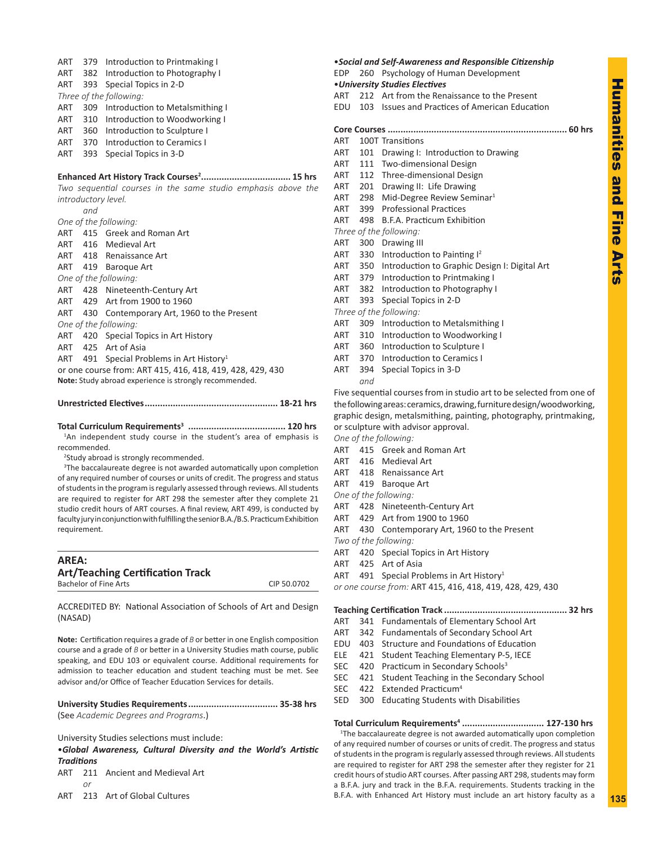## ART 379 Introduction to Printmaking I

- ART 382 Introduction to Photography I
- ART 393 Special Topics in 2-D
- *Three of the following:*
- ART 309 Introduction to Metalsmithing I
- ART 310 Introduction to Woodworking I
- ART 360 Introduction to Sculpture I
- ART 370 Introduction to Ceramics I
- ART 393 Special Topics in 3-D

### **Enhanced Art History Track Courses<sup>2</sup> ................................... 15 hrs**

*Two sequential courses in the same studio emphasis above the introductory level.*

*and*

- *One of the following:*
- ART 415 Greek and Roman Art
- ART 416 Medieval Art
- ART 418 Renaissance Art
- ART 419 Baroque Art
- *One of the following:*
- ART 428 Nineteenth-Century Art
- ART 429 Art from 1900 to 1960
- ART 430 Contemporary Art, 1960 to the Present *One of the following:*
- ART 420 Special Topics in Art History
- ART 425 Art of Asia
- ART 491 Special Problems in Art History<sup>1</sup>

or one course from: ART 415, 416, 418, 419, 428, 429, 430 **Note:** Study abroad experience is strongly recommended.

## **Unrestricted Electives.................................................... 18-21 hrs**

### **Total Curriculum Requirements3 ...................................... 120 hrs** <sup>1</sup>An independent study course in the student's area of emphasis is

recommended.

2 Study abroad is strongly recommended.

<sup>3</sup>The baccalaureate degree is not awarded automatically upon completion of any required number of courses or units of credit. The progress and status of students in the program is regularly assessed through reviews. All students are required to register for ART 298 the semester after they complete 21 studio credit hours of ART courses. A final review, ART 499, is conducted by faculty jury in conjunction with fulfilling the senior B.A./B.S. Practicum Exhibition requirement.

| AREA:                                   |             |
|-----------------------------------------|-------------|
| <b>Art/Teaching Certification Track</b> |             |
| Bachelor of Fine Arts                   | CIP 50.0702 |

ACCREDITED BY: National Association of Schools of Art and Design (NASAD)

**Note:** Certification requires a grade of *B* or better in one English composition course and a grade of *B* or better in a University Studies math course, public speaking, and EDU 103 or equivalent course. Additional requirements for admission to teacher education and student teaching must be met. See advisor and/or Office of Teacher Education Services for details.

**University Studies Requirements................................... 35-38 hrs** (See *Academic Degrees and Programs*.)

University Studies selections must include:

•*Global Awareness, Cultural Diversity and the World's Artistic Traditions*

- ART 211 Ancient and Medieval Art *or*
- ART 213 Art of Global Cultures

## •*Social and Self-Awareness and Responsible Citizenship* EDP 260 Psychology of Human Development •*University Studies Electives*

ART 212 Art from the Renaissance to the Present

EDU 103 Issues and Practices of American Education

## **Core Courses ...................................................................... 60 hrs** ART 100T Transitions ART 101 Drawing I: Introduction to Drawing ART 111 Two-dimensional Design ART 112 Three-dimensional Design ART 201 Drawing II: Life Drawing ART 298 Mid-Degree Review Seminar<sup>1</sup> ART 399 Professional Practices ART 498 B.F.A. Practicum Exhibition *Three of the following:* ART 300 Drawing III ART 330 Introduction to Painting  $1^2$ ART 350 Introduction to Graphic Design I: Digital Art ART 379 Introduction to Printmaking I ART 382 Introduction to Photography I ART 393 Special Topics in 2-D *Three of the following:* ART 309 Introduction to Metalsmithing I ART 310 Introduction to Woodworking I ART 360 Introduction to Sculpture I ART 370 Introduction to Ceramics I

ART 394 Special Topics in 3-D *and*

Five sequential courses from in studio art to be selected from one of the following areas: ceramics, drawing, furniture design/woodworking, graphic design, metalsmithing, painting, photography, printmaking, or sculpture with advisor approval.

*One of the following:*

- ART 415 Greek and Roman Art
- ART 416 Medieval Art
- ART 418 Renaissance Art
- ART 419 Baroque Art
- *One of the following:*
- ART 428 Nineteenth-Century Art
- ART 429 Art from 1900 to 1960
- ART 430 Contemporary Art, 1960 to the Present

*Two of the following:*

- ART 420 Special Topics in Art History
- ART 425 Art of Asia
- ART 491 Special Problems in Art History<sup>1</sup>

*or one course from:* ART 415, 416, 418, 419, 428, 429, 430

### **Teaching Certification Track ................................................ 32 hrs**

- ART 341 Fundamentals of Elementary School Art
- ART 342 Fundamentals of Secondary School Art
- EDU 403 Structure and Foundations of Education
- ELE 421 Student Teaching Elementary P-5, IECE
- SEC 420 Practicum in Secondary Schools<sup>3</sup>
- SEC 421 Student Teaching in the Secondary School
- SEC 422 Extended Practicum<sup>4</sup>
- SED 300 Educating Students with Disabilities

**Total Curriculum Requirements4 ................................ 127-130 hrs** <sup>1</sup>The baccalaureate degree is not awarded automatically upon completion of any required number of courses or units of credit. The progress and status of students in the program is regularly assessed through reviews. All students are required to register for ART 298 the semester after they register for 21 credit hours of studio ART courses. After passing ART 298, students may form a B.F.A. jury and track in the B.F.A. requirements. Students tracking in the B.F.A. with Enhanced Art History must include an art history faculty as a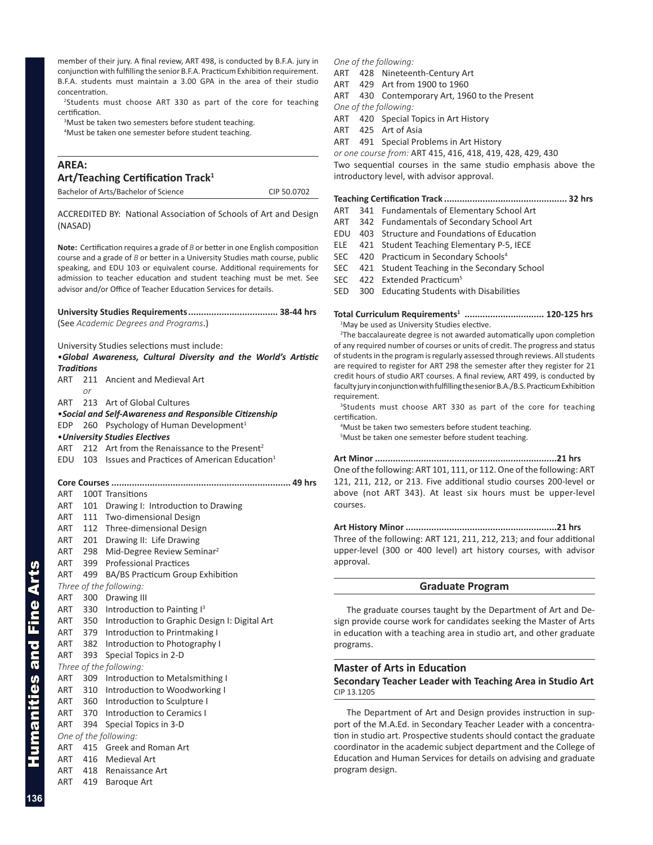member of their jury. A final review, ART 498, is conducted by B.F.A. jury in conjunction with fulfilling the senior B.F.A. Practicum Exhibition requirement. B.F.A. students must maintain a 3.00 GPA in the area of their studio concentration.

<sup>2</sup>Students must choose ART 330 as part of the core for teaching certification.

<sup>3</sup>Must be taken two semesters before student teaching.

4 Must be taken one semester before student teaching.

## **AREA:**

| Art/Teaching Certification Track <sup>1</sup> |             |  |  |
|-----------------------------------------------|-------------|--|--|
| Bachelor of Arts/Bachelor of Science          | CIP 50.0702 |  |  |

ACCREDITED BY: National Association of Schools of Art and Design (NASAD)

**Note:** Certification requires a grade of *B* or better in one English composition course and a grade of *B* or better in a University Studies math course, public speaking, and EDU 103 or equivalent course. Additional requirements for admission to teacher education and student teaching must be met. See advisor and/or Office of Teacher Education Services for details.

**University Studies Requirements................................... 38-44 hrs** (See *Academic Degrees and Programs*.)

University Studies selections must include:

|            |                   | .Global Awareness, Cultural Diversity and the World's Artistic |
|------------|-------------------|----------------------------------------------------------------|
|            | <b>Traditions</b> |                                                                |
| ART        |                   | 211 Ancient and Medieval Art                                   |
|            | or                |                                                                |
| ART        |                   | 213 Art of Global Cultures                                     |
|            |                   | •Social and Self-Awareness and Responsible Citizenship         |
| <b>EDP</b> |                   | 260 Psychology of Human Development <sup>1</sup>               |
|            |                   | • University Studies Electives                                 |
| ART        |                   | 212 Art from the Renaissance to the Present <sup>2</sup>       |
| EDU        |                   | 103 Issues and Practices of American Education <sup>1</sup>    |
|            |                   |                                                                |
|            |                   |                                                                |
| ART        |                   | 100T Transitions                                               |
| ART        | 101               | Drawing I: Introduction to Drawing                             |
| ART        |                   | 111 Two-dimensional Design                                     |
|            | ART 112           | Three-dimensional Design                                       |
|            | ART 201           | Drawing II: Life Drawing                                       |
|            | ART 298           | Mid-Degree Review Seminar <sup>2</sup>                         |
|            |                   | ART 399 Professional Practices                                 |
| ART        | 499               | BA/BS Practicum Group Exhibition                               |
|            |                   | Three of the following:                                        |
| ART        | 300               | Drawing III                                                    |
| ART        |                   | 330 Introduction to Painting I <sup>3</sup>                    |
|            |                   | ART 350 Introduction to Graphic Design I: Digital Art          |
|            | ART 379           | Introduction to Printmaking I                                  |
|            | ART 382           | Introduction to Photography I                                  |
| ART        | 393               | Special Topics in 2-D                                          |
|            |                   | Three of the following:                                        |
| ART        |                   | 309 Introduction to Metalsmithing I                            |
|            |                   | ART 310 Introduction to Woodworking I                          |
|            |                   | ART 360 Introduction to Sculpture I                            |
|            | ART 370           | Introduction to Ceramics I                                     |
| ART        | 394               | Special Topics in 3-D                                          |
|            |                   | One of the following:                                          |
| ART        |                   | 415 Greek and Roman Art                                        |
| ART        |                   | 416 Medieval Art                                               |
| ART        |                   | 418 Renaissance Art                                            |
| ART        | 419               | <b>Baroque Art</b>                                             |

## *One of the following:*

ART 428 Nineteenth-Century Art

- ART 429 Art from 1900 to 1960
- ART 430 Contemporary Art, 1960 to the Present

*One of the following:*

- ART 420 Special Topics in Art History
- ART 425 Art of Asia

ART 491 Special Problems in Art History

*or one course from:* ART 415, 416, 418, 419, 428, 429, 430

Two sequential courses in the same studio emphasis above the introductory level, with advisor approval.

## **Teaching Certification Track ................................................ 32 hrs**

- ART 341 Fundamentals of Elementary School Art
- ART 342 Fundamentals of Secondary School Art
- EDU 403 Structure and Foundations of Education
- ELE 421 Student Teaching Elementary P-5, IECE
- SEC 420 Practicum in Secondary Schools<sup>4</sup>
- SEC 421 Student Teaching in the Secondary School
- SEC 422 Extended Practicum<sup>5</sup>

SED 300 Educating Students with Disabilities

**Total Curriculum Requirements1 ............................... 120-125 hrs** <sup>1</sup>May be used as University Studies elective.

<sup>2</sup>The baccalaureate degree is not awarded automatically upon completion of any required number of courses or units of credit. The progress and status of students in the program is regularly assessed through reviews. All students are required to register for ART 298 the semester after they register for 21 credit hours of studio ART courses. A final review, ART 499, is conducted by faculty jury in conjunction with fulfilling the senior B.A./B.S. Practicum Exhibition requirement.

<sup>3</sup>Students must choose ART 330 as part of the core for teaching certification.

4 Must be taken two semesters before student teaching. 5 Must be taken one semester before student teaching.

### **Art Minor .......................................................................21 hrs**

One of the following: ART 101, 111, or 112. One of the following: ART 121, 211, 212, or 213. Five additional studio courses 200-level or above (not ART 343). At least six hours must be upper-level courses.

## **Art History Minor ...........................................................21 hrs**

Three of the following: ART 121, 211, 212, 213; and four additional upper-level (300 or 400 level) art history courses, with advisor approval.

## **Graduate Program**

The graduate courses taught by the Department of Art and Design provide course work for candidates seeking the Master of Arts in education with a teaching area in studio art, and other graduate programs.

## **Master of Arts in Education**

## **Secondary Teacher Leader with Teaching Area in Studio Art** CIP 13.1205

The Department of Art and Design provides instruction in support of the M.A.Ed. in Secondary Teacher Leader with a concentration in studio art. Prospective students should contact the graduate coordinator in the academic subject department and the College of Education and Human Services for details on advising and graduate program design.

Humanities and Fine Arts

Humanities and Fine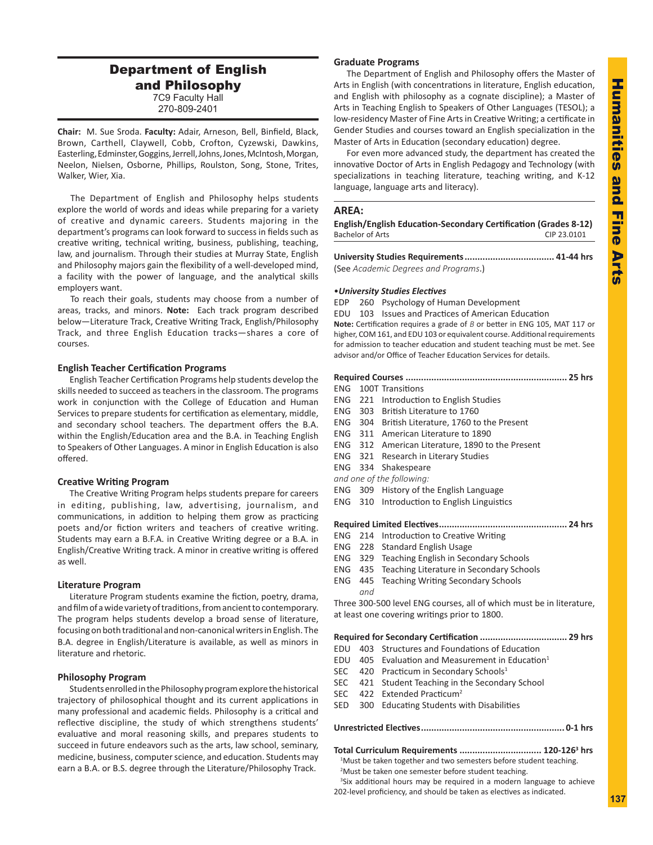## Department of English and Philosophy 7C9 Faculty Hall 270-809-2401

**Chair:** M. Sue Sroda. **Faculty:** Adair, Arneson, Bell, Binfield, Black, Brown, Carthell, Claywell, Cobb, Crofton, Cyzewski, Dawkins, Easterling, Edminster, Goggins, Jerrell, Johns, Jones, McIntosh, Morgan, Neelon, Nielsen, Osborne, Phillips, Roulston, Song, Stone, Trites, Walker, Wier, Xia.

The Department of English and Philosophy helps students explore the world of words and ideas while preparing for a variety of creative and dynamic careers. Students majoring in the department's programs can look forward to success in fields such as creative writing, technical writing, business, publishing, teaching, law, and journalism. Through their studies at Murray State, English and Philosophy majors gain the flexibility of a well-developed mind, a facility with the power of language, and the analytical skills employers want.

To reach their goals, students may choose from a number of areas, tracks, and minors. **Note:** Each track program described below—Literature Track, Creative Writing Track, English/Philosophy Track, and three English Education tracks—shares a core of courses.

## **English Teacher Certification Programs**

English Teacher Certification Programs help students develop the skills needed to succeed as teachers in the classroom. The programs work in conjunction with the College of Education and Human Services to prepare students for certification as elementary, middle, and secondary school teachers. The department offers the B.A. within the English/Education area and the B.A. in Teaching English to Speakers of Other Languages. A minor in English Education is also offered.

### **Creative Writing Program**

The Creative Writing Program helps students prepare for careers in editing, publishing, law, advertising, journalism, and communications, in addition to helping them grow as practicing poets and/or fiction writers and teachers of creative writing. Students may earn a B.F.A. in Creative Writing degree or a B.A. in English/Creative Writing track. A minor in creative writing is offered as well.

### **Literature Program**

Literature Program students examine the fiction, poetry, drama, and film of a wide variety of traditions, from ancient to contemporary. The program helps students develop a broad sense of literature, focusing on both traditional and non-canonical writers in English. The B.A. degree in English/Literature is available, as well as minors in literature and rhetoric.

### **Philosophy Program**

Students enrolled in the Philosophy program explore the historical trajectory of philosophical thought and its current applications in many professional and academic fields. Philosophy is a critical and reflective discipline, the study of which strengthens students' evaluative and moral reasoning skills, and prepares students to succeed in future endeavors such as the arts, law school, seminary, medicine, business, computer science, and education. Students may earn a B.A. or B.S. degree through the Literature/Philosophy Track.

## **Graduate Programs**

The Department of English and Philosophy offers the Master of Arts in English (with concentrations in literature, English education, and English with philosophy as a cognate discipline); a Master of Arts in Teaching English to Speakers of Other Languages (TESOL); a low-residency Master of Fine Arts in Creative Writing; a certificate in Gender Studies and courses toward an English specialization in the Master of Arts in Education (secondary education) degree.

For even more advanced study, the department has created the innovative Doctor of Arts in English Pedagogy and Technology (with specializations in teaching literature, teaching writing, and K-12 language, language arts and literacy).

### **AREA:**

| English/English Education-Secondary Certification (Grades 8-12) |             |
|-----------------------------------------------------------------|-------------|
| Bachelor of Arts                                                | CIP 23.0101 |

**University Studies Requirements................................... 41-44 hrs** (See *Academic Degrees and Programs*.)

### •*University Studies Electives*

EDP 260 Psychology of Human Development

EDU 103 Issues and Practices of American Education

**Note:** Certification requires a grade of *B* or better in ENG 105, MAT 117 or higher, COM 161, and EDU 103 or equivalent course. Additional requirements for admission to teacher education and student teaching must be met. See advisor and/or Office of Teacher Education Services for details.

### **Required Courses ............................................................... 25 hrs**

- ENG 100T Transitions ENG 221 Introduction to English Studies
- 
- ENG 303 British Literature to 1760
- ENG 304 British Literature, 1760 to the Present
- ENG 311 American Literature to 1890
- ENG 312 American Literature, 1890 to the Present
- ENG 321 Research in Literary Studies
- ENG 334 Shakespeare
- *and one of the following:*
- ENG 309 History of the English Language
- ENG 310 Introduction to English Linguistics

## **Required Limited Electives.................................................. 24 hrs**

- ENG 214 Introduction to Creative Writing
- ENG 228 Standard English Usage
- ENG 329 Teaching English in Secondary Schools
- ENG 435 Teaching Literature in Secondary Schools
- ENG 445 Teaching Writing Secondary Schools *and*

Three 300-500 level ENG courses, all of which must be in literature, at least one covering writings prior to 1800.

#### **Required for Secondary Certification .................................. 29 hrs**

- EDU 403 Structures and Foundations of Education
- EDU  $405$  Evaluation and Measurement in Education<sup>1</sup>
- SEC 420 Practicum in Secondary Schools<sup>1</sup>
- SEC 421 Student Teaching in the Secondary School
- SEC 422 Extended Practicum<sup>2</sup>
- SED 300 Educating Students with Disabilities

### **Unrestricted Electives........................................................ 0-1 hrs**

**Total Curriculum Requirements ................................ 120-1263 hrs**

<sup>1</sup>Must be taken together and two semesters before student teaching. <sup>2</sup>Must be taken one semester before student teaching.

<sup>3</sup>Six additional hours may be required in a modern language to achieve 202-level proficiency, and should be taken as electives as indicated.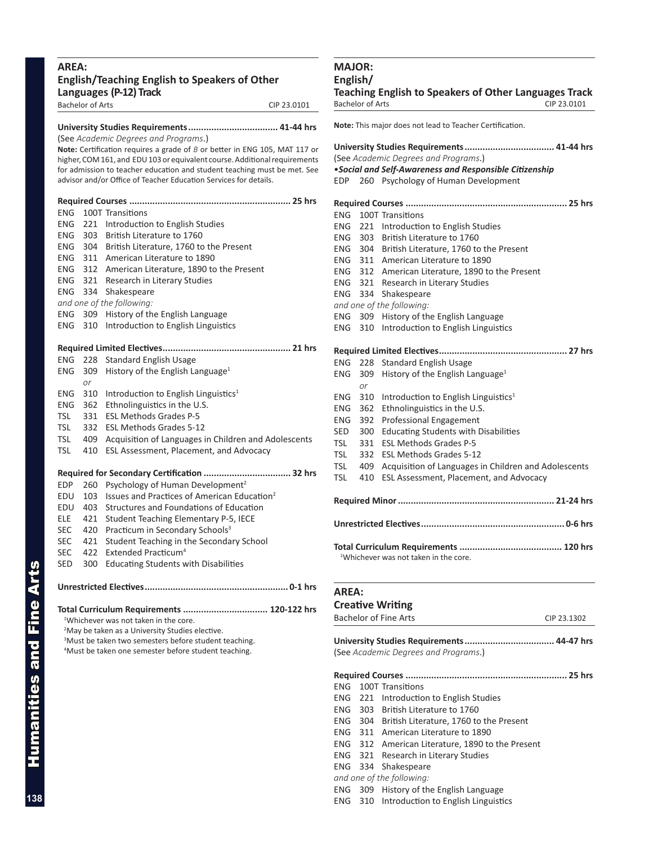## **AREA: English/Teaching English to Speakers of Other Languages (P-12) Track** Bachelor of Arts CIP 23.0101

## **University Studies Requirements................................... 41-44 hrs**

(See *Academic Degrees and Programs*.) **Note:** Certification requires a grade of *B* or better in ENG 105, MAT 117 or higher, COM 161, and EDU 103 or equivalent course. Additional requirements for admission to teacher education and student teaching must be met. See advisor and/or Office of Teacher Education Services for details.

## **Required Courses ............................................................... 25 hrs** ENG 100T Transitions ENG 221 Introduction to English Studies ENG 303 British Literature to 1760 ENG 304 British Literature, 1760 to the Present ENG 311 American Literature to 1890 ENG 312 American Literature, 1890 to the Present ENG 321 Research in Literary Studies ENG 334 Shakespeare *and one of the following:* ENG 309 History of the English Language ENG 310 Introduction to English Linguistics **Required Limited Electives.................................................. 21 hrs** ENG 228 Standard English Usage ENG 309 History of the English Language<sup>1</sup> *or* ENG  $310$  Introduction to English Linguistics<sup>1</sup> ENG 362 Ethnolinguistics in the U.S. TSL 331 ESL Methods Grades P-5 TSL 332 ESL Methods Grades 5-12 TSL 409 Acquisition of Languages in Children and Adolescents TSL 410 ESL Assessment, Placement, and Advocacy **Required for Secondary Certification .................................. 32 hrs** EDP 260 Psychology of Human Development<sup>2</sup> EDU 103 Issues and Practices of American Education<sup>2</sup> EDU 403 Structures and Foundations of Education ELE 421 Student Teaching Elementary P-5, IECE SEC 420 Practicum in Secondary Schools<sup>3</sup> SEC 421 Student Teaching in the Secondary School SEC 422 Extended Practicum<sup>4</sup> SED 300 Educating Students with Disabilities

# **Unrestricted Electives........................................................ 0-1 hrs**

## **Total Curriculum Requirements ................................. 120-122 hrs**

1 Whichever was not taken in the core.

<sup>2</sup>May be taken as a University Studies elective.

<sup>3</sup>Must be taken two semesters before student teaching. 4 Must be taken one semester before student teaching.

## **MAJOR: English/**

**Teaching English to Speakers of Other Languages Track** Bachelor of Arts CIP 23.0101

## **Note:** This major does not lead to Teacher Certification. **University Studies Requirements................................... 41-44 hrs** (See *Academic Degrees and Programs*.) •*Social and Self-Awareness and Responsible Citizenship* EDP 260 Psychology of Human Development **Required Courses ............................................................... 25 hrs** ENG 100T Transitions ENG 221 Introduction to English Studies ENG 303 British Literature to 1760 ENG 304 British Literature, 1760 to the Present ENG 311 American Literature to 1890 ENG 312 American Literature, 1890 to the Present ENG 321 Research in Literary Studies ENG 334 Shakespeare *and one of the following:* ENG 309 History of the English Language ENG 310 Introduction to English Linguistics **Required Limited Electives.................................................. 27 hrs** ENG 228 Standard English Usage ENG 309 History of the English Language<sup>1</sup> *or* ENG 310 Introduction to English Linguistics<sup>1</sup> ENG 362 Ethnolinguistics in the U.S. ENG 392 Professional Engagement SED 300 Educating Students with Disabilities TSL 331 ESL Methods Grades P-5 TSL 332 ESL Methods Grades 5-12 TSL 409 Acquisition of Languages in Children and Adolescents TSL 410 ESL Assessment, Placement, and Advocacy **Required Minor............................................................. 21-24 hrs Unrestricted Electives........................................................ 0-6 hrs Total Curriculum Requirements ........................................ 120 hrs** <sup>1</sup>Whichever was not taken in the core. **AREA: Creative Writing** Bachelor of Fine Arts CIP 23.1302

**University Studies Requirements................................... 44-47 hrs** (See *Academic Degrees and Programs*.)

**Required Courses ............................................................... 25 hrs**

ENG 100T Transitions

- ENG 221 Introduction to English Studies
- ENG 303 British Literature to 1760
- ENG 304 British Literature, 1760 to the Present
- ENG 311 American Literature to 1890
- ENG 312 American Literature, 1890 to the Present
- ENG 321 Research in Literary Studies
- ENG 334 Shakespeare
- *and one of the following:*
- ENG 309 History of the English Language
- ENG 310 Introduction to English Linguistics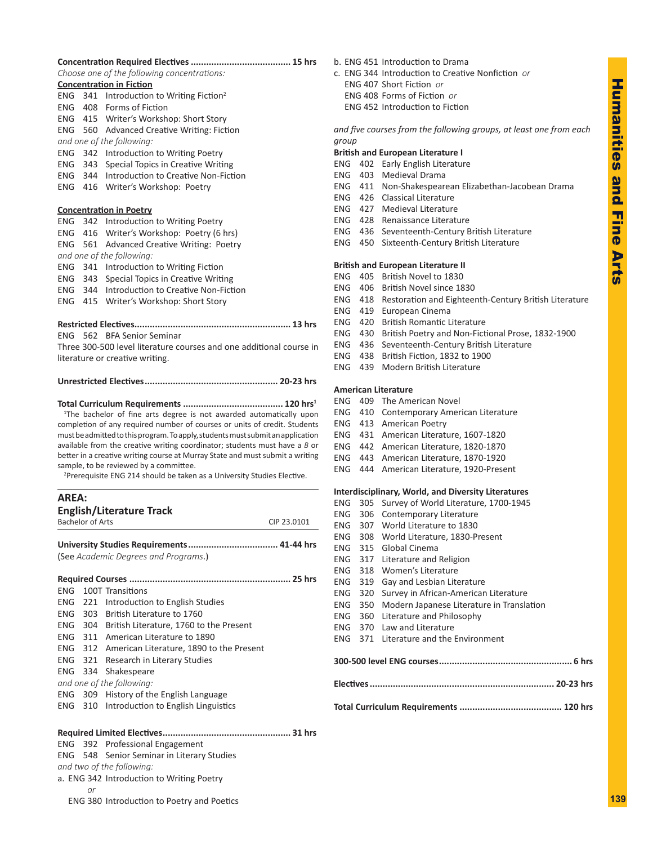#### **Concentration Required Electives....................................... 15 hrs** *Choose one of the following concentrations:*

| <b>Concentration in Fiction</b> |  |  |
|---------------------------------|--|--|
|                                 |  |  |

|                                                                                                                                                               |                                                                           | cnoose one of the following concentrations:                                     |  |  |
|---------------------------------------------------------------------------------------------------------------------------------------------------------------|---------------------------------------------------------------------------|---------------------------------------------------------------------------------|--|--|
|                                                                                                                                                               |                                                                           | <b>Concentration in Fiction</b>                                                 |  |  |
| <b>ENG</b>                                                                                                                                                    | 341                                                                       | Introduction to Writing Fiction <sup>2</sup>                                    |  |  |
| <b>ENG</b>                                                                                                                                                    | 408                                                                       | Forms of Fiction                                                                |  |  |
| <b>ENG</b>                                                                                                                                                    | 415                                                                       | Writer's Workshop: Short Story                                                  |  |  |
| ENG                                                                                                                                                           | 560                                                                       | <b>Advanced Creative Writing: Fiction</b>                                       |  |  |
|                                                                                                                                                               |                                                                           | and one of the following:                                                       |  |  |
| <b>ENG</b>                                                                                                                                                    | 342                                                                       | Introduction to Writing Poetry                                                  |  |  |
| ENG                                                                                                                                                           | 343                                                                       | Special Topics in Creative Writing                                              |  |  |
| <b>ENG</b>                                                                                                                                                    | 344                                                                       | Introduction to Creative Non-Fiction                                            |  |  |
| <b>ENG</b>                                                                                                                                                    | 416                                                                       | Writer's Workshop: Poetry                                                       |  |  |
|                                                                                                                                                               |                                                                           |                                                                                 |  |  |
|                                                                                                                                                               |                                                                           | <b>Concentration in Poetry</b>                                                  |  |  |
| ENG.                                                                                                                                                          | 342                                                                       | Introduction to Writing Poetry                                                  |  |  |
| <b>ENG</b>                                                                                                                                                    | 416                                                                       | Writer's Workshop: Poetry (6 hrs)                                               |  |  |
| <b>ENG</b>                                                                                                                                                    | 561                                                                       | <b>Advanced Creative Writing: Poetry</b>                                        |  |  |
|                                                                                                                                                               |                                                                           | and one of the following:                                                       |  |  |
| <b>ENG</b>                                                                                                                                                    | 341                                                                       | Introduction to Writing Fiction                                                 |  |  |
| <b>ENG</b>                                                                                                                                                    | 343                                                                       | Special Topics in Creative Writing                                              |  |  |
| <b>ENG</b>                                                                                                                                                    | 344                                                                       | Introduction to Creative Non-Fiction                                            |  |  |
| <b>ENG</b>                                                                                                                                                    | 415                                                                       | Writer's Workshop: Short Story                                                  |  |  |
|                                                                                                                                                               |                                                                           |                                                                                 |  |  |
|                                                                                                                                                               |                                                                           | <b>Restricted Electives</b>                                                     |  |  |
| FNG                                                                                                                                                           |                                                                           | 562 BEA Senior Seminar                                                          |  |  |
| Three 300-500 level literature courses and one additional course in                                                                                           |                                                                           |                                                                                 |  |  |
| literature or creative writing.                                                                                                                               |                                                                           |                                                                                 |  |  |
|                                                                                                                                                               |                                                                           |                                                                                 |  |  |
|                                                                                                                                                               |                                                                           |                                                                                 |  |  |
|                                                                                                                                                               |                                                                           |                                                                                 |  |  |
|                                                                                                                                                               |                                                                           | <sup>1</sup> The bachelor of fine arts degree is not awarded automatically upon |  |  |
|                                                                                                                                                               | completion of any required number of courses or units of credit. Students |                                                                                 |  |  |
| must be admitted to this program. To apply, students must submit an application                                                                               |                                                                           |                                                                                 |  |  |
| available from the creative writing coordinator; students must have a $B$ or<br>better in a creative writing course at Murray State and must submit a writing |                                                                           |                                                                                 |  |  |
| sample, to be reviewed by a committee.                                                                                                                        |                                                                           |                                                                                 |  |  |
|                                                                                                                                                               |                                                                           |                                                                                 |  |  |

<sup>2</sup>Prerequisite ENG 214 should be taken as a University Studies Elective.

| <b>AREA:</b> |                         |                                                  |             |
|--------------|-------------------------|--------------------------------------------------|-------------|
|              | <b>Bachelor of Arts</b> | <b>English/Literature Track</b>                  | CIP 23.0101 |
|              |                         |                                                  |             |
|              |                         | (See Academic Degrees and Programs.)             |             |
|              |                         |                                                  |             |
|              |                         | <b>ENG</b> 100T Transitions                      |             |
|              |                         | <b>ENG</b> 221 Introduction to English Studies   |             |
|              |                         | ENG 303 British Literature to 1760               |             |
|              |                         | ENG 304 British Literature, 1760 to the Present  |             |
|              |                         | ENG 311 American Literature to 1890              |             |
|              |                         | ENG 312 American Literature, 1890 to the Present |             |
| <b>ENG</b>   | 321                     | Research in Literary Studies                     |             |
| ENG.         | 334                     | Shakespeare                                      |             |
|              |                         | and one of the following:                        |             |
|              |                         | ENG 309 History of the English Language          |             |
|              | ENG 310                 | Introduction to English Linguistics              |             |
|              |                         |                                                  |             |
|              |                         | ENG 392 Professional Engagement                  |             |
|              |                         | ENG 548 Senior Seminar in Literary Studies       |             |
|              |                         | and two of the following:                        |             |
|              |                         | a. ENG 342 Introduction to Writing Poetry        |             |
|              | or                      |                                                  |             |

### b. ENG 451 Introduction to Drama

c. ENG 344 Introduction to Creative Nonfiction *or* ENG 407 Short Fiction *or* ENG 408 Forms of Fiction *or* ENG 452 Introduction to Fiction

*and five courses from the following groups, at least one from each group*

### **British and European Literature I**

- ENG 402 Early English Literature
- ENG 403 Medieval Drama
- ENG 411 Non-Shakespearean Elizabethan-Jacobean Drama
- ENG 426 Classical Literature
- ENG 427 Medieval Literature
- ENG 428 Renaissance Literature
- ENG 436 Seventeenth-Century British Literature
- ENG 450 Sixteenth-Century British Literature

## **British and European Literature II**

- ENG 405 British Novel to 1830
- ENG 406 British Novel since 1830
- ENG 418 Restoration and Eighteenth-Century British Literature
- ENG 419 European Cinema
- ENG 420 British Romantic Literature
- ENG 430 British Poetry and Non-Fictional Prose, 1832-1900
- ENG 436 Seventeenth-Century British Literature
- ENG 438 British Fiction, 1832 to 1900
- ENG 439 Modern British Literature

### **American Literature**

| <b>ENG</b> 409 The American Novel |  |
|-----------------------------------|--|
|-----------------------------------|--|

- ENG 410 Contemporary American Literature
- ENG 413 American Poetry
- ENG 431 American Literature, 1607-1820
- ENG 442 American Literature, 1820-1870
- ENG 443 American Literature, 1870-1920
- ENG 444 American Literature, 1920-Present

## **Interdisciplinary, World, and Diversity Literatures**

|  |  |  |  |  | ENG 305 Survey of World Literature, 1700-1945 |
|--|--|--|--|--|-----------------------------------------------|
|--|--|--|--|--|-----------------------------------------------|

- ENG 306 Contemporary Literature
- ENG 307 World Literature to 1830
- ENG 308 World Literature, 1830-Present
- ENG 315 Global Cinema
- ENG 317 Literature and Religion
- ENG 318 Women's Literature
- ENG 319 Gay and Lesbian Literature
- ENG 320 Survey in African-American Literature
- ENG 350 Modern Japanese Literature in Translation
- ENG 360 Literature and Philosophy
- ENG 370 Law and Literature
- ENG 371 Literature and the Environment
- **300-500 level ENG courses.................................................... 6 hrs Electives........................................................................ 20-23 hrs Total Curriculum Requirements ........................................ 120 hrs**

ENG 380 Introduction to Poetry and Poetics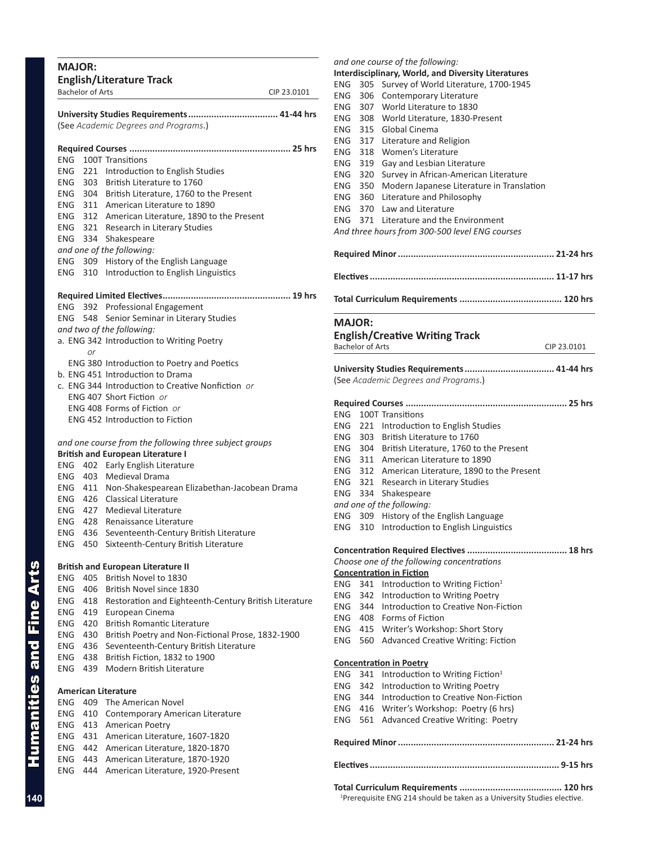|                                        | <b>Bachelor of Arts</b> |                                                                     | CIP 23.0101 |
|----------------------------------------|-------------------------|---------------------------------------------------------------------|-------------|
|                                        |                         |                                                                     |             |
|                                        |                         | (See Academic Degrees and Programs.)                                |             |
|                                        |                         |                                                                     |             |
| ENG                                    |                         | 100T Transitions                                                    |             |
|                                        |                         | ENG 221 Introduction to English Studies                             |             |
|                                        |                         | ENG 303 British Literature to 1760                                  |             |
|                                        |                         | ENG 304 British Literature, 1760 to the Present                     |             |
|                                        |                         | ENG 311 American Literature to 1890                                 |             |
|                                        |                         | ENG 312 American Literature, 1890 to the Present                    |             |
|                                        |                         | ENG 321 Research in Literary Studies                                |             |
|                                        |                         | ENG 334 Shakespeare                                                 |             |
|                                        |                         | and one of the following:                                           |             |
|                                        |                         | ENG 309 History of the English Language                             |             |
| ENG                                    |                         | 310 Introduction to English Linguistics                             |             |
|                                        |                         |                                                                     |             |
|                                        |                         | ENG 392 Professional Engagement                                     |             |
|                                        | ENG 548                 | Senior Seminar in Literary Studies                                  |             |
|                                        |                         | and two of the following:                                           |             |
|                                        | <sub>or</sub>           | a. ENG 342 Introduction to Writing Poetry                           |             |
|                                        |                         | ENG 380 Introduction to Poetry and Poetics                          |             |
|                                        |                         | b. ENG 451 Introduction to Drama                                    |             |
|                                        |                         | c. ENG 344 Introduction to Creative Nonfiction or                   |             |
|                                        |                         | ENG 407 Short Fiction or                                            |             |
|                                        |                         | ENG 408 Forms of Fiction or                                         |             |
|                                        |                         | <b>ENG 452 Introduction to Fiction</b>                              |             |
|                                        |                         | and one course from the following three subject groups              |             |
|                                        |                         | <b>British and European Literature I</b>                            |             |
|                                        |                         | ENG 402 Early English Literature                                    |             |
|                                        |                         | ENG 403 Medieval Drama                                              |             |
|                                        |                         | ENG 411 Non-Shakespearean Elizabethan-Jacobean Drama                |             |
|                                        | ENG 426                 | <b>Classical Literature</b>                                         |             |
|                                        |                         | ENG 427 Medieval Literature                                         |             |
|                                        |                         | ENG 428 Renaissance Literature                                      |             |
| ENG                                    | 436                     | Seventeenth-Century British Literature                              |             |
| ENG                                    | 450                     | Sixteenth-Century British Literature                                |             |
|                                        |                         | <b>British and European Literature II</b>                           |             |
| <b>ENG</b>                             | 405                     | British Novel to 1830                                               |             |
| <b>ENG</b>                             | 406                     | British Novel since 1830                                            |             |
| ENG                                    | 418                     | Restoration and Eighteenth-Century British Literature               |             |
| ENG                                    | 419                     | European Cinema                                                     |             |
| ENG                                    | 420                     | <b>British Romantic Literature</b>                                  |             |
| ENG                                    | 430                     | British Poetry and Non-Fictional Prose, 1832-1900                   |             |
| ENG                                    | 436                     | Seventeenth-Century British Literature                              |             |
| ENG                                    | 438                     | British Fiction, 1832 to 1900                                       |             |
| ENG                                    | 439                     | Modern British Literature                                           |             |
|                                        |                         | <b>American Literature</b>                                          |             |
|                                        | 409                     | The American Novel                                                  |             |
|                                        | 410                     | Contemporary American Literature                                    |             |
|                                        |                         |                                                                     |             |
|                                        | 413                     | American Poetry                                                     |             |
|                                        | 431                     | American Literature, 1607-1820                                      |             |
| ENG<br><b>ENG</b><br>ENG<br>ENG<br>ENG | 442                     | American Literature, 1820-1870                                      |             |
| ENG<br>ENG                             | 443<br>444              | American Literature, 1870-1920<br>American Literature, 1920-Present |             |

## ENG 305 Survey of World Literature, 1700-1945 ENG 306 Contemporary Literature ENG 307 World Literature to 1830 ENG 308 World Literature, 1830-Present ENG 315 Global Cinema ENG 317 Literature and Religion ENG 318 Women's Literature ENG 319 Gay and Lesbian Literature ENG 320 Survey in African-American Literature ENG 350 Modern Japanese Literature in Translation ENG 360 Literature and Philosophy ENG 370 Law and Literature ENG 371 Literature and the Environment *And three hours from 300-500 level ENG courses* **Required Minor............................................................. 21-24 hrs Electives........................................................................ 11-17 hrs Total Curriculum Requirements ........................................ 120 hrs MAJOR: English/Creative Writing Track** Bachelor of Arts CIP 23.0101 **University Studies Requirements................................... 41-44 hrs** (See *Academic Degrees and Programs*.) **Required Courses ............................................................... 25 hrs** ENG 100T Transitions ENG 221 Introduction to English Studies ENG 303 British Literature to 1760 ENG 304 British Literature, 1760 to the Present ENG 311 American Literature to 1890 ENG 312 American Literature, 1890 to the Present ENG 321 Research in Literary Studies ENG 334 Shakespeare *and one of the following:* ENG 309 History of the English Language ENG 310 Introduction to English Linguistics **Concentration Required Electives....................................... 18 hrs** *Choose one of the following concentrations* **Concentration in Fiction** ENG 341 Introduction to Writing Fiction<sup>1</sup> ENG 342 Introduction to Writing Poetry ENG 344 Introduction to Creative Non-Fiction ENG 408 Forms of Fiction ENG 415 Writer's Workshop: Short Story ENG 560 Advanced Creative Writing: Fiction **Concentration in Poetry** ENG 341 Introduction to Writing Fiction<sup>1</sup> ENG 342 Introduction to Writing Poetry ENG 344 Introduction to Creative Non-Fiction ENG 416 Writer's Workshop: Poetry (6 hrs) ENG 561 Advanced Creative Writing: Poetry **Required Minor............................................................. 21-24 hrs**

*and one course of the following:*

**Interdisciplinary, World, and Diversity Literatures**

**Electives.......................................................................... 9-15 hrs**

**Total Curriculum Requirements ........................................ 120 hrs** <sup>1</sup>Prerequisite ENG 214 should be taken as a University Studies elective.

Humanities and Fine Arts

**Humanities and Fine Arts**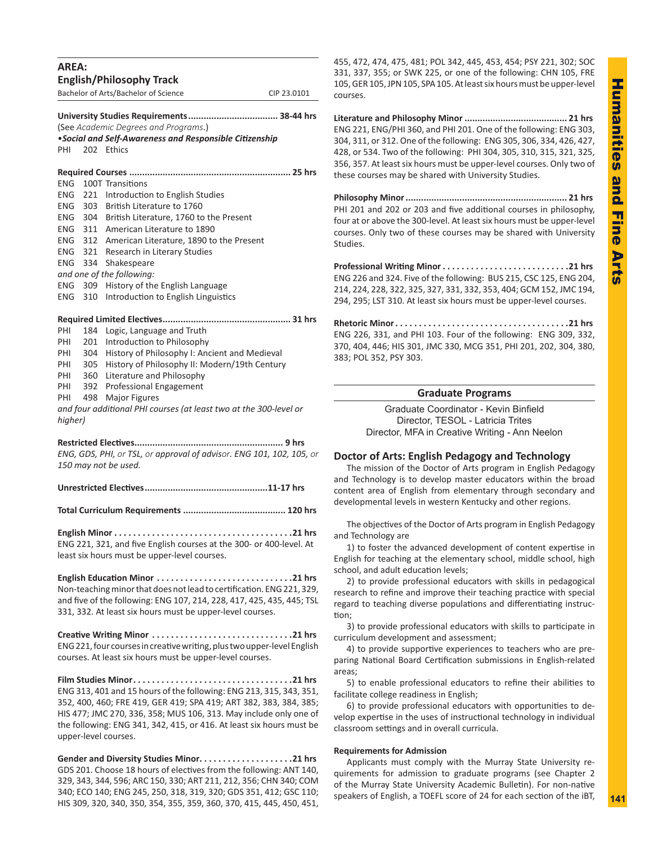| <b>AREA:</b> |     | <b>English/Philosophy Track</b>                                                                                                                                                                                                                                                                                                           |             |  |
|--------------|-----|-------------------------------------------------------------------------------------------------------------------------------------------------------------------------------------------------------------------------------------------------------------------------------------------------------------------------------------------|-------------|--|
|              |     | Bachelor of Arts/Bachelor of Science                                                                                                                                                                                                                                                                                                      | CIP 23.0101 |  |
| PHI          |     | (See Academic Degrees and Programs.)<br>. Social and Self-Awareness and Responsible Citizenship<br>202 Ethics                                                                                                                                                                                                                             |             |  |
|              |     |                                                                                                                                                                                                                                                                                                                                           |             |  |
| <b>ENG</b>   |     | 100T Transitions                                                                                                                                                                                                                                                                                                                          |             |  |
| <b>ENG</b>   |     | 221 Introduction to English Studies                                                                                                                                                                                                                                                                                                       |             |  |
| <b>ENG</b>   |     | 303 British Literature to 1760                                                                                                                                                                                                                                                                                                            |             |  |
| ENG.         |     | 304 British Literature, 1760 to the Present                                                                                                                                                                                                                                                                                               |             |  |
| <b>ENG</b>   |     | 311 American Literature to 1890                                                                                                                                                                                                                                                                                                           |             |  |
| ENG          |     | 312 American Literature, 1890 to the Present                                                                                                                                                                                                                                                                                              |             |  |
| ENG          |     | 321 Research in Literary Studies                                                                                                                                                                                                                                                                                                          |             |  |
| <b>ENG</b>   | 334 | Shakespeare                                                                                                                                                                                                                                                                                                                               |             |  |
|              |     | and one of the following:                                                                                                                                                                                                                                                                                                                 |             |  |
| ENG.         |     | 309 History of the English Language                                                                                                                                                                                                                                                                                                       |             |  |
| ENG          | 310 | Introduction to English Linguistics                                                                                                                                                                                                                                                                                                       |             |  |
|              |     |                                                                                                                                                                                                                                                                                                                                           |             |  |
| PHI          |     | 184 Logic, Language and Truth                                                                                                                                                                                                                                                                                                             |             |  |
| PHI          |     | 201 Introduction to Philosophy                                                                                                                                                                                                                                                                                                            |             |  |
| PHI          |     | 304 History of Philosophy I: Ancient and Medieval                                                                                                                                                                                                                                                                                         |             |  |
| PHI          |     | 305 History of Philosophy II: Modern/19th Century                                                                                                                                                                                                                                                                                         |             |  |
| PHI          |     | 360 Literature and Philosophy                                                                                                                                                                                                                                                                                                             |             |  |
| PHI          | 392 | <b>Professional Engagement</b>                                                                                                                                                                                                                                                                                                            |             |  |
| PHI          | 498 | <b>Major Figures</b>                                                                                                                                                                                                                                                                                                                      |             |  |
|              |     | and four additional PHI courses (at least two at the 300-level or                                                                                                                                                                                                                                                                         |             |  |
| higher)      |     |                                                                                                                                                                                                                                                                                                                                           |             |  |
|              |     | <b>Restricted Electives</b><br>ENG, GDS, PHI, or TSL, or approval of advisor. ENG 101, 102, 105, or<br>150 may not be used.                                                                                                                                                                                                               | 9 hrs       |  |
|              |     |                                                                                                                                                                                                                                                                                                                                           |             |  |
|              |     |                                                                                                                                                                                                                                                                                                                                           |             |  |
|              |     | ENG 221, 321, and five English courses at the 300- or 400-level. At<br>least six hours must be upper-level courses.                                                                                                                                                                                                                       |             |  |
|              |     | English Education Minor 21 hrs<br>Non-teaching minor that does not lead to certification. ENG 221, 329,<br>and five of the following: ENG 107, 214, 228, 417, 425, 435, 445; TSL<br>331, 332. At least six hours must be upper-level courses.                                                                                             |             |  |
|              |     | Creative Writing Minor 21 hrs<br>ENG 221, four courses in creative writing, plus two upper-level English<br>courses. At least six hours must be upper-level courses.                                                                                                                                                                      |             |  |
|              |     | Film Studies Minor21 hrs<br>ENG 313, 401 and 15 hours of the following: ENG 213, 315, 343, 351,<br>352, 400, 460; FRE 419, GER 419; SPA 419; ART 382, 383, 384, 385;<br>HIS 477; JMC 270, 336, 358; MUS 106, 313. May include only one of<br>the following: ENG 341, 342, 415, or 416. At least six hours must be<br>upper-level courses. |             |  |

**Gender and Diversity Studies Minor. . 21 hrs** GDS 201. Choose 18 hours of electives from the following: ANT 140, 329, 343, 344, 596; ARC 150, 330; ART 211, 212, 356; CHN 340; COM 340; ECO 140; ENG 245, 250, 318, 319, 320; GDS 351, 412; GSC 110; HIS 309, 320, 340, 350, 354, 355, 359, 360, 370, 415, 445, 450, 451, 455, 472, 474, 475, 481; POL 342, 445, 453, 454; PSY 221, 302; SOC 331, 337, 355; or SWK 225, or one of the following: CHN 105, FRE 105, GER 105, JPN 105, SPA 105. At least six hours must be upper-level courses.

**Literature and Philosophy Minor ........................................ 21 hrs** ENG 221, ENG/PHI 360, and PHI 201. One of the following: ENG 303, 304, 311, or 312. One of the following: ENG 305, 306, 334, 426, 427, 428, or 534. Two of the following: PHI 304, 305, 310, 315, 321, 325, 356, 357. At least six hours must be upper-level courses. Only two of these courses may be shared with University Studies.

**Philosophy Minor............................................................... 21 hrs** PHI 201 and 202 or 203 and five additional courses in philosophy, four at or above the 300-level. At least six hours must be upper-level courses. Only two of these courses may be shared with University Studies.

**Professional Writing Minor. 21 hrs** ENG 226 and 324. Five of the following: BUS 215, CSC 125, ENG 204, 214, 224, 228, 322, 325, 327, 331, 332, 353, 404; GCM 152, JMC 194, 294, 295; LST 310. At least six hours must be upper-level courses.

**Rhetoric Minor. . 21 hrs** ENG 226, 331, and PHI 103. Four of the following: ENG 309, 332, 370, 404, 446; HIS 301, JMC 330, MCG 351, PHI 201, 202, 304, 380, 383; POL 352, PSY 303.

## **Graduate Programs**

Graduate Coordinator - Kevin Binfield Director, TESOL - Latricia Trites Director, MFA in Creative Writing - Ann Neelon

## **Doctor of Arts: English Pedagogy and Technology**

The mission of the Doctor of Arts program in English Pedagogy and Technology is to develop master educators within the broad content area of English from elementary through secondary and developmental levels in western Kentucky and other regions.

The objectives of the Doctor of Arts program in English Pedagogy and Technology are

1) to foster the advanced development of content expertise in English for teaching at the elementary school, middle school, high school, and adult education levels;

2) to provide professional educators with skills in pedagogical research to refine and improve their teaching practice with special regard to teaching diverse populations and differentiating instruction;

3) to provide professional educators with skills to participate in curriculum development and assessment;

4) to provide supportive experiences to teachers who are preparing National Board Certification submissions in English-related areas;

5) to enable professional educators to refine their abilities to facilitate college readiness in English;

6) to provide professional educators with opportunities to develop expertise in the uses of instructional technology in individual classroom settings and in overall curricula.

## **Requirements for Admission**

Applicants must comply with the Murray State University requirements for admission to graduate programs (see Chapter 2 of the Murray State University Academic Bulletin). For non-native speakers of English, a TOEFL score of 24 for each section of the iBT,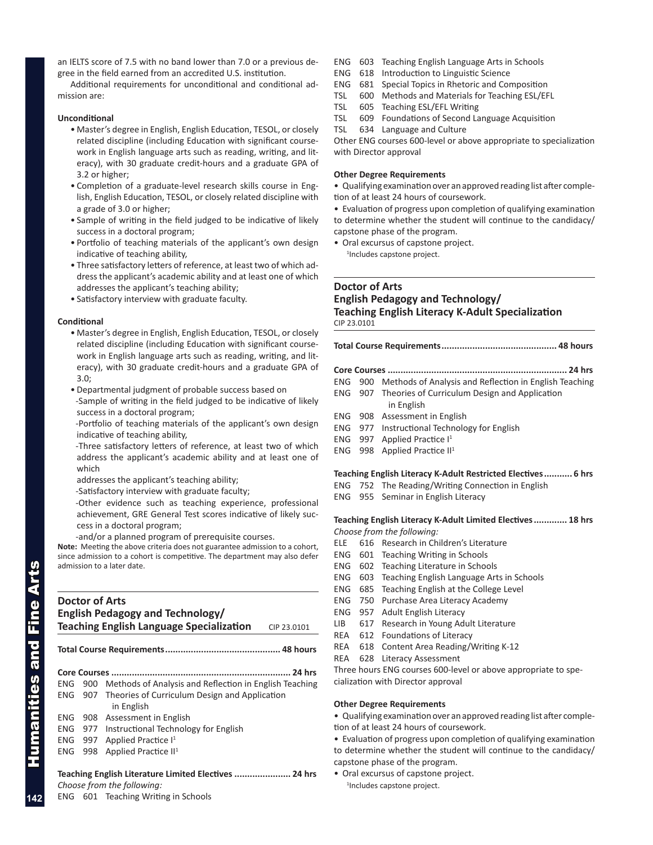an IELTS score of 7.5 with no band lower than 7.0 or a previous degree in the field earned from an accredited U.S. institution.

Additional requirements for unconditional and conditional admission are:

### **Unconditional**

- Master's degree in English, English Education, TESOL, or closely related discipline (including Education with significant coursework in English language arts such as reading, writing, and literacy), with 30 graduate credit-hours and a graduate GPA of 3.2 or higher;
- Completion of a graduate-level research skills course in English, English Education, TESOL, or closely related discipline with a grade of 3.0 or higher;
- Sample of writing in the field judged to be indicative of likely success in a doctoral program;
- Portfolio of teaching materials of the applicant's own design indicative of teaching ability,
- Three satisfactory letters of reference, at least two of which address the applicant's academic ability and at least one of which addresses the applicant's teaching ability;
- Satisfactory interview with graduate faculty.

## **Conditional**

- Master's degree in English, English Education, TESOL, or closely related discipline (including Education with significant coursework in English language arts such as reading, writing, and literacy), with 30 graduate credit-hours and a graduate GPA of 3.0;
- Departmental judgment of probable success based on -Sample of writing in the field judged to be indicative of likely success in a doctoral program;
- -Portfolio of teaching materials of the applicant's own design indicative of teaching ability,
- -Three satisfactory letters of reference, at least two of which address the applicant's academic ability and at least one of which
- addresses the applicant's teaching ability;
- -Satisfactory interview with graduate faculty;
- -Other evidence such as teaching experience, professional achievement, GRE General Test scores indicative of likely success in a doctoral program;
- -and/or a planned program of prerequisite courses.

**Note:** Meeting the above criteria does not guarantee admission to a cohort, since admission to a cohort is competitive. The department may also defer admission to a later date.

## **Doctor of Arts English Pedagogy and Technology/ Teaching English Language Specialization** CIP 23.0101

**Total Course Requirements............................................. 48 hours**

## **Core Courses ...................................................................... 24 hrs** ENG 900 Methods of Analysis and Reflection in English Teaching ENG 907 Theories of Curriculum Design and Application in English ENG 908 Assessment in English ENG 977 Instructional Technology for English ENG 997 Applied Practice I<sup>1</sup> ENG 998 Applied Practice II<sup>1</sup>

## **Teaching English Literature Limited Electives ...................... 24 hrs**

ENG 601 Teaching Writing in Schools

- ENG 603 Teaching English Language Arts in Schools
- ENG 618 Introduction to Linguistic Science
- ENG 681 Special Topics in Rhetoric and Composition
- TSL 600 Methods and Materials for Teaching ESL/EFL
- TSL 605 Teaching ESL/EFL Writing
- TSL 609 Foundations of Second Language Acquisition
- TSL 634 Language and Culture

Other ENG courses 600-level or above appropriate to specialization with Director approval

### **Other Degree Requirements**

• Qualifying examination over an approved reading list after completion of at least 24 hours of coursework.

• Evaluation of progress upon completion of qualifying examination to determine whether the student will continue to the candidacy/ capstone phase of the program.

• Oral excursus of capstone project.

1 Includes capstone project.

## **Doctor of Arts English Pedagogy and Technology/ Teaching English Literacy K-Adult Specialization** CIP 23.0101

**Total Course Requirements............................................. 48 hours**

- **Core Courses ...................................................................... 24 hrs**
- ENG 900 Methods of Analysis and Reflection in English Teaching
- ENG 907 Theories of Curriculum Design and Application in English
- ENG 908 Assessment in English
- ENG 977 Instructional Technology for English
- ENG 997 Applied Practice I<sup>1</sup>
- ENG 998 Applied Practice II<sup>1</sup>

## **Teaching English Literacy K-Adult Restricted Electives........... 6 hrs**

ENG 752 The Reading/Writing Connection in English

ENG 955 Seminar in English Literacy

**Teaching English Literacy K-Adult Limited Electives............. 18 hrs** *Choose from the following:*

- ELE 616 Research in Children's Literature
- ENG 601 Teaching Writing in Schools
- ENG 602 Teaching Literature in Schools
- ENG 603 Teaching English Language Arts in Schools
- ENG 685 Teaching English at the College Level
- ENG 750 Purchase Area Literacy Academy
- ENG 957 Adult English Literacy
- LIB 617 Research in Young Adult Literature
- REA 612 Foundations of Literacy
- REA 618 Content Area Reading/Writing K-12
- REA 628 Literacy Assessment

Three hours ENG courses 600-level or above appropriate to specialization with Director approval

### **Other Degree Requirements**

• Qualifying examination over an approved reading list after comple-

tion of at least 24 hours of coursework.

- Evaluation of progress upon completion of qualifying examination to determine whether the student will continue to the candidacy/ capstone phase of the program.
- Oral excursus of capstone project. 1 Includes capstone project.

umanities and Fine Arts

*Choose from the following:*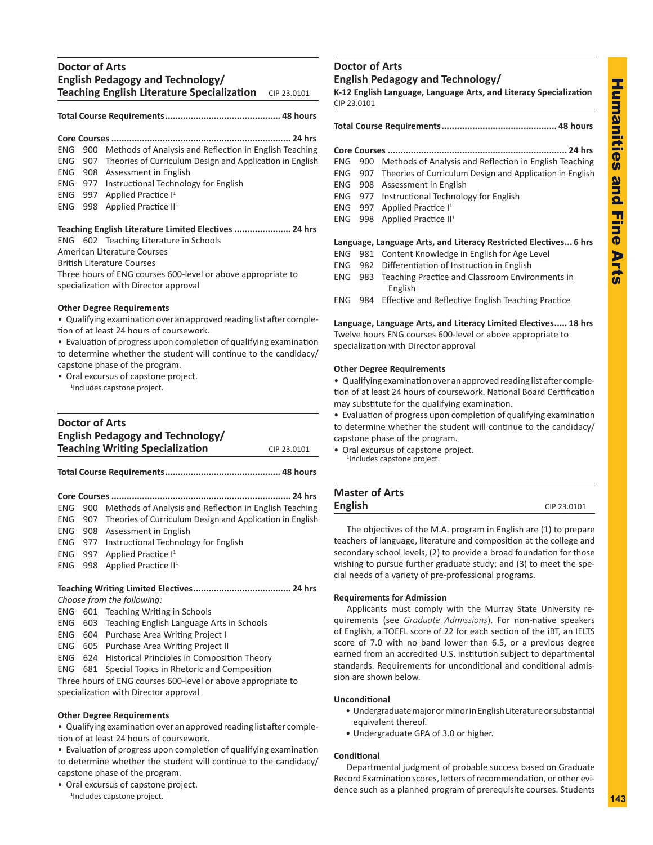## **Doctor of Arts English Pedagogy and Technology/ Teaching English Literature Specialization** CIP 23.0101

## **Total Course Requirements............................................. 48 hours**

|  | ENG 900 Methods of Analysis and Reflection in English Teaching   |
|--|------------------------------------------------------------------|
|  | ENG 907 Theories of Curriculum Design and Application in English |
|  | ENG 908 Assessment in English                                    |
|  | ENG 977 Instructional Technology for English                     |
|  | ENG 997 Applied Practice $I^1$                                   |
|  | ENG 998 Applied Practice $II1$                                   |
|  |                                                                  |
|  |                                                                  |

## **Teaching English Literature Limited Electives ...................... 24 hrs**

ENG 602 Teaching Literature in Schools American Literature Courses

British Literature Courses

Three hours of ENG courses 600-level or above appropriate to specialization with Director approval

## **Other Degree Requirements**

• Qualifying examination over an approved reading list after completion of at least 24 hours of coursework.

- Evaluation of progress upon completion of qualifying examination to determine whether the student will continue to the candidacy/ capstone phase of the program.
- Oral excursus of capstone project.

1 Includes capstone project.

## **Doctor of Arts English Pedagogy and Technology/ Teaching Writing Specialization** CIP 23.0101 **Total Course Requirements............................................. 48 hours Core Courses ...................................................................... 24 hrs** ENG 900 Methods of Analysis and Reflection in English Teaching ENG 907 Theories of Curriculum Design and Application in English ENG 908 Assessment in English ENG 977 Instructional Technology for English ENG 997 Applied Practice  $I<sup>1</sup>$ ENG 998 Applied Practice II<sup>1</sup> **Teaching Writing Limited Electives...................................... 24 hrs** *Choose from the following:* ENG 601 Teaching Writing in Schools ENG 603 Teaching English Language Arts in Schools ENG 604 Purchase Area Writing Project I ENG 605 Purchase Area Writing Project II ENG 624 Historical Principles in Composition Theory ENG 681 Special Topics in Rhetoric and Composition

Three hours of ENG courses 600-level or above appropriate to specialization with Director approval

## **Other Degree Requirements**

• Qualifying examination over an approved reading list after completion of at least 24 hours of coursework.

• Evaluation of progress upon completion of qualifying examination to determine whether the student will continue to the candidacy/ capstone phase of the program.

• Oral excursus of capstone project. 1 Includes capstone project.

## **Doctor of Arts English Pedagogy and Technology/**

**K-12 English Language, Language Arts, and Literacy Specialization** CIP 23.0101

**Total Course Requirements............................................. 48 hours**

**Core Courses ...................................................................... 24 hrs**

- ENG 900 Methods of Analysis and Reflection in English Teaching
- ENG 907 Theories of Curriculum Design and Application in English
- ENG 908 Assessment in English
- ENG 977 Instructional Technology for English
- ENG 997 Applied Practice I<sup>1</sup>
- ENG 998 Applied Practice II<sup>1</sup>

## **Language, Language Arts, and Literacy Restricted Electives... 6 hrs**

- ENG 981 Content Knowledge in English for Age Level
- ENG 982 Differentiation of Instruction in English
- ENG 983 Teaching Practice and Classroom Environments in English
- ENG 984 Effective and Reflective English Teaching Practice

**Language, Language Arts, and Literacy Limited Electives..... 18 hrs** Twelve hours ENG courses 600-level or above appropriate to specialization with Director approval

## **Other Degree Requirements**

• Qualifying examination over an approved reading list after completion of at least 24 hours of coursework. National Board Certification may substitute for the qualifying examination.

• Evaluation of progress upon completion of qualifying examination to determine whether the student will continue to the candidacy/ capstone phase of the program.

• Oral excursus of capstone project. <sup>1</sup>Includes capstone project.

| <b>Master of Arts</b> |             |
|-----------------------|-------------|
| <b>English</b>        | CIP 23.0101 |
|                       |             |

The objectives of the M.A. program in English are (1) to prepare teachers of language, literature and composition at the college and secondary school levels, (2) to provide a broad foundation for those wishing to pursue further graduate study; and (3) to meet the special needs of a variety of pre-professional programs.

## **Requirements for Admission**

Applicants must comply with the Murray State University requirements (see *Graduate Admissions*). For non-native speakers of English, a TOEFL score of 22 for each section of the iBT, an IELTS score of 7.0 with no band lower than 6.5, or a previous degree earned from an accredited U.S. institution subject to departmental standards. Requirements for unconditional and conditional admission are shown below.

## **Unconditional**

- Undergraduate major or minor in English Literature or substantial equivalent thereof.
- Undergraduate GPA of 3.0 or higher.

## **Conditional**

Departmental judgment of probable success based on Graduate Record Examination scores, letters of recommendation, or other evidence such as a planned program of prerequisite courses. Students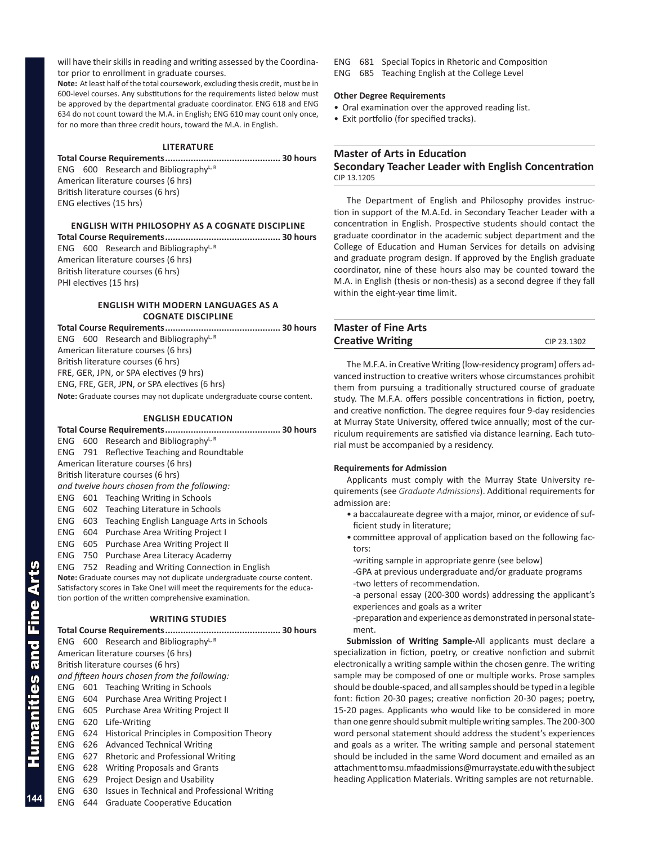will have their skills in reading and writing assessed by the Coordinator prior to enrollment in graduate courses.

**Note:** At least half of the total coursework, excluding thesis credit, must be in 600-level courses. Any substitutions for the requirements listed below must be approved by the departmental graduate coordinator. ENG 618 and ENG 634 do not count toward the M.A. in English; ENG 610 may count only once, for no more than three credit hours, toward the M.A. in English.

### **LITERATURE**

**Total Course Requirements............................................. 30 hours** ENG  $600$  Research and Bibliography<sup>L, R</sup> American literature courses (6 hrs) British literature courses (6 hrs) ENG electives (15 hrs)

**ENGLISH WITH PHILOSOPHY AS A COGNATE DISCIPLINE** 

**Total Course Requirements............................................. 30 hours** ENG 600 Research and Bibliography $L, R$ American literature courses (6 hrs) British literature courses (6 hrs) PHI electives (15 hrs)

## **ENGLISH WITH mODERN lANGUAGES AS A COGNATE DISCIPLINE**

**Total Course Requirements............................................. 30 hours** ENG  $600$  Research and BibliographyL, R American literature courses (6 hrs) British literature courses (6 hrs) FRE, GER, JPN, or SPA electives (9 hrs) ENG, FRE, GER, JPN, or SPA electives (6 hrs) **Note:** Graduate courses may not duplicate undergraduate course content.

## **ENGLISH Education**

|     |     | ENG 600 Research and BibliographyL, R                                      |  |  |  |
|-----|-----|----------------------------------------------------------------------------|--|--|--|
|     |     | ENG 791 Reflective Teaching and Roundtable                                 |  |  |  |
|     |     | American literature courses (6 hrs)                                        |  |  |  |
|     |     | British literature courses (6 hrs)                                         |  |  |  |
|     |     | and twelve hours chosen from the following:                                |  |  |  |
| ENG |     | 601 Teaching Writing in Schools                                            |  |  |  |
| ENG | 602 | Teaching Literature in Schools                                             |  |  |  |
| ENG | 603 | Teaching English Language Arts in Schools                                  |  |  |  |
| ENG |     | 604 Purchase Area Writing Project I                                        |  |  |  |
| ENG |     | 605 Purchase Area Writing Project II                                       |  |  |  |
| ENG | 750 | Purchase Area Literacy Academy                                             |  |  |  |
| ENG | 752 | Reading and Writing Connection in English                                  |  |  |  |
|     |     | Note: Graduate courses may not duplicate undergraduate course content.     |  |  |  |
|     |     | Satisfactory scores in Take One! will meet the requirements for the educa- |  |  |  |
|     |     | tion portion of the written comprehensive examination.                     |  |  |  |
|     |     | <b>MDITING CTUDIES</b>                                                     |  |  |  |

#### **WRITING STUDIES**

**Total Course Requirements............................................. 30 hours** ENG 600 Research and Bibliography $L, R$ American literature courses (6 hrs) British literature courses (6 hrs) *and fifteen hours chosen from the following:* ENG 601 Teaching Writing in Schools ENG 604 Purchase Area Writing Project I ENG 605 Purchase Area Writing Project II ENG 620 Life-Writing ENG 624 Historical Principles in Composition Theory ENG 626 Advanced Technical Writing ENG 627 Rhetoric and Professional Writing ENG 628 Writing Proposals and Grants ENG 629 Project Design and Usability ENG 630 Issues in Technical and Professional Writing

ENG 644 Graduate Cooperative Education

- ENG 681 Special Topics in Rhetoric and Composition
- ENG 685 Teaching English at the College Level

### **Other Degree Requirements**

- Oral examination over the approved reading list.
- Exit portfolio (for specified tracks).

## **Master of Arts in Education**

## **Secondary Teacher Leader with English Concentration** CIP 13.1205

The Department of English and Philosophy provides instruction in support of the M.A.Ed. in Secondary Teacher Leader with a concentration in English. Prospective students should contact the graduate coordinator in the academic subject department and the College of Education and Human Services for details on advising and graduate program design. If approved by the English graduate coordinator, nine of these hours also may be counted toward the M.A. in English (thesis or non-thesis) as a second degree if they fall within the eight-year time limit.

| <b>Master of Fine Arts</b> |             |
|----------------------------|-------------|
| <b>Creative Writing</b>    | CIP 23.1302 |

The M.F.A. in Creative Writing (low-residency program) offers advanced instruction to creative writers whose circumstances prohibit them from pursuing a traditionally structured course of graduate study. The M.F.A. offers possible concentrations in fiction, poetry, and creative nonfiction. The degree requires four 9-day residencies at Murray State University, offered twice annually; most of the curriculum requirements are satisfied via distance learning. Each tutorial must be accompanied by a residency.

### **Requirements for Admission**

Applicants must comply with the Murray State University requirements (see *Graduate Admissions*). Additional requirements for admission are:

- a baccalaureate degree with a major, minor, or evidence of sufficient study in literature;
- committee approval of application based on the following factors:
- -writing sample in appropriate genre (see below)
- -GPA at previous undergraduate and/or graduate programs -two letters of recommendation.
- -a personal essay (200-300 words) addressing the applicant's experiences and goals as a writer

-preparation and experience as demonstrated in personal statement.

**Submission of Writing Sample-**All applicants must declare a specialization in fiction, poetry, or creative nonfiction and submit electronically a writing sample within the chosen genre. The writing sample may be composed of one or multiple works. Prose samples should be double-spaced, and all samples should be typed in a legible font: fiction 20-30 pages; creative nonfiction 20-30 pages; poetry, 15-20 pages. Applicants who would like to be considered in more than one genre should submit multiple writing samples. The 200-300 word personal statement should address the student's experiences and goals as a writer. The writing sample and personal statement should be included in the same Word document and emailed as an attachment to msu.mfaadmissions@murraystate.edu with the subject heading Application Materials. Writing samples are not returnable.

**144**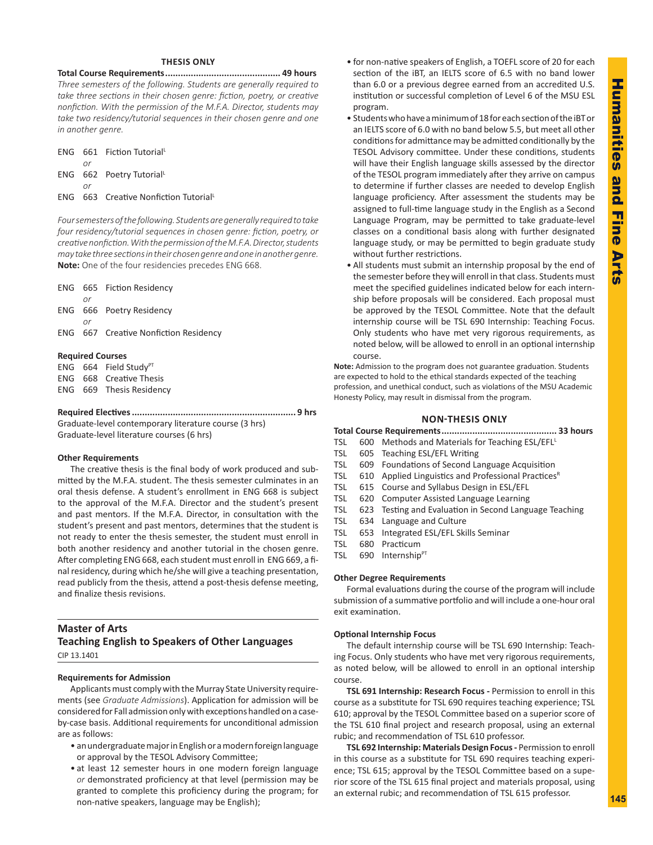## **THESIS ONLY**

**Total Course Requirements............................................. 49 hours** *Three semesters of the following. Students are generally required to take three sections in their chosen genre: fiction, poetry, or creative nonfiction. With the permission of the M.F.A. Director, students may take two residency/tutorial sequences in their chosen genre and one in another genre.*

|    | ENG 661 Fiction Tutorial             |
|----|--------------------------------------|
| or |                                      |
|    | ENG 662 Poetry Tutorial              |
| or |                                      |
|    | ENG 663 Creative Nonfiction Tutorial |

*Foursemestersofthefollowing.Studentsaregenerally requiredtotake four residency/tutorial sequences in chosen genre: fiction, poetry, or creativenonfiction.WiththepermissionoftheM.F.A.Director,students may takethreesectionsintheir chosengenreandoneinanothergenre.* **Note:** One of the four residencies precedes ENG 668.

|    | ENG 665 Fiction Residency                    |
|----|----------------------------------------------|
| or |                                              |
|    | ENG 666 Poetry Residency                     |
| or |                                              |
|    | <b>ENG</b> 667 Creative Nonfiction Residency |
|    |                                              |
|    |                                              |

### **Required Courses**

ENG  $664$  Field Study<sup>PT</sup> ENG 668 Creative Thesis

ENG 669 Thesis Residency

### **Required Electives................................................................ 9 hrs**

Graduate-level contemporary literature course (3 hrs) Graduate-level literature courses (6 hrs)

### **Other Requirements**

The creative thesis is the final body of work produced and submitted by the M.F.A. student. The thesis semester culminates in an oral thesis defense. A student's enrollment in ENG 668 is subject to the approval of the M.F.A. Director and the student's present and past mentors. If the M.F.A. Director, in consultation with the student's present and past mentors, determines that the student is not ready to enter the thesis semester, the student must enroll in both another residency and another tutorial in the chosen genre. After completing ENG 668, each student must enroll in ENG 669, a final residency, during which he/she will give a teaching presentation, read publicly from the thesis, attend a post-thesis defense meeting, and finalize thesis revisions.

## **Master of Arts Teaching English to Speakers of Other Languages**

CIP 13.1401

### **Requirements for Admission**

Applicants must comply with the Murray State University requirements (see *Graduate Admissions*). Application for admission will be considered for Fall admission only with exceptions handled on a caseby-case basis. Additional requirements for unconditional admission are as follows:

- an undergraduate major in English or a modern foreign language or approval by the TESOL Advisory Committee;
- at least 12 semester hours in one modern foreign language *or* demonstrated proficiency at that level (permission may be granted to complete this proficiency during the program; for non-native speakers, language may be English);
- for non-native speakers of English, a TOEFL score of 20 for each section of the iBT, an IELTS score of 6.5 with no band lower than 6.0 or a previous degree earned from an accredited U.S. institution or successful completion of Level 6 of the MSU ESL program.
- Students who have a minimum of 18 for each section of the iBT or an IELTS score of 6.0 with no band below 5.5, but meet all other conditions for admittance may be admitted conditionally by the TESOL Advisory committee. Under these conditions, students will have their English language skills assessed by the director of the TESOL program immediately after they arrive on campus to determine if further classes are needed to develop English language proficiency. After assessment the students may be assigned to full-time language study in the English as a Second Language Program, may be permitted to take graduate-level classes on a conditional basis along with further designated language study, or may be permitted to begin graduate study without further restrictions.
- All students must submit an internship proposal by the end of the semester before they will enroll in that class. Students must meet the specified guidelines indicated below for each internship before proposals will be considered. Each proposal must be approved by the TESOL Committee. Note that the default internship course will be TSL 690 Internship: Teaching Focus. Only students who have met very rigorous requirements, as noted below, will be allowed to enroll in an optional internship course.

**Note:** Admission to the program does not guarantee graduation. Students are expected to hold to the ethical standards expected of the teaching profession, and unethical conduct, such as violations of the MSU Academic Honesty Policy, may result in dismissal from the program.

## **NON-THESIS ONLY**

**Total Course Requirements............................................. 33 hours**

- TSL 600 Methods and Materials for Teaching ESL/EFL<sup>L</sup>
- TSL 605 Teaching ESL/EFL Writing
- TSL 609 Foundations of Second Language Acquisition
- TSL 610 Applied Linguistics and Professional Practices<sup>R</sup>
- TSL 615 Course and Syllabus Design in ESL/EFL
- TSL 620 Computer Assisted Language Learning
- TSL 623 Testing and Evaluation in Second Language Teaching
- TSL 634 Language and Culture
- TSL 653 Integrated ESL/EFL Skills Seminar
- TSL 680 Practicum
- TSL 690 Internship<sup>PT</sup>

## **Other Degree Requirements**

Formal evaluations during the course of the program will include submission of a summative portfolio and will include a one-hour oral exit examination.

## **Optional Internship Focus**

The default internship course will be TSL 690 Internship: Teaching Focus. Only students who have met very rigorous requirements, as noted below, will be allowed to enroll in an optional intership course.

**TSL 691 Internship: Research Focus -** Permission to enroll in this course as a substitute for TSL 690 requires teaching experience; TSL 610; approval by the TESOL Committee based on a superior score of the TSL 610 final project and research proposal, using an external rubic; and recommendation of TSL 610 professor.

**TSL 692 Internship: Materials Design Focus -** Permission to enroll in this course as a substitute for TSL 690 requires teaching experience; TSL 615; approval by the TESOL Committee based on a superior score of the TSL 615 final project and materials proposal, using an external rubic; and recommendation of TSL 615 professor.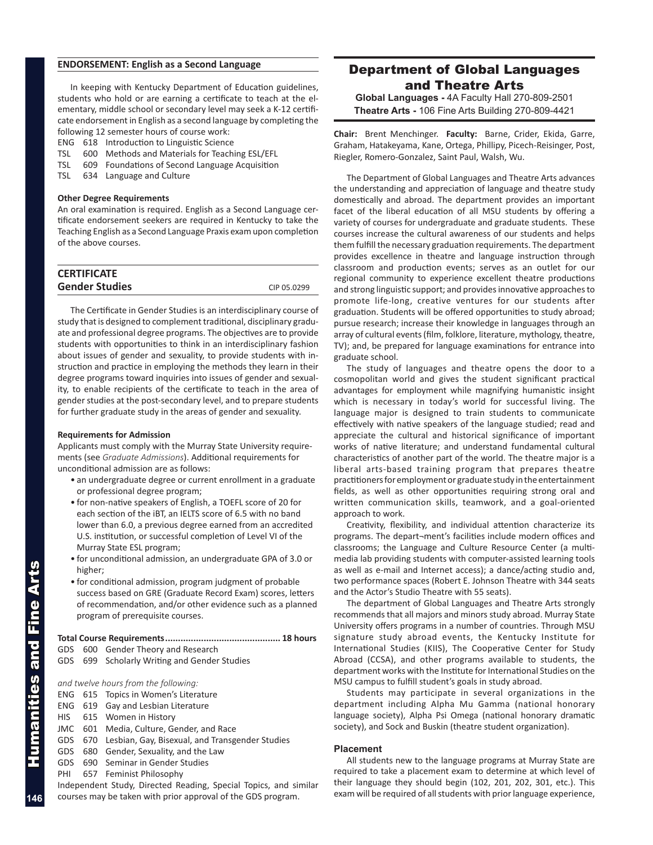## **ENDORSEMENT: English as a Second Language**

In keeping with Kentucky Department of Education guidelines, students who hold or are earning a certificate to teach at the elementary, middle school or secondary level may seek a K-12 certificate endorsement in English as a second language by completing the following 12 semester hours of course work:

- ENG 618 Introduction to Linguistic Science
- TSL 600 Methods and Materials for Teaching ESL/EFL
- TSL 609 Foundations of Second Language Acquisition
- TSL 634 Language and Culture

### **Other Degree Requirements**

An oral examination is required. English as a Second Language certificate endorsement seekers are required in Kentucky to take the Teaching English as a Second Language Praxis exam upon completion of the above courses.

| <b>CERTIFICATE</b>    |             |
|-----------------------|-------------|
| <b>Gender Studies</b> | CIP 05.0299 |

The Certificate in Gender Studies is an interdisciplinary course of study that is designed to complement traditional, disciplinary graduate and professional degree programs. The objectives are to provide students with opportunities to think in an interdisciplinary fashion about issues of gender and sexuality, to provide students with instruction and practice in employing the methods they learn in their degree programs toward inquiries into issues of gender and sexuality, to enable recipients of the certificate to teach in the area of gender studies at the post-secondary level, and to prepare students for further graduate study in the areas of gender and sexuality.

### **Requirements for Admission**

Applicants must comply with the Murray State University requirements (see *Graduate Admissions*). Additional requirements for unconditional admission are as follows:

- an undergraduate degree or current enrollment in a graduate or professional degree program;
- for non-native speakers of English, a TOEFL score of 20 for each section of the iBT, an IELTS score of 6.5 with no band lower than 6.0, a previous degree earned from an accredited U.S. institution, or successful completion of Level VI of the Murray State ESL program;
- for unconditional admission, an undergraduate GPA of 3.0 or higher;
- for conditional admission, program judgment of probable success based on GRE (Graduate Record Exam) scores, letters of recommendation, and/or other evidence such as a planned program of prerequisite courses.

### **Total Course Requirements............................................. 18 hours**

- GDS 600 Gender Theory and Research
- GDS 699 Scholarly Writing and Gender Studies

*and twelve hours from the following:*

- ENG 615 Topics in Women's Literature
- ENG 619 Gay and Lesbian Literature
- HIS 615 Women in History
- JMC 601 Media, Culture, Gender, and Race
- GDS 670 Lesbian, Gay, Bisexual, and Transgender Studies
- GDS 680 Gender, Sexuality, and the Law
- GDS 690 Seminar in Gender Studies
- PHI 657 Feminist Philosophy

Independent Study, Directed Reading, Special Topics, and similar courses may be taken with prior approval of the GDS program.

## Department of Global Languages and Theatre Arts

**Global Languages -** 4A Faculty Hall 270-809-2501 **Theatre Arts -** 106 Fine Arts Building 270-809-4421

**Chair:** Brent Menchinger. **Faculty:** Barne, Crider, Ekida, Garre, Graham, Hatakeyama, Kane, Ortega, Phillipy, Picech-Reisinger, Post, Riegler, Romero-Gonzalez, Saint Paul, Walsh, Wu.

The Department of Global Languages and Theatre Arts advances the understanding and appreciation of language and theatre study domestically and abroad. The department provides an important facet of the liberal education of all MSU students by offering a variety of courses for undergraduate and graduate students. These courses increase the cultural awareness of our students and helps them fulfill the necessary graduation requirements. The department provides excellence in theatre and language instruction through classroom and production events; serves as an outlet for our regional community to experience excellent theatre productions and strong linguistic support; and provides innovative approaches to promote life-long, creative ventures for our students after graduation. Students will be offered opportunities to study abroad; pursue research; increase their knowledge in languages through an array of cultural events (film, folklore, literature, mythology, theatre, TV); and, be prepared for language examinations for entrance into graduate school.

The study of languages and theatre opens the door to a cosmopolitan world and gives the student significant practical advantages for employment while magnifying humanistic insight which is necessary in today's world for successful living. The language major is designed to train students to communicate effectively with native speakers of the language studied; read and appreciate the cultural and historical significance of important works of native literature; and understand fundamental cultural characteristics of another part of the world. The theatre major is a liberal arts-based training program that prepares theatre practitioners for employment or graduate study in the entertainment fields, as well as other opportunities requiring strong oral and written communication skills, teamwork, and a goal-oriented approach to work.

Creativity, flexibility, and individual attention characterize its programs. The depart¬ment's facilities include modern offices and classrooms; the Language and Culture Resource Center (a multimedia lab providing students with computer-assisted learning tools as well as e-mail and Internet access); a dance/acting studio and, two performance spaces (Robert E. Johnson Theatre with 344 seats and the Actor's Studio Theatre with 55 seats).

The department of Global Languages and Theatre Arts strongly recommends that all majors and minors study abroad. Murray State University offers programs in a number of countries. Through MSU signature study abroad events, the Kentucky Institute for International Studies (KIIS), The Cooperative Center for Study Abroad (CCSA), and other programs available to students, the department works with the Institute for International Studies on the MSU campus to fulfill student's goals in study abroad.

Students may participate in several organizations in the department including Alpha Mu Gamma (national honorary language society), Alpha Psi Omega (national honorary dramatic society), and Sock and Buskin (theatre student organization).

#### **Placement**

All students new to the language programs at Murray State are required to take a placement exam to determine at which level of their language they should begin (102, 201, 202, 301, etc.). This exam will be required of all students with prior language experience,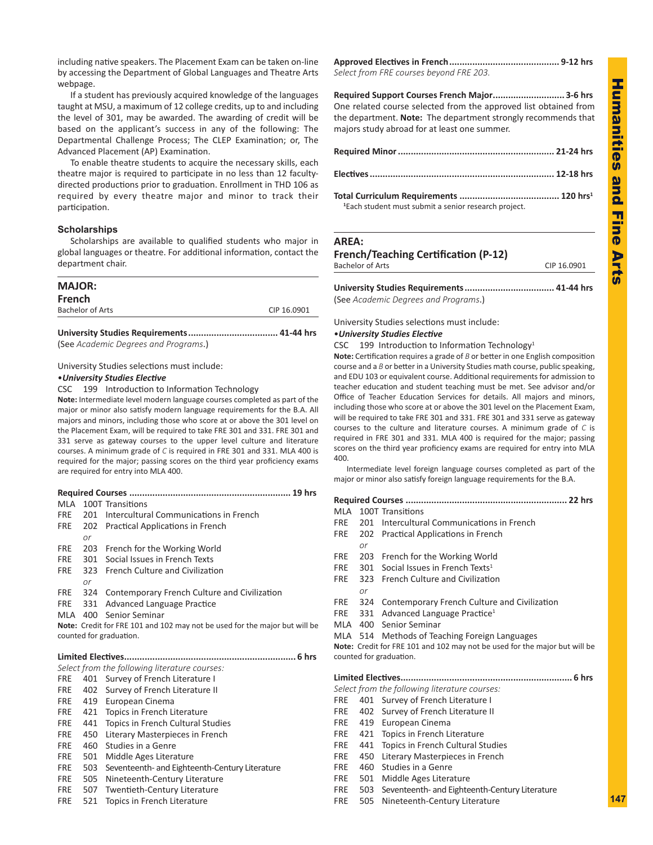including native speakers. The Placement Exam can be taken on-line by accessing the Department of Global Languages and Theatre Arts webpage.

If a student has previously acquired knowledge of the languages taught at MSU, a maximum of 12 college credits, up to and including the level of 301, may be awarded. The awarding of credit will be based on the applicant's success in any of the following: The Departmental Challenge Process; The CLEP Examination; or, The Advanced Placement (AP) Examination.

To enable theatre students to acquire the necessary skills, each theatre major is required to participate in no less than 12 facultydirected productions prior to graduation. Enrollment in THD 106 as required by every theatre major and minor to track their participation.

### **Scholarships**

Scholarships are available to qualified students who major in global languages or theatre. For additional information, contact the department chair.

## **MAJOR:**

| <b>French</b>    |             |
|------------------|-------------|
| Bachelor of Arts | CIP 16.0901 |

**University Studies Requirements................................... 41-44 hrs** (See *Academic Degrees and Programs*.)

### University Studies selections must include:

### •*University Studies Elective*

CSC 199 Introduction to Information Technology

**Note:** Intermediate level modern language courses completed as part of the major or minor also satisfy modern language requirements for the B.A. All majors and minors, including those who score at or above the 301 level on the Placement Exam, will be required to take FRE 301 and 331. FRE 301 and 331 serve as gateway courses to the upper level culture and literature courses. A minimum grade of *C* is required in FRE 301 and 331. MLA 400 is required for the major; passing scores on the third year proficiency exams are required for entry into MLA 400.

## **Required Courses ............................................................... 19 hrs** MLA 100T Transitions FRE 201 Intercultural Communications in French FRE 202 Practical Applications in French *or* FRE 203 French for the Working World FRE 301 Social Issues in French Texts FRE 323 French Culture and Civilization *or* FRE 324 Contemporary French Culture and Civilization FRE 331 Advanced Language Practice MLA 400 Senior Seminar **Note:** Credit for FRE 101 and 102 may not be used for the major but will be counted for graduation. **Limited Electives................................................................... 6 hrs**

| Select from the following literature courses: |     |                                                |  |
|-----------------------------------------------|-----|------------------------------------------------|--|
| FRE.                                          | 401 | Survey of French Literature I                  |  |
| FRE                                           | 402 | Survey of French Literature II                 |  |
| <b>FRE</b>                                    | 419 | European Cinema                                |  |
| <b>FRE</b>                                    |     | 421 Topics in French Literature                |  |
| <b>FRE</b>                                    | 441 | Topics in French Cultural Studies              |  |
| <b>FRE</b>                                    | 450 | Literary Masterpieces in French                |  |
| <b>FRE</b>                                    |     | 460 Studies in a Genre                         |  |
| <b>FRE</b>                                    | 501 | Middle Ages Literature                         |  |
| <b>FRE</b>                                    | 503 | Seventeenth- and Eighteenth-Century Literature |  |
| <b>FRE</b>                                    | 505 | Nineteenth-Century Literature                  |  |
| FRE                                           | 507 | Twentieth-Century Literature                   |  |
| <b>FRE</b>                                    | 521 | Topics in French Literature                    |  |

**Approved Electives in French........................................... 9-12 hrs** *Select from FRE courses beyond FRE 203.*

**Required Support Courses French Major............................ 3-6 hrs** One related course selected from the approved list obtained from the department. **Note:** The department strongly recommends that majors study abroad for at least one summer.

| <sup>1</sup> Each student must submit a senior research project. |  |
|------------------------------------------------------------------|--|

### **AREA:**

## **French/Teaching Certification (P-12)**

Bachelor of Arts CIP 16.0901 **University Studies Requirements................................... 41-44 hrs**

(See *Academic Degrees and Programs*.)

University Studies selections must include:

## •*University Studies Elective*

CSC 199 Introduction to Information Technology<sup>1</sup>

**Note:** Certification requires a grade of *B* or better in one English composition course and a *B* or better in a University Studies math course, public speaking, and EDU 103 or equivalent course. Additional requirements for admission to teacher education and student teaching must be met. See advisor and/or Office of Teacher Education Services for details. All majors and minors, including those who score at or above the 301 level on the Placement Exam, will be required to take FRE 301 and 331. FRE 301 and 331 serve as gateway courses to the culture and literature courses. A minimum grade of *C* is required in FRE 301 and 331. MLA 400 is required for the major; passing scores on the third year proficiency exams are required for entry into MLA 400.

Intermediate level foreign language courses completed as part of the major or minor also satisfy foreign language requirements for the B.A.

|            |     | MLA 100T Transitions                                                       |  |
|------------|-----|----------------------------------------------------------------------------|--|
| FRE        |     | 201 Intercultural Communications in French                                 |  |
| <b>FRE</b> | 202 | Practical Applications in French                                           |  |
|            | or  |                                                                            |  |
| <b>FRE</b> |     | 203 French for the Working World                                           |  |
| <b>FRE</b> | 301 | Social Issues in French Texts <sup>1</sup>                                 |  |
| <b>FRE</b> |     | 323 French Culture and Civilization                                        |  |
|            | or  |                                                                            |  |
| FRE        |     | 324 Contemporary French Culture and Civilization                           |  |
|            |     | FRE 331 Advanced Language Practice <sup>1</sup>                            |  |
|            |     | MLA 400 Senior Seminar                                                     |  |
|            |     | MLA 514 Methods of Teaching Foreign Languages                              |  |
|            |     | Note: Credit for FRE 101 and 102 may not be used for the major but will be |  |
|            |     | counted for graduation.                                                    |  |
|            |     |                                                                            |  |
|            |     | Select from the following literature courses:                              |  |
| <b>FRE</b> |     | 401 Survey of French Literature I                                          |  |
| <b>FRE</b> |     | 402 Survey of French Literature II                                         |  |
| <b>FRE</b> |     |                                                                            |  |
|            |     | 419 European Cinema                                                        |  |
| FRE        |     | 421 Topics in French Literature                                            |  |
| FRE        | 441 | Topics in French Cultural Studies                                          |  |
| <b>FRE</b> | 450 | Literary Masterpieces in French                                            |  |
| FRE.       | 460 | Studies in a Genre                                                         |  |
| <b>FRE</b> |     | 501 Middle Ages Literature                                                 |  |
| <b>FRE</b> | 503 | Seventeenth- and Eighteenth-Century Literature                             |  |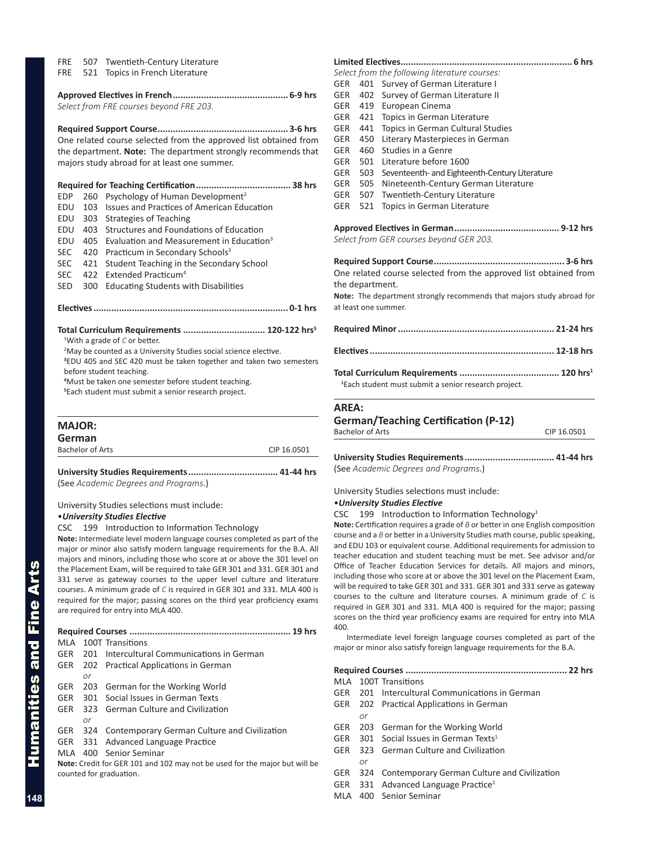|  |  | FRE 507 Twentieth-Century Literature |  |
|--|--|--------------------------------------|--|
|--|--|--------------------------------------|--|

FRE 521 Topics in French Literature

*Select from FRE courses beyond FRE 203.*

**Required Support Course................................................... 3-6 hrs** One related course selected from the approved list obtained from the department. **Note:** The department strongly recommends that majors study abroad for at least one summer.

### **Required for Teaching Certification..................................... 38 hrs**

- EDP 260 Psychology of Human Development<sup>2</sup>
- EDU 103 Issues and Practices of American Education
- EDU 303 Strategies of Teaching
- EDU 403 Structures and Foundations of Education
- EDU 405 Evaluation and Measurement in Education<sup>3</sup>
- SEC 420 Practicum in Secondary Schools<sup>3</sup>
- SEC 421 Student Teaching in the Secondary School
- SEC 422 Extended Practicum<sup>4</sup>
- SED 300 Educating Students with Disabilities

**Electives............................................................................ 0-1 hrs**

### **Total Curriculum Requirements ................................ 120-122 hrs5** 1 With a grade of *C* or better.

<sup>2</sup>May be counted as a University Studies social science elective.

**3** EDU 405 and SEC 420 must be taken together and taken two semesters before student teaching.

**4** Must be taken one semester before student teaching.

**5** Each student must submit a senior research project.

| <b>MAJOR:</b>           |             |
|-------------------------|-------------|
| German                  |             |
| <b>Bachelor of Arts</b> | CIP 16 0501 |

## **University Studies Requirements................................... 41-44 hrs** (See *Academic Degrees and Programs*.)

University Studies selections must include:

## •*University Studies Elective*

CSC 199 Introduction to Information Technology

**Note:** Intermediate level modern language courses completed as part of the major or minor also satisfy modern language requirements for the B.A. All majors and minors, including those who score at or above the 301 level on the Placement Exam, will be required to take GER 301 and 331. GER 301 and 331 serve as gateway courses to the upper level culture and literature courses. A minimum grade of *C* is required in GER 301 and 331. MLA 400 is required for the major; passing scores on the third year proficiency exams are required for entry into MLA 400.

| $19$ hrs   |    |                                                  |
|------------|----|--------------------------------------------------|
| MI A       |    | 100T Transitions                                 |
| GER        |    | 201 Intercultural Communications in German       |
|            |    | GER 202 Practical Applications in German         |
|            | or |                                                  |
|            |    | GER 203 German for the Working World             |
|            |    | GER 301 Social Issues in German Texts            |
| GER        |    | 323 German Culture and Civilization              |
|            | or |                                                  |
| <b>GER</b> |    | 324 Contemporary German Culture and Civilization |
|            |    | GER 331 Advanced Language Practice               |
|            |    | MLA 400 Senior Seminar                           |

**Note:** Credit for GER 101 and 102 may not be used for the major but will be counted for graduation.

## **Limited Electives................................................................... 6 hrs**

- *Select from the following literature courses:* GER 401 Survey of German Literature I GER 402 Survey of German Literature II
- GER 419 European Cinema
- GER 421 Topics in German Literature
- GER 441 Topics in German Cultural Studies
- GER 450 Literary Masterpieces in German
- GER 460 Studies in a Genre
- GER 501 Literature before 1600
- GER 503 Seventeenth- and Eighteenth-Century Literature
- GER 505 Nineteenth-Century German Literature
- GER 507 Twentieth-Century Literature
- GER 521 Topics in German Literature

## **Approved Electives in German......................................... 9-12 hrs** *Select from GER courses beyond GER 203.*

**Required Support Course................................................... 3-6 hrs** One related course selected from the approved list obtained from the department.

**Note:** The department strongly recommends that majors study abroad for at least one summer.

**1** Each student must submit a senior research project.

## **AREA:**

| <b>German/Teaching Certification (P-12)</b> |             |  |
|---------------------------------------------|-------------|--|
| Bachelor of Arts                            | CIP 16.0501 |  |
|                                             |             |  |

**University Studies Requirements................................... 41-44 hrs** (See *Academic Degrees and Programs*.)

## University Studies selections must include:

## •*University Studies Elective*

CSC 199 Introduction to Information Technology<sup>1</sup>

**Note:** Certification requires a grade of *B* or better in one English composition course and a *B* or better in a University Studies math course, public speaking, and EDU 103 or equivalent course. Additional requirements for admission to teacher education and student teaching must be met. See advisor and/or Office of Teacher Education Services for details. All majors and minors, including those who score at or above the 301 level on the Placement Exam, will be required to take GER 301 and 331. GER 301 and 331 serve as gateway courses to the culture and literature courses. A minimum grade of *C* is required in GER 301 and 331. MLA 400 is required for the major; passing scores on the third year proficiency exams are required for entry into MLA 400.

Intermediate level foreign language courses completed as part of the major or minor also satisfy foreign language requirements for the B.A.

### **Required Courses ............................................................... 22 hrs**

MLA 100T Transitions

- GER 201 Intercultural Communications in German
- GER 202 Practical Applications in German
	- *or*
- GER 203 German for the Working World
- GER 301 Social Issues in German Texts<sup>1</sup>
- GER 323 German Culture and Civilization *or*
- GER 324 Contemporary German Culture and Civilization
- GER 331 Advanced Language Practice<sup>1</sup>
- MLA 400 Senior Seminar

Humanities and Fine Arts

Humanities and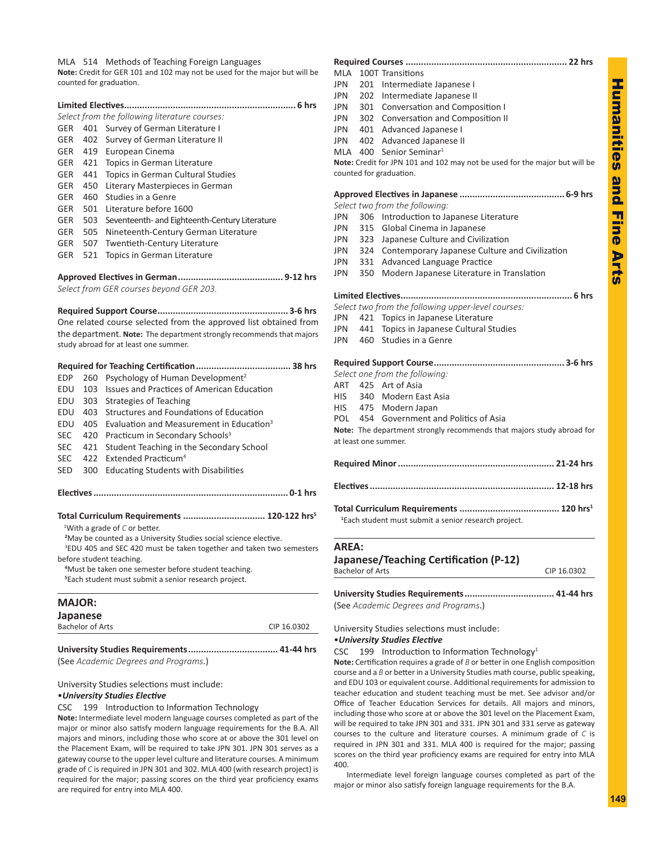MLA 514 Methods of Teaching Foreign Languages

**Note:** Credit for GER 101 and 102 may not be used for the major but will be counted for graduation.

| 6 hrs      |     |                                                |  |  |
|------------|-----|------------------------------------------------|--|--|
|            |     | Select from the following literature courses:  |  |  |
| <b>GER</b> | 401 | Survey of German Literature I                  |  |  |
| GER        | 402 | Survey of German Literature II                 |  |  |
| GER        | 419 | European Cinema                                |  |  |
| <b>GER</b> | 421 | Topics in German Literature                    |  |  |
| <b>GER</b> | 441 | Topics in German Cultural Studies              |  |  |
| <b>GER</b> | 450 | Literary Masterpieces in German                |  |  |
| <b>GER</b> | 460 | Studies in a Genre                             |  |  |
| <b>GER</b> | 501 | Literature before 1600                         |  |  |
| <b>GER</b> | 503 | Seventeenth- and Eighteenth-Century Literature |  |  |
| <b>GER</b> | 505 | Nineteenth-Century German Literature           |  |  |
| <b>GER</b> | 507 | <b>Twentieth-Century Literature</b>            |  |  |
| <b>GER</b> | 521 | Topics in German Literature                    |  |  |
|            |     |                                                |  |  |

## **Approved Electives in German......................................... 9-12 hrs**

*Select from GER courses beyond GER 203.*

**Required Support Course................................................... 3-6 hrs**

One related course selected from the approved list obtained from the department. **Note:** The department strongly recommends that majors study abroad for at least one summer.

| EDP        | 260 | Psychology of Human Development <sup>2</sup>                                    |
|------------|-----|---------------------------------------------------------------------------------|
| FDU        | 103 | Issues and Practices of American Education                                      |
| EDU        | 303 | Strategies of Teaching                                                          |
| FDU        | 403 | Structures and Foundations of Education                                         |
| EDU        | 405 | Evaluation and Measurement in Education <sup>3</sup>                            |
| <b>SEC</b> | 420 | Practicum in Secondary Schools <sup>3</sup>                                     |
| <b>SEC</b> | 421 | Student Teaching in the Secondary School                                        |
| <b>SEC</b> | 422 | Extended Practicum <sup>4</sup>                                                 |
| SED        | 300 | <b>Educating Students with Disabilities</b>                                     |
|            |     |                                                                                 |
|            |     |                                                                                 |
|            |     | Total Curriculum Requirements  120-122 hrs <sup>5</sup>                         |
|            |     | <sup>1</sup> With a grade of $C$ or better.                                     |
|            |     | <sup>2</sup> May be counted as a University Studies social science elective.    |
|            |     | <sup>3</sup> EDU 405 and SEC 420 must be taken together and taken two semesters |
|            |     | before student teaching.                                                        |
|            |     | <sup>4</sup> Must be taken one semester before student teaching.                |
|            |     | <sup>5</sup> Each student must submit a senior research project.                |

| <b>MAJOR:</b>           |             |
|-------------------------|-------------|
| Japanese                |             |
| <b>Bachelor of Arts</b> | CIP 16.0302 |
|                         |             |

**University Studies Requirements................................... 41-44 hrs** (See *Academic Degrees and Programs*.)

University Studies selections must include:

### •*University Studies Elective*

CSC 199 Introduction to Information Technology

**Note:** Intermediate level modern language courses completed as part of the major or minor also satisfy modern language requirements for the B.A. All majors and minors, including those who score at or above the 301 level on the Placement Exam, will be required to take JPN 301. JPN 301 serves as a gateway course to the upper level culture and literature courses. A minimum grade of *C* is required in JPN 301 and 302. MLA 400 (with research project) is required for the major; passing scores on the third year proficiency exams are required for entry into MLA 400.

## **Required Courses ............................................................... 22 hrs**

| MLA          |                         | 100T Transitions                                                                                      |             |
|--------------|-------------------------|-------------------------------------------------------------------------------------------------------|-------------|
| <b>JPN</b>   |                         | 201 Intermediate Japanese I                                                                           |             |
| JPN          |                         | 202 Intermediate Japanese II                                                                          |             |
| JPN          |                         | 301 Conversation and Composition I                                                                    |             |
|              |                         | JPN 302 Conversation and Composition II                                                               |             |
|              |                         | JPN 401 Advanced Japanese I                                                                           |             |
|              |                         | JPN 402 Advanced Japanese II                                                                          |             |
|              |                         | MLA $400$ Senior Seminar <sup>1</sup>                                                                 |             |
|              |                         | Note: Credit for JPN 101 and 102 may not be used for the major but will be<br>counted for graduation. |             |
|              |                         |                                                                                                       |             |
|              |                         | Select two from the following:                                                                        |             |
| <b>JPN</b>   |                         | 306 Introduction to Japanese Literature                                                               |             |
| JPN          |                         | 315 Global Cinema in Japanese                                                                         |             |
| JPN          |                         | 323 Japanese Culture and Civilization                                                                 |             |
| JPN          | 324                     | Contemporary Japanese Culture and Civilization                                                        |             |
| JPN          |                         | 331 Advanced Language Practice                                                                        |             |
| JPN          | 350                     | Modern Japanese Literature in Translation                                                             |             |
|              |                         |                                                                                                       |             |
|              |                         | Select two from the following upper-level courses:                                                    |             |
| JPN          |                         | 421 Topics in Japanese Literature                                                                     |             |
|              |                         | JPN 441 Topics in Japanese Cultural Studies                                                           |             |
|              |                         | JPN 460 Studies in a Genre                                                                            |             |
|              |                         |                                                                                                       |             |
|              |                         | Select one from the following:                                                                        |             |
|              |                         | ART 425 Art of Asia                                                                                   |             |
| HIS          |                         | 340 Modern East Asia                                                                                  |             |
|              |                         | HIS 475 Modern Japan                                                                                  |             |
|              |                         | POL 454 Government and Politics of Asia                                                               |             |
|              |                         | Note: The department strongly recommends that majors study abroad for                                 |             |
|              |                         | at least one summer.                                                                                  |             |
|              |                         |                                                                                                       |             |
|              |                         |                                                                                                       |             |
|              |                         |                                                                                                       |             |
|              |                         | <sup>1</sup> Each student must submit a senior research project.                                      |             |
| <b>AREA:</b> |                         |                                                                                                       |             |
|              |                         | Japanese/Teaching Certification (P-12)                                                                |             |
|              | <b>Bachelor of Arts</b> |                                                                                                       | CIP 16.0302 |
|              |                         |                                                                                                       |             |

## University Studies selections must include: •*University Studies Elective*

CSC 199 Introduction to Information Technology<sup>1</sup>

**Note:** Certification requires a grade of *B* or better in one English composition course and a *B* or better in a University Studies math course, public speaking, and EDU 103 or equivalent course. Additional requirements for admission to teacher education and student teaching must be met. See advisor and/or Office of Teacher Education Services for details. All majors and minors, including those who score at or above the 301 level on the Placement Exam, will be required to take JPN 301 and 331. JPN 301 and 331 serve as gateway courses to the culture and literature courses. A minimum grade of *C* is required in JPN 301 and 331. MLA 400 is required for the major; passing scores on the third year proficiency exams are required for entry into MLA 400.

Intermediate level foreign language courses completed as part of the major or minor also satisfy foreign language requirements for the B.A.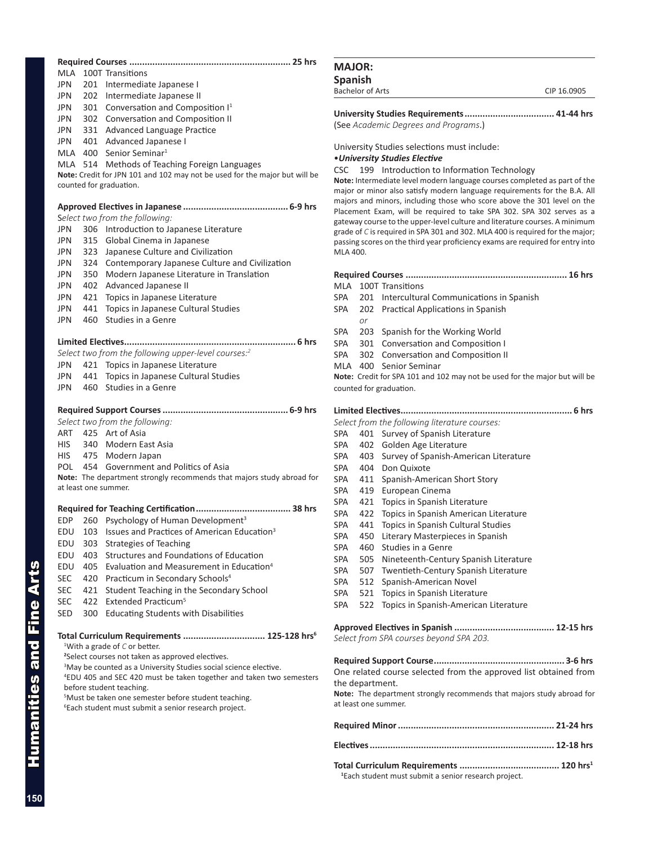| MLA        |     |                                                                                                                                                                                                                                                                                                                                                                                                                                                                                                               |
|------------|-----|---------------------------------------------------------------------------------------------------------------------------------------------------------------------------------------------------------------------------------------------------------------------------------------------------------------------------------------------------------------------------------------------------------------------------------------------------------------------------------------------------------------|
|            |     | 100T Transitions                                                                                                                                                                                                                                                                                                                                                                                                                                                                                              |
| JPN        |     | 201 Intermediate Japanese I                                                                                                                                                                                                                                                                                                                                                                                                                                                                                   |
| JPN        |     | 202 Intermediate Japanese II                                                                                                                                                                                                                                                                                                                                                                                                                                                                                  |
| JPN        |     | 301 Conversation and Composition I <sup>1</sup>                                                                                                                                                                                                                                                                                                                                                                                                                                                               |
| JPN        |     | 302 Conversation and Composition II                                                                                                                                                                                                                                                                                                                                                                                                                                                                           |
| JPN        |     | 331 Advanced Language Practice                                                                                                                                                                                                                                                                                                                                                                                                                                                                                |
| JPN        |     | 401 Advanced Japanese I                                                                                                                                                                                                                                                                                                                                                                                                                                                                                       |
|            |     | MLA 400 Senior Seminar <sup>1</sup>                                                                                                                                                                                                                                                                                                                                                                                                                                                                           |
|            |     | MLA 514 Methods of Teaching Foreign Languages                                                                                                                                                                                                                                                                                                                                                                                                                                                                 |
|            |     | Note: Credit for JPN 101 and 102 may not be used for the major but will be                                                                                                                                                                                                                                                                                                                                                                                                                                    |
|            |     | counted for graduation.                                                                                                                                                                                                                                                                                                                                                                                                                                                                                       |
|            |     |                                                                                                                                                                                                                                                                                                                                                                                                                                                                                                               |
|            |     | Select two from the following:                                                                                                                                                                                                                                                                                                                                                                                                                                                                                |
| <b>JPN</b> |     | 306 Introduction to Japanese Literature                                                                                                                                                                                                                                                                                                                                                                                                                                                                       |
| JPN        | 315 | Global Cinema in Japanese                                                                                                                                                                                                                                                                                                                                                                                                                                                                                     |
| JPN        | 323 | Japanese Culture and Civilization                                                                                                                                                                                                                                                                                                                                                                                                                                                                             |
| JPN        |     | 324 Contemporary Japanese Culture and Civilization                                                                                                                                                                                                                                                                                                                                                                                                                                                            |
| JPN        | 350 | Modern Japanese Literature in Translation                                                                                                                                                                                                                                                                                                                                                                                                                                                                     |
| JPN        | 402 | Advanced Japanese II                                                                                                                                                                                                                                                                                                                                                                                                                                                                                          |
| JPN        | 421 | Topics in Japanese Literature                                                                                                                                                                                                                                                                                                                                                                                                                                                                                 |
| JPN        | 441 | Topics in Japanese Cultural Studies                                                                                                                                                                                                                                                                                                                                                                                                                                                                           |
| JPN        | 460 | Studies in a Genre                                                                                                                                                                                                                                                                                                                                                                                                                                                                                            |
|            |     |                                                                                                                                                                                                                                                                                                                                                                                                                                                                                                               |
|            |     | Limited Electives<br>6 hrs<br>Select two from the following upper-level courses:2                                                                                                                                                                                                                                                                                                                                                                                                                             |
|            |     | 421 Topics in Japanese Literature                                                                                                                                                                                                                                                                                                                                                                                                                                                                             |
| JPN        |     | 441 Topics in Japanese Cultural Studies                                                                                                                                                                                                                                                                                                                                                                                                                                                                       |
| JPN        |     | 460 Studies in a Genre                                                                                                                                                                                                                                                                                                                                                                                                                                                                                        |
| JPN        |     |                                                                                                                                                                                                                                                                                                                                                                                                                                                                                                               |
|            |     |                                                                                                                                                                                                                                                                                                                                                                                                                                                                                                               |
|            |     | Select two from the following:                                                                                                                                                                                                                                                                                                                                                                                                                                                                                |
|            |     | ART 425 Art of Asia                                                                                                                                                                                                                                                                                                                                                                                                                                                                                           |
| HIS.       |     | 340 Modern East Asia                                                                                                                                                                                                                                                                                                                                                                                                                                                                                          |
|            |     |                                                                                                                                                                                                                                                                                                                                                                                                                                                                                                               |
| <b>HIS</b> |     | 475 Modern Japan                                                                                                                                                                                                                                                                                                                                                                                                                                                                                              |
|            |     | POL 454 Government and Politics of Asia                                                                                                                                                                                                                                                                                                                                                                                                                                                                       |
|            |     | Note: The department strongly recommends that majors study abroad for                                                                                                                                                                                                                                                                                                                                                                                                                                         |
|            |     | at least one summer.                                                                                                                                                                                                                                                                                                                                                                                                                                                                                          |
|            |     | Required for Teaching Certification<br>38 hrs                                                                                                                                                                                                                                                                                                                                                                                                                                                                 |
| EDP        |     | 260 Psychology of Human Development <sup>3</sup>                                                                                                                                                                                                                                                                                                                                                                                                                                                              |
|            |     | EDU 103 Issues and Practices of American Education <sup>3</sup>                                                                                                                                                                                                                                                                                                                                                                                                                                               |
| EDU        | 303 | <b>Strategies of Teaching</b>                                                                                                                                                                                                                                                                                                                                                                                                                                                                                 |
| EDU        |     | 403 Structures and Foundations of Education                                                                                                                                                                                                                                                                                                                                                                                                                                                                   |
| EDU        |     | 405 Evaluation and Measurement in Education <sup>4</sup>                                                                                                                                                                                                                                                                                                                                                                                                                                                      |
| <b>SEC</b> |     | 420 Practicum in Secondary Schools <sup>4</sup>                                                                                                                                                                                                                                                                                                                                                                                                                                                               |
| <b>SEC</b> | 421 | Student Teaching in the Secondary School                                                                                                                                                                                                                                                                                                                                                                                                                                                                      |
| <b>SEC</b> |     | 422 Extended Practicum <sup>5</sup>                                                                                                                                                                                                                                                                                                                                                                                                                                                                           |
| SED        |     | 300 Educating Students with Disabilities                                                                                                                                                                                                                                                                                                                                                                                                                                                                      |
|            |     | Total Curriculum Requirements  125-128 hrs <sup>6</sup><br><sup>1</sup> With a grade of $C$ or better.<br><sup>2</sup> Select courses not taken as approved electives.<br><sup>3</sup> May be counted as a University Studies social science elective.<br><sup>4</sup> EDU 405 and SEC 420 must be taken together and taken two semesters<br>before student teaching.<br><sup>5</sup> Must be taken one semester before student teaching.<br><sup>6</sup> Each student must submit a senior research project. |

## **MAJOR:**

**Spanish** Bachelor of Arts CIP 16.0905

**University Studies Requirements................................... 41-44 hrs**

(See *Academic Degrees and Programs*.)

University Studies selections must include:

## •*University Studies Elective*

CSC 199 Introduction to Information Technology

**Note:** Intermediate level modern language courses completed as part of the major or minor also satisfy modern language requirements for the B.A. All majors and minors, including those who score above the 301 level on the Placement Exam, will be required to take SPA 302. SPA 302 serves as a gateway course to the upper-level culture and literature courses. A minimum grade of *C* is required in SPA 301 and 302. MLA 400 is required for the major; passing scores on the third year proficiency exams are required for entry into MLA 400.

## **Required Courses ............................................................... 16 hrs**

- MLA 100T Transitions
- SPA 201 Intercultural Communications in Spanish
- SPA 202 Practical Applications in Spanish
- *or*
- SPA 203 Spanish for the Working World
- SPA 301 Conversation and Composition I
- SPA 302 Conversation and Composition II
- MLA 400 Senior Seminar

**Note:** Credit for SPA 101 and 102 may not be used for the major but will be counted for graduation.

## **Limited Electives................................................................... 6 hrs**

- *Select from the following literature courses:*
- SPA 401 Survey of Spanish Literature
- SPA 402 Golden Age Literature
- SPA 403 Survey of Spanish-American Literature
- SPA 404 Don Quixote
- SPA 411 Spanish-American Short Story
- SPA 419 European Cinema
- SPA 421 Topics in Spanish Literature
- SPA 422 Topics in Spanish American Literature
- SPA 441 Topics in Spanish Cultural Studies
- SPA 450 Literary Masterpieces in Spanish
- SPA 460 Studies in a Genre
- SPA 505 Nineteenth-Century Spanish Literature
- SPA 507 Twentieth-Century Spanish Literature
- SPA 512 Spanish-American Novel
- SPA 521 Topics in Spanish Literature
- SPA 522 Topics in Spanish-American Literature

**Approved Electives in Spanish ....................................... 12-15 hrs** *Select from SPA courses beyond SPA 203.*

**Required Support Course................................................... 3-6 hrs** One related course selected from the approved list obtained from the department.

**Note:** The department strongly recommends that majors study abroad for at least one summer.

**1** Each student must submit a senior research project.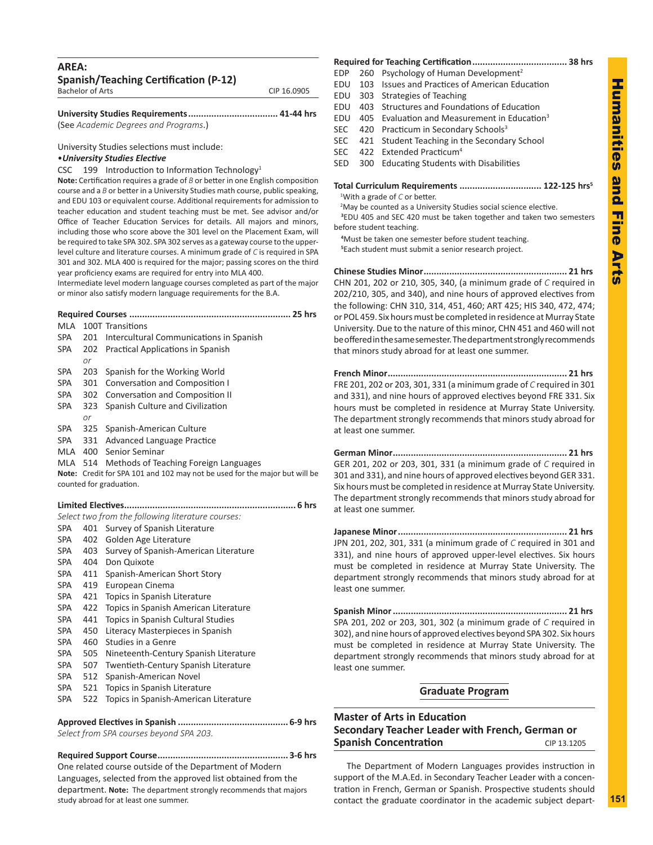| AREA:<br><b>Spanish/Teaching Certification (P-12)</b> |             |
|-------------------------------------------------------|-------------|
| <b>Bachelor of Arts</b>                               | CIP 16.0905 |
|                                                       |             |

| University Studies Requirements 41-44 hrs |  |
|-------------------------------------------|--|
| (See Academic Degrees and Programs.)      |  |

University Studies selections must include: •*University Studies Elective*

CSC 199 Introduction to Information Technology<sup>1</sup>

**Note:** Certification requires a grade of *B* or better in one English composition course and a *B* or better in a University Studies math course, public speaking, and EDU 103 or equivalent course. Additional requirements for admission to teacher education and student teaching must be met. See advisor and/or Office of Teacher Education Services for details. All majors and minors, including those who score above the 301 level on the Placement Exam, will be required to take SPA 302. SPA 302 serves as a gateway course to the upperlevel culture and literature courses. A minimum grade of *C* is required in SPA 301 and 302. MLA 400 is required for the major; passing scores on the third year proficiency exams are required for entry into MLA 400.

Intermediate level modern language courses completed as part of the major or minor also satisfy modern language requirements for the B.A.

**Required Courses ............................................................... 25 hrs**

| MLA        |           | 100T Transitions                                                           |
|------------|-----------|----------------------------------------------------------------------------|
| <b>SPA</b> | 201       | Intercultural Communications in Spanish                                    |
| <b>SPA</b> | 202       | <b>Practical Applications in Spanish</b>                                   |
|            | or        |                                                                            |
| <b>SPA</b> | 203       | Spanish for the Working World                                              |
| <b>SPA</b> | 301       | <b>Conversation and Composition I</b>                                      |
| SPA        | 302       | Conversation and Composition II                                            |
| <b>SPA</b> | 323<br>or | Spanish Culture and Civilization                                           |
| <b>SPA</b> | 325       | Spanish-American Culture                                                   |
| SPA        | 331       | <b>Advanced Language Practice</b>                                          |
| MLA        | 400       | Senior Seminar                                                             |
| MLA 514    |           | Methods of Teaching Foreign Languages                                      |
|            |           | Note: Credit for SPA 101 and 102 may not be used for the major but will be |
|            |           | counted for graduation.                                                    |
|            |           |                                                                            |
|            |           |                                                                            |
|            |           | Select two from the following literature courses:                          |
| <b>SPA</b> | 401       | Survey of Spanish Literature                                               |
| SPA        | 402       | Golden Age Literature                                                      |
| <b>SPA</b> | 403       | Survey of Spanish-American Literature                                      |
| <b>SPA</b> | 404       | Don Quixote                                                                |
| <b>SPA</b> | 411       | Spanish-American Short Story                                               |
| <b>SPA</b> | 419       | European Cinema                                                            |
| <b>SPA</b> | 421       | Topics in Spanish Literature                                               |
| <b>SPA</b> | 422       | Topics in Spanish American Literature                                      |
| <b>SPA</b> | 441       | Topics in Spanish Cultural Studies                                         |
| <b>SPA</b> | 450       | Literacy Masterpieces in Spanish                                           |
| <b>SPA</b> | 460       | Studies in a Genre                                                         |
| <b>SPA</b> | 505       | Nineteenth-Century Spanish Literature                                      |
| <b>SPA</b> | 507       | Twentieth-Century Spanish Literature                                       |
| <b>SPA</b> | 512       | Spanish-American Novel                                                     |
| <b>SPA</b> | 521       | Topics in Spanish Literature                                               |

SPA 522 Topics in Spanish-American Literature

**Approved Electives in Spanish ........................................... 6-9 hrs** *Select from SPA courses beyond SPA 203.*

## **Required Support Course................................................... 3-6 hrs** One related course outside of the Department of Modern Languages, selected from the approved list obtained from the department. **Note:** The department strongly recommends that majors study abroad for at least one summer.

## **Required for Teaching Certification..................................... 38 hrs**

- EDP 260 Psychology of Human Development<sup>2</sup>
- EDU 103 Issues and Practices of American Education
- EDU 303 Strategies of Teaching
- EDU 403 Structures and Foundations of Education
- EDU 405 Evaluation and Measurement in Education<sup>3</sup>
- SEC 420 Practicum in Secondary Schools<sup>3</sup>
- SEC 421 Student Teaching in the Secondary School
- SEC 422 Extended Practicum<sup>4</sup>
- SED 300 Educating Students with Disabilities

**Total Curriculum Requirements ................................ 122-125 hrs5**

1 With a grade of *C* or better.

<sup>2</sup>May be counted as a University Studies social science elective. **3** EDU 405 and SEC 420 must be taken together and taken two semesters before student teaching.

**4** Must be taken one semester before student teaching.

**5** Each student must submit a senior research project.

**Chinese Studies Minor........................................................ 21 hrs** CHN 201, 202 or 210, 305, 340, (a minimum grade of *C* required in 202/210, 305, and 340), and nine hours of approved electives from the following: CHN 310, 314, 451, 460; ART 425; HIS 340, 472, 474; or POL 459. Six hours must be completed in residence at Murray State University. Due to the nature of this minor, CHN 451 and 460 will not be offered in the same semester. The department strongly recommends that minors study abroad for at least one summer.

**French Minor...................................................................... 21 hrs** FRE 201, 202 or 203, 301, 331 (a minimum grade of *C* required in 301 and 331), and nine hours of approved electives beyond FRE 331. Six hours must be completed in residence at Murray State University. The department strongly recommends that minors study abroad for at least one summer.

**German Minor.................................................................... 21 hrs** GER 201, 202 or 203, 301, 331 (a minimum grade of *C* required in 301 and 331), and nine hours of approved electives beyond GER 331. Six hours must be completed in residence at Murray State University. The department strongly recommends that minors study abroad for at least one summer.

**Japanese Minor.................................................................. 21 hrs** JPN 201, 202, 301, 331 (a minimum grade of *C* required in 301 and 331), and nine hours of approved upper-level electives. Six hours must be completed in residence at Murray State University. The department strongly recommends that minors study abroad for at least one summer.

**Spanish Minor.................................................................... 21 hrs** SPA 201, 202 or 203, 301, 302 (a minimum grade of *C* required in 302), and nine hours of approved electives beyond SPA 302. Six hours must be completed in residence at Murray State University. The department strongly recommends that minors study abroad for at least one summer.

## **Graduate Program**

## **Master of Arts in Education Secondary Teacher Leader with French, German or Spanish Concentration** CIP 13.1205

The Department of Modern Languages provides instruction in support of the M.A.Ed. in Secondary Teacher Leader with a concentration in French, German or Spanish. Prospective students should contact the graduate coordinator in the academic subject depart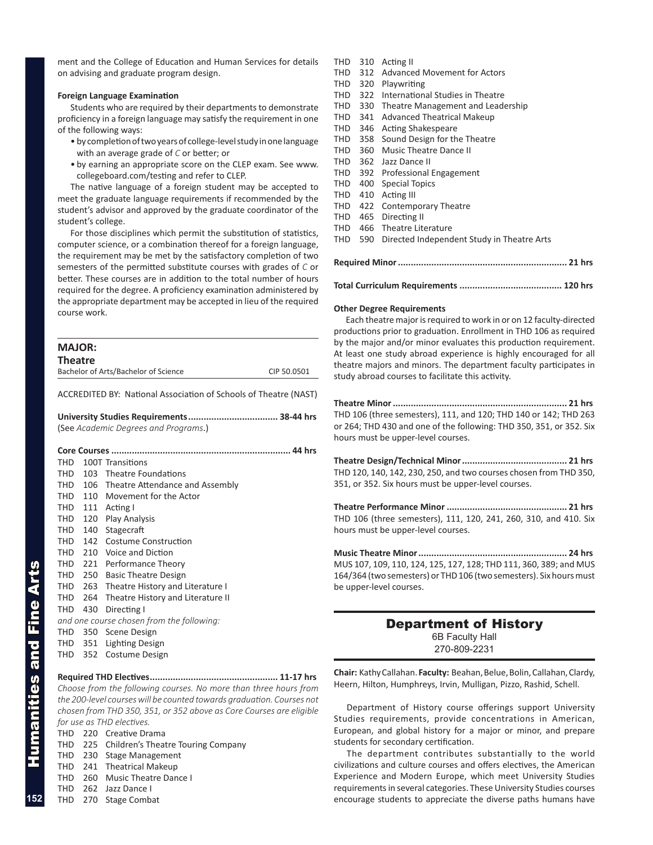ment and the College of Education and Human Services for details on advising and graduate program design.

## **Foreign Language Examination**

Students who are required by their departments to demonstrate proficiency in a foreign language may satisfy the requirement in one of the following ways:

- by completion of two years of college-level study in one language with an average grade of *C* or better; or
- by earning an appropriate score on the CLEP exam. See www. collegeboard.com/testing and refer to CLEP.

The native language of a foreign student may be accepted to meet the graduate language requirements if recommended by the student's advisor and approved by the graduate coordinator of the student's college.

For those disciplines which permit the substitution of statistics, computer science, or a combination thereof for a foreign language, the requirement may be met by the satisfactory completion of two semesters of the permitted substitute courses with grades of *C* or better. These courses are in addition to the total number of hours required for the degree. A proficiency examination administered by the appropriate department may be accepted in lieu of the required course work.

| <b>MAJOR:</b><br><b>Theatre</b> |     |                                                                  |             |
|---------------------------------|-----|------------------------------------------------------------------|-------------|
|                                 |     | Bachelor of Arts/Bachelor of Science                             | CIP 50.0501 |
|                                 |     | ACCREDITED BY: National Association of Schools of Theatre (NAST) |             |
|                                 |     |                                                                  |             |
|                                 |     | (See Academic Degrees and Programs.)                             |             |
|                                 |     |                                                                  |             |
|                                 |     |                                                                  |             |
| THD                             |     | 100T Transitions                                                 |             |
| THD                             |     | 103 Theatre Foundations                                          |             |
| THD                             |     | 106 Theatre Attendance and Assembly                              |             |
| THD                             |     | 110 Movement for the Actor                                       |             |
| THD                             | 111 | Acting I                                                         |             |
| THD                             |     | 120 Play Analysis                                                |             |
| <b>THD</b>                      | 140 | Stagecraft                                                       |             |
| THD                             | 142 | Costume Construction                                             |             |
| THD                             |     | 210 Voice and Diction                                            |             |
| THD                             |     | 221 Performance Theory                                           |             |
| <b>THD</b>                      |     | 250 Basic Theatre Design                                         |             |
| THD                             | 263 | Theatre History and Literature I                                 |             |
| THD                             | 264 | Theatre History and Literature II                                |             |
| <b>THD</b>                      | 430 | Directing I                                                      |             |
|                                 |     | and one course chosen from the following:                        |             |
|                                 |     | THD 350 Scene Design                                             |             |
| THD                             | 351 | Lighting Design                                                  |             |
| THD                             | 352 | Costume Design                                                   |             |

#### **Required THD Electives.................................................. 11-17 hrs**

*Choose from the following courses. No more than three hours from the 200-level courseswill be counted towards graduation. Courses not chosen from THD 350, 351, or 352 above as Core Courses are eligible for use as THD electives.*

THD 220 Creative Drama

Humanities and Fine Arts

manities and Fine Arts

**152**

- THD 225 Children's Theatre Touring Company
- THD 230 Stage Management
- THD 241 Theatrical Makeup
- THD 260 Music Theatre Dance I
- THD 262 Jazz Dance I
- THD 270 Stage Combat
- THD 310 Acting II
- THD 312 Advanced Movement for Actors
- THD 320 Playwriting
- THD 322 International Studies in Theatre
- THD 330 Theatre Management and Leadership
- THD 341 Advanced Theatrical Makeup
- THD 346 Acting Shakespeare
- THD 358 Sound Design for the Theatre
- THD 360 Music Theatre Dance II
- THD 362 Jazz Dance II
- THD 392 Professional Engagement
- THD 400 Special Topics
- THD 410 Acting III
- THD 422 Contemporary Theatre
- THD 465 Directing II
- THD 466 Theatre Literature
- THD 590 Directed Independent Study in Theatre Arts
- **Required Minor.................................................................. 21 hrs**
- **Total Curriculum Requirements ........................................ 120 hrs**

#### **Other Degree Requirements**

Each theatre major is required to work in or on 12 faculty-directed productions prior to graduation. Enrollment in THD 106 as required by the major and/or minor evaluates this production requirement. At least one study abroad experience is highly encouraged for all theatre majors and minors. The department faculty participates in study abroad courses to facilitate this activity.

**Theatre Minor.................................................................... 21 hrs** THD 106 (three semesters), 111, and 120; THD 140 or 142; THD 263 or 264; THD 430 and one of the following: THD 350, 351, or 352. Six hours must be upper-level courses.

**Theatre Design/Technical Minor......................................... 21 hrs** THD 120, 140, 142, 230, 250, and two courses chosen from THD 350, 351, or 352. Six hours must be upper-level courses.

**Theatre Performance Minor ............................................... 21 hrs** THD 106 (three semesters), 111, 120, 241, 260, 310, and 410. Six hours must be upper-level courses.

**Music Theatre Minor.......................................................... 24 hrs** MUS 107, 109, 110, 124, 125, 127, 128; THD 111, 360, 389; and MUS 164/364 (two semesters) or THD 106 (two semesters). Six hours must be upper-level courses.

## Department of History 6B Faculty Hall 270-809-2231

**Chair:** Kathy Callahan. **Faculty:** Beahan, Belue, Bolin, Callahan, Clardy, Heern, Hilton, Humphreys, Irvin, Mulligan, Pizzo, Rashid, Schell.

Department of History course offerings support University Studies requirements, provide concentrations in American, European, and global history for a major or minor, and prepare students for secondary certification.

The department contributes substantially to the world civilizations and culture courses and offers electives, the American Experience and Modern Europe, which meet University Studies requirements in several categories. These University Studies courses encourage students to appreciate the diverse paths humans have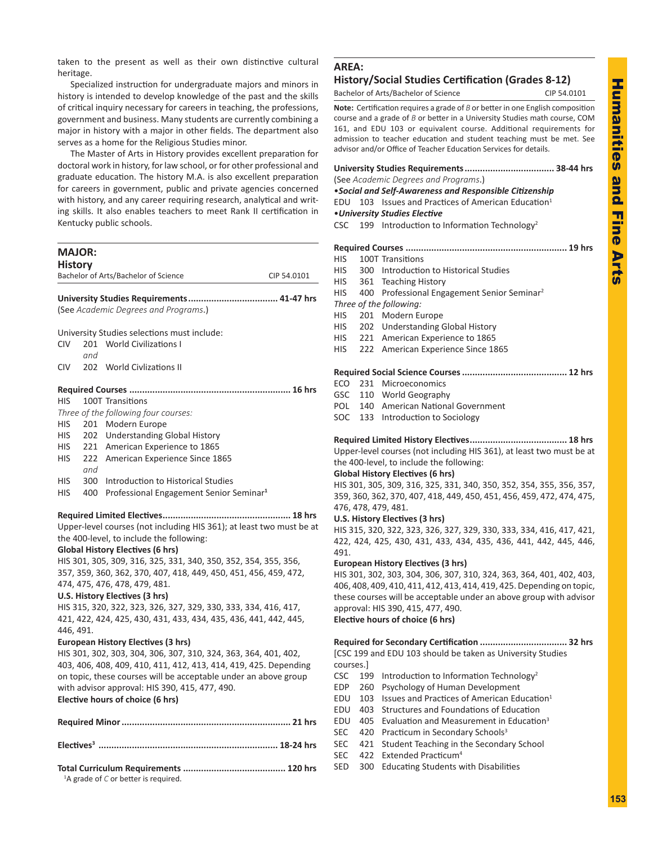taken to the present as well as their own distinctive cultural heritage.

Specialized instruction for undergraduate majors and minors in history is intended to develop knowledge of the past and the skills of critical inquiry necessary for careers in teaching, the professions, government and business. Many students are currently combining a major in history with a major in other fields. The department also serves as a home for the Religious Studies minor.

The Master of Arts in History provides excellent preparation for doctoral work in history, for law school, or for other professional and graduate education. The history M.A. is also excellent preparation for careers in government, public and private agencies concerned with history, and any career requiring research, analytical and writing skills. It also enables teachers to meet Rank II certification in Kentucky public schools.

## **MAJOR: History** Bachelor of Arts/Bachelor of Science CIP 54.0101 **University Studies Requirements................................... 41-47 hrs** (See *Academic Degrees and Programs*.) University Studies selections must include: CIV 201 World Civilizations I *and* CIV 202 World Civlizations II **Required Courses ............................................................... 16 hrs** HIS 100T Transitions *Three of the following four courses:* HIS 201 Modern Europe HIS 202 Understanding Global History HIS 221 American Experience to 1865 HIS 222 American Experience Since 1865 *and* HIS 300 Introduction to Historical Studies HIS 400 Professional Engagement Senior Seminar**<sup>1</sup> Required Limited Electives.................................................. 18 hrs** Upper-level courses (not including HIS 361); at least two must be at the 400-level, to include the following: **Global History Electives (6 hrs)** HIS 301, 305, 309, 316, 325, 331, 340, 350, 352, 354, 355, 356, 357, 359, 360, 362, 370, 407, 418, 449, 450, 451, 456, 459, 472, 474, 475, 476, 478, 479, 481. **U.S. History Electives (3 hrs)** HIS 315, 320, 322, 323, 326, 327, 329, 330, 333, 334, 416, 417, 421, 422, 424, 425, 430, 431, 433, 434, 435, 436, 441, 442, 445, 446, 491. **European History Electives (3 hrs)** HIS 301, 302, 303, 304, 306, 307, 310, 324, 363, 364, 401, 402, 403, 406, 408, 409, 410, 411, 412, 413, 414, 419, 425. Depending on topic, these courses will be acceptable under an above group with advisor approval: HIS 390, 415, 477, 490. **Elective hours of choice (6 hrs) Required Minor.................................................................. 21 hrs Electives<sup>3</sup> ...................................................................... 18-24 hrs**

| $1\Delta$ arade of C or hetter is required |  |
|--------------------------------------------|--|

<sup>1</sup>A grade of *C* or better is required.

## **AREA:**

## **History/Social Studies Certification (Grades 8-12)**

Bachelor of Arts/Bachelor of Science CIP 54.0101

**Note:** Certification requires a grade of *B* or better in one English composition course and a grade of *B* or better in a University Studies math course, COM 161, and EDU 103 or equivalent course. Additional requirements for admission to teacher education and student teaching must be met. See advisor and/or Office of Teacher Education Services for details.

|            | (See Academic Degrees and Programs.) |                                                                 |  |  |  |  |
|------------|--------------------------------------|-----------------------------------------------------------------|--|--|--|--|
|            |                                      | • Social and Self-Awareness and Responsible Citizenship         |  |  |  |  |
|            |                                      | EDU 103 Issues and Practices of American Education <sup>1</sup> |  |  |  |  |
|            |                                      | • University Studies Elective                                   |  |  |  |  |
| <b>CSC</b> |                                      | 199 Introduction to Information Technology <sup>2</sup>         |  |  |  |  |
|            |                                      |                                                                 |  |  |  |  |
|            |                                      |                                                                 |  |  |  |  |
| <b>HIS</b> |                                      | 100T Transitions                                                |  |  |  |  |
| <b>HIS</b> |                                      | 300 Introduction to Historical Studies                          |  |  |  |  |
| <b>HIS</b> |                                      | 361 Teaching History                                            |  |  |  |  |
| HIS.       |                                      | 400 Professional Engagement Senior Seminar <sup>2</sup>         |  |  |  |  |
|            |                                      | Three of the following:                                         |  |  |  |  |
| HIS F      |                                      | 201 Modern Europe                                               |  |  |  |  |
| <b>HIS</b> |                                      | 202 Understanding Global History                                |  |  |  |  |
| <b>HIS</b> |                                      | 221 American Experience to 1865                                 |  |  |  |  |
| HIS.       |                                      | 222 American Experience Since 1865                              |  |  |  |  |
|            |                                      |                                                                 |  |  |  |  |
|            |                                      |                                                                 |  |  |  |  |
| ECO        |                                      | 231 Microeconomics                                              |  |  |  |  |
|            |                                      | GSC 110 World Geography                                         |  |  |  |  |
| POL        |                                      | 140 American National Government                                |  |  |  |  |
| SOC        | 133                                  | Introduction to Sociology                                       |  |  |  |  |

**Required Limited History Electives...................................... 18 hrs** Upper-level courses (not including HIS 361), at least two must be at the 400-level, to include the following:

### **Global History Electives (6 hrs)**

HIS 301, 305, 309, 316, 325, 331, 340, 350, 352, 354, 355, 356, 357, 359, 360, 362, 370, 407, 418, 449, 450, 451, 456, 459, 472, 474, 475, 476, 478, 479, 481.

### **U.S. History Electives (3 hrs)**

HIS 315, 320, 322, 323, 326, 327, 329, 330, 333, 334, 416, 417, 421, 422, 424, 425, 430, 431, 433, 434, 435, 436, 441, 442, 445, 446, 491.

### **European History Electives (3 hrs)**

HIS 301, 302, 303, 304, 306, 307, 310, 324, 363, 364, 401, 402, 403, 406, 408, 409, 410, 411, 412, 413, 414, 419, 425. Depending on topic, these courses will be acceptable under an above group with advisor approval: HIS 390, 415, 477, 490. **Elective hours of choice (6 hrs)**

## **Required for Secondary Certification .................................. 32 hrs**

[CSC 199 and EDU 103 should be taken as University Studies courses.]

- CSC 199 Introduction to Information Technology<sup>2</sup>
- EDP 260 Psychology of Human Development
- EDU 103 Issues and Practices of American Education<sup>1</sup>
- EDU 403 Structures and Foundations of Education
- EDU 405 Evaluation and Measurement in Education<sup>3</sup>
- SEC 420 Practicum in Secondary Schools<sup>3</sup>
- SEC 421 Student Teaching in the Secondary School
- SEC 422 Extended Practicum<sup>4</sup>
- SED 300 Educating Students with Disabilities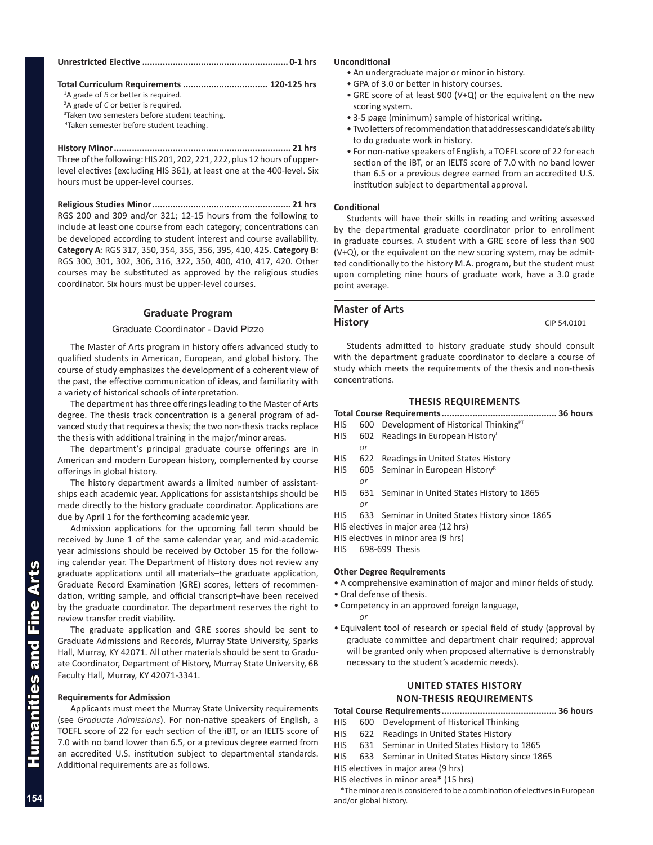## **Total Curriculum Requirements ................................. 120-125 hrs**

<sup>1</sup>A grade of *B* or better is required.

- <sup>2</sup>A grade of *C* or better is required.<br><sup>3</sup>Taken two semesters hefore stude
- <sup>3</sup>Taken two semesters before student teaching.
- 4Taken semester before student teaching.

**History Minor..................................................................... 21 hrs** Three of the following: HIS 201, 202, 221, 222, plus 12 hours of upperlevel electives (excluding HIS 361), at least one at the 400-level. Six hours must be upper-level courses.

**Religious Studies Minor...................................................... 21 hrs** RGS 200 and 309 and/or 321; 12-15 hours from the following to include at least one course from each category; concentrations can be developed according to student interest and course availability. **Category A**: RGS 317, 350, 354, 355, 356, 395, 410, 425. **Category B**: RGS 300, 301, 302, 306, 316, 322, 350, 400, 410, 417, 420. Other courses may be substituted as approved by the religious studies coordinator. Six hours must be upper-level courses.

## **Graduate Program**

## Graduate Coordinator - David Pizzo

The Master of Arts program in history offers advanced study to qualified students in American, European, and global history. The course of study emphasizes the development of a coherent view of the past, the effective communication of ideas, and familiarity with a variety of historical schools of interpretation.

The department has three offerings leading to the Master of Arts degree. The thesis track concentration is a general program of advanced study that requires a thesis; the two non-thesis tracks replace the thesis with additional training in the major/minor areas.

The department's principal graduate course offerings are in American and modern European history, complemented by course offerings in global history.

The history department awards a limited number of assistantships each academic year. Applications for assistantships should be made directly to the history graduate coordinator. Applications are due by April 1 for the forthcoming academic year.

Admission applications for the upcoming fall term should be received by June 1 of the same calendar year, and mid-academic year admissions should be received by October 15 for the following calendar year. The Department of History does not review any graduate applications until all materials–the graduate application, Graduate Record Examination (GRE) scores, letters of recommendation, writing sample, and official transcript–have been received by the graduate coordinator. The department reserves the right to review transfer credit viability.

The graduate application and GRE scores should be sent to Graduate Admissions and Records, Murray State University, Sparks Hall, Murray, KY 42071. All other materials should be sent to Graduate Coordinator, Department of History, Murray State University, 6B Faculty Hall, Murray, KY 42071-3341.

### **Requirements for Admission**

Applicants must meet the Murray State University requirements (see *Graduate Admissions*). For non-native speakers of English, a TOEFL score of 22 for each section of the iBT, or an IELTS score of 7.0 with no band lower than 6.5, or a previous degree earned from an accredited U.S. institution subject to departmental standards. Additional requirements are as follows.

### **Unconditional**

- An undergraduate major or minor in history.
- GPA of 3.0 or better in history courses.
- GRE score of at least 900 (V+Q) or the equivalent on the new scoring system.
- 3-5 page (minimum) sample of historical writing.
- Two letters of recommendation that addresses candidate's ability to do graduate work in history.
- For non-native speakers of English, a TOEFL score of 22 for each section of the iBT, or an IELTS score of 7.0 with no band lower than 6.5 or a previous degree earned from an accredited U.S. institution subject to departmental approval.

#### **Conditional**

Students will have their skills in reading and writing assessed by the departmental graduate coordinator prior to enrollment in graduate courses. A student with a GRE score of less than 900 (V+Q), or the equivalent on the new scoring system, may be admitted conditionally to the history M.A. program, but the student must upon completing nine hours of graduate work, have a 3.0 grade point average.

| <b>Master of Arts</b> |             |
|-----------------------|-------------|
| <b>History</b>        | CIP 54.0101 |
|                       |             |

Students admitted to history graduate study should consult with the department graduate coordinator to declare a course of study which meets the requirements of the thesis and non-thesis concentrations.

## **THESIS REQUIREMENTS**

|                  |    | $HIS$ 600 Development of Historical Thinking <sup>PT</sup> |  |  |  |  |
|------------------|----|------------------------------------------------------------|--|--|--|--|
|                  |    | HIS 602 Readings in European History                       |  |  |  |  |
|                  | or |                                                            |  |  |  |  |
|                  |    | HIS 622 Readings in United States History                  |  |  |  |  |
| 110 <sup>o</sup> |    | COF Constitution Constitution R                            |  |  |  |  |

- HIS 605 Seminar in European History
	- *or*
- HIS 631 Seminar in United States History to 1865 *or*
- HIS 633 Seminar in United States History since 1865
- HIS electives in major area (12 hrs)

HIS electives in minor area (9 hrs)

HIS 698-699 Thesis

### **Other Degree Requirements**

- A comprehensive examination of major and minor fields of study.
- Oral defense of thesis.

*or*

- Competency in an approved foreign language,
- Equivalent tool of research or special field of study (approval by graduate committee and department chair required; approval will be granted only when proposed alternative is demonstrably necessary to the student's academic needs).

## **UNITED STATES HISTORY NON-THESIS REQUIREMENTS**

**Total Course Requirements............................................. 36 hours**

- HIS 600 Development of Historical Thinking
- HIS 622 Readings in United States History
- HIS 631 Seminar in United States History to 1865
- HIS 633 Seminar in United States History since 1865

HIS electives in major area (9 hrs)

HIS electives in minor area\* (15 hrs)

\*The minor area is considered to be a combination of electives in European and/or global history.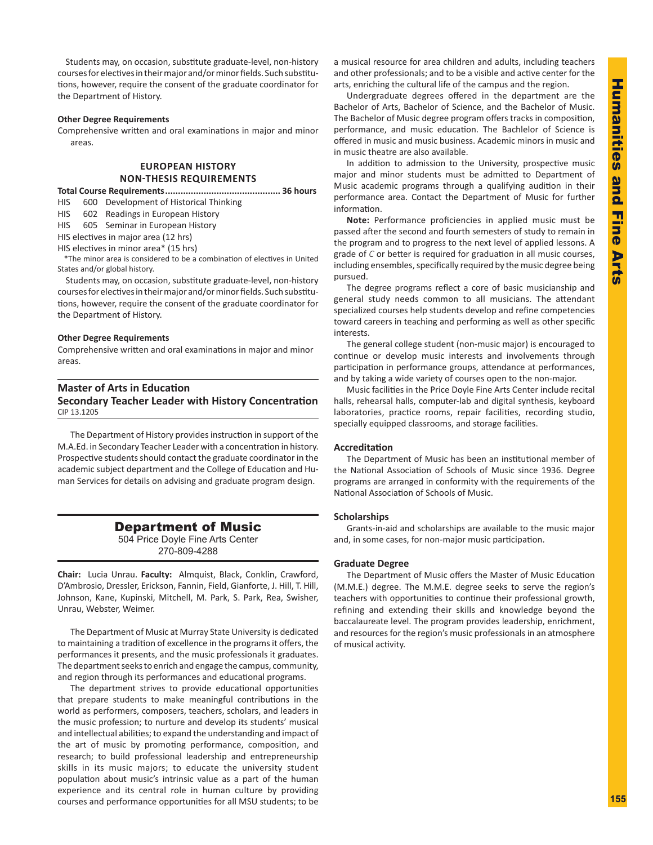Students may, on occasion, substitute graduate-level, non-history courses for electives in their major and/or minor fields. Such substitutions, however, require the consent of the graduate coordinator for the Department of History.

### **Other Degree Requirements**

Comprehensive written and oral examinations in major and minor areas.

## **EUROPEAN HISTORY NON-THESIS REQUIREMENTS**

**Total Course Requirements............................................. 36 hours**

HIS 600 Development of Historical Thinking

HIS 602 Readings in European History

HIS 605 Seminar in European History

HIS electives in major area (12 hrs)

HIS electives in minor area\* (15 hrs)

\*The minor area is considered to be a combination of electives in United States and/or global history.

 Students may, on occasion, substitute graduate-level, non-history courses for electives in their major and/or minor fields. Such substitutions, however, require the consent of the graduate coordinator for the Department of History.

#### **Other Degree Requirements**

Comprehensive written and oral examinations in major and minor areas.

## **Master of Arts in Education**

**Secondary Teacher Leader with History Concentration**  CIP 13.1205

The Department of History provides instruction in support of the M.A.Ed. in Secondary Teacher Leader with a concentration in history. Prospective students should contact the graduate coordinator in the academic subject department and the College of Education and Human Services for details on advising and graduate program design.

## Department of Music

504 Price Doyle Fine Arts Center 270-809-4288

**Chair:** Lucia Unrau. **Faculty:** Almquist, Black, Conklin, Crawford, D'Ambrosio, Dressler, Erickson, Fannin, Field, Gianforte, J. Hill, T. Hill, Johnson, Kane, Kupinski, Mitchell, M. Park, S. Park, Rea, Swisher, Unrau, Webster, Weimer.

The Department of Music at Murray State University is dedicated to maintaining a tradition of excellence in the programs it offers, the performances it presents, and the music professionals it graduates. The department seeks to enrich and engage the campus, community, and region through its performances and educational programs.

The department strives to provide educational opportunities that prepare students to make meaningful contributions in the world as performers, composers, teachers, scholars, and leaders in the music profession; to nurture and develop its students' musical and intellectual abilities; to expand the understanding and impact of the art of music by promoting performance, composition, and research; to build professional leadership and entrepreneurship skills in its music majors; to educate the university student population about music's intrinsic value as a part of the human experience and its central role in human culture by providing courses and performance opportunities for all MSU students; to be a musical resource for area children and adults, including teachers and other professionals; and to be a visible and active center for the arts, enriching the cultural life of the campus and the region.

Undergraduate degrees offered in the department are the Bachelor of Arts, Bachelor of Science, and the Bachelor of Music. The Bachelor of Music degree program offers tracks in composition, performance, and music education. The Bachlelor of Science is offered in music and music business. Academic minors in music and in music theatre are also available.

In addition to admission to the University, prospective music major and minor students must be admitted to Department of Music academic programs through a qualifying audition in their performance area. Contact the Department of Music for further information.

**Note:** Performance proficiencies in applied music must be passed after the second and fourth semesters of study to remain in the program and to progress to the next level of applied lessons. A grade of *C* or better is required for graduation in all music courses, including ensembles, specifically required by the music degree being pursued.

The degree programs reflect a core of basic musicianship and general study needs common to all musicians. The attendant specialized courses help students develop and refine competencies toward careers in teaching and performing as well as other specific interests.

The general college student (non-music major) is encouraged to continue or develop music interests and involvements through participation in performance groups, attendance at performances, and by taking a wide variety of courses open to the non-major.

Music facilities in the Price Doyle Fine Arts Center include recital halls, rehearsal halls, computer-lab and digital synthesis, keyboard laboratories, practice rooms, repair facilities, recording studio, specially equipped classrooms, and storage facilities.

## **Accreditation**

The Department of Music has been an institutional member of the National Association of Schools of Music since 1936. Degree programs are arranged in conformity with the requirements of the National Association of Schools of Music.

## **Scholarships**

Grants-in-aid and scholarships are available to the music major and, in some cases, for non-major music participation.

### **Graduate Degree**

The Department of Music offers the Master of Music Education (M.M.E.) degree. The M.M.E. degree seeks to serve the region's teachers with opportunities to continue their professional growth, refining and extending their skills and knowledge beyond the baccalaureate level. The program provides leadership, enrichment, and resources for the region's music professionals in an atmosphere of musical activity.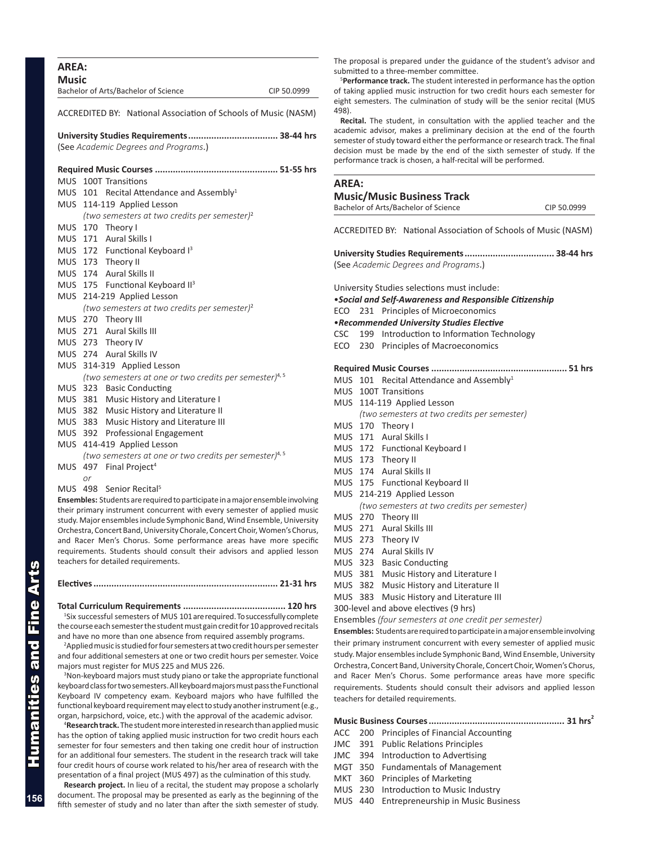| Music      |    | Bachelor of Arts/Bachelor of Science                                                                                                             | CIP 50.0999 |
|------------|----|--------------------------------------------------------------------------------------------------------------------------------------------------|-------------|
|            |    | ACCREDITED BY: National Association of Schools of Music (NASM)                                                                                   |             |
|            |    | University Studies Requirements 38-44 hrs<br>(See Academic Degrees and Programs.)                                                                |             |
|            |    |                                                                                                                                                  |             |
| <b>MUS</b> |    | 100T Transitions                                                                                                                                 |             |
|            |    | MUS 101 Recital Attendance and Assembly <sup>1</sup>                                                                                             |             |
| MUS        |    | 114-119 Applied Lesson                                                                                                                           |             |
|            |    | (two semesters at two credits per semester) <sup>2</sup>                                                                                         |             |
|            |    | MUS 170 Theory I                                                                                                                                 |             |
|            |    | MUS 171 Aural Skills I                                                                                                                           |             |
|            |    | MUS 172 Functional Keyboard I <sup>3</sup>                                                                                                       |             |
|            |    | MUS 173 Theory II                                                                                                                                |             |
|            |    | MUS 174 Aural Skills II                                                                                                                          |             |
|            |    | MUS 175 Functional Keyboard II <sup>3</sup>                                                                                                      |             |
|            |    | MUS 214-219 Applied Lesson                                                                                                                       |             |
|            |    | (two semesters at two credits per semester) <sup>2</sup>                                                                                         |             |
|            |    | MUS 270 Theory III                                                                                                                               |             |
|            |    | MUS 271 Aural Skills III                                                                                                                         |             |
|            |    | MUS 273 Theory IV                                                                                                                                |             |
|            |    | MUS 274 Aural Skills IV                                                                                                                          |             |
|            |    | MUS 314-319 Applied Lesson                                                                                                                       |             |
|            |    | (two semesters at one or two credits per semester) <sup>4, 5</sup>                                                                               |             |
|            |    | MUS 323 Basic Conducting                                                                                                                         |             |
|            |    | MUS 381 Music History and Literature I                                                                                                           |             |
|            |    | MUS 382 Music History and Literature II                                                                                                          |             |
|            |    | MUS 383 Music History and Literature III                                                                                                         |             |
|            |    | MUS 392 Professional Engagement                                                                                                                  |             |
|            |    | MUS 414-419 Applied Lesson                                                                                                                       |             |
|            |    | (two semesters at one or two credits per semester) <sup>4, 5</sup>                                                                               |             |
|            |    | MUS 497 Final Project <sup>4</sup>                                                                                                               |             |
|            | or |                                                                                                                                                  |             |
| MUS 498    |    | Senior Recital <sup>5</sup>                                                                                                                      |             |
|            |    | Ensembles: Students are required to participate in a major ensemble involving                                                                    |             |
|            |    | their primary instrument concurrent with every semester of applied music                                                                         |             |
|            |    | study. Major ensembles include Symphonic Band, Wind Ensemble, University                                                                         |             |
|            |    | Orchestra, Concert Band, University Chorale, Concert Choir, Women's Chorus,<br>and Racer Men's Chorus. Some performance areas have more specific |             |

**Electives........................................................................ 21-31 hrs**

teachers for detailed requirements.

requirements. Students should consult their advisors and applied lesson

## **Total Curriculum Requirements ........................................ 120 hrs**

<sup>1</sup>Six successful semesters of MUS 101 are required. To successfully complete the course each semester the student must gain credit for 10 approved recitals and have no more than one absence from required assembly programs.

2 Applied music is studied for four semesters at two credit hours per semester and four additional semesters at one or two credit hours per semester. Voice majors must register for MUS 225 and MUS 226.

<sup>3</sup>Non-keyboard majors must study piano or take the appropriate functional keyboard class for two semesters. All keyboard majors must pass the Functional Keyboard IV competency exam. Keyboard majors who have fulfilled the functional keyboard requirement may elect to study another instrument (e.g., organ, harpsichord, voice, etc.) with the approval of the academic advisor.

4 **Research track.** The student more interested in research than applied music has the option of taking applied music instruction for two credit hours each semester for four semesters and then taking one credit hour of instruction for an additional four semesters. The student in the research track will take four credit hours of course work related to his/her area of research with the presentation of a final project (MUS 497) as the culmination of this study.

**Research project.** In lieu of a recital, the student may propose a scholarly document. The proposal may be presented as early as the beginning of the fifth semester of study and no later than after the sixth semester of study.

The proposal is prepared under the guidance of the student's advisor and submitted to a three-member committee.

5 **Performance track.** The student interested in performance has the option of taking applied music instruction for two credit hours each semester for eight semesters. The culmination of study will be the senior recital (MUS 498).

**Recital.** The student, in consultation with the applied teacher and the academic advisor, makes a preliminary decision at the end of the fourth semester of study toward either the performance or research track. The final decision must be made by the end of the sixth semester of study. If the performance track is chosen, a half-recital will be performed.

## **AREA:**

### **Music/Music Business Track**

Bachelor of Arts/Bachelor of Science CIP 50.0999

ACCREDITED BY: National Association of Schools of Music (NASM)

**University Studies Requirements................................... 38-44 hrs** (See *Academic Degrees and Programs*.)

University Studies selections must include:

•*Social and Self-Awareness and Responsible Citizenship*

ECO 231 Principles of Microeconomics

•*Recommended University Studies Elective*

- CSC 199 Introduction to Information Technology
- ECO 230 Principles of Macroeconomics

#### **Required Music Courses ..................................................... 51 hrs**

|  | MUS $101$ Recital Attendance and Assembly <sup>1</sup> |
|--|--------------------------------------------------------|

- MUS 100T Transitions
- MUS 114-119 Applied Lesson
	- *(two semesters at two credits per semester)*
- MUS 170 Theory I
- MUS 171 Aural Skills I
- MUS 172 Functional Keyboard I
- MUS 173 Theory II
- MUS 174 Aural Skills II
- MUS 175 Functional Keyboard II
- MUS 214-219 Applied Lesson
	- *(two semesters at two credits per semester)*
- MUS 270 Theory III
- MUS 271 Aural Skills III
- MUS 273 Theory IV
- MUS 274 Aural Skills IV
- MUS 323 Basic Conducting
- MUS 381 Music History and Literature I
- MUS 382 Music History and Literature II
- MUS 383 Music History and Literature III

300-level and above electives (9 hrs)

Ensembles *(four semesters at one credit per semester)*

**Ensembles:** Students are required to participate in a major ensemble involving their primary instrument concurrent with every semester of applied music study. Major ensembles include Symphonic Band, Wind Ensemble, University Orchestra, Concert Band, University Chorale, Concert Choir, Women's Chorus, and Racer Men's Chorus. Some performance areas have more specific requirements. Students should consult their advisors and applied lesson teachers for detailed requirements.

**Music Business Courses..................................................... 31 hrs2**

- ACC 200 Principles of Financial Accounting
- JMC 391 Public Relations Principles
- JMC 394 Introduction to Advertising
- MGT 350 Fundamentals of Management
- MKT 360 Principles of Marketing
- MUS 230 Introduction to Music Industry
- MUS 440 Entrepreneurship in Music Business

Humanities and Fine Arts umanities and Fine

**156**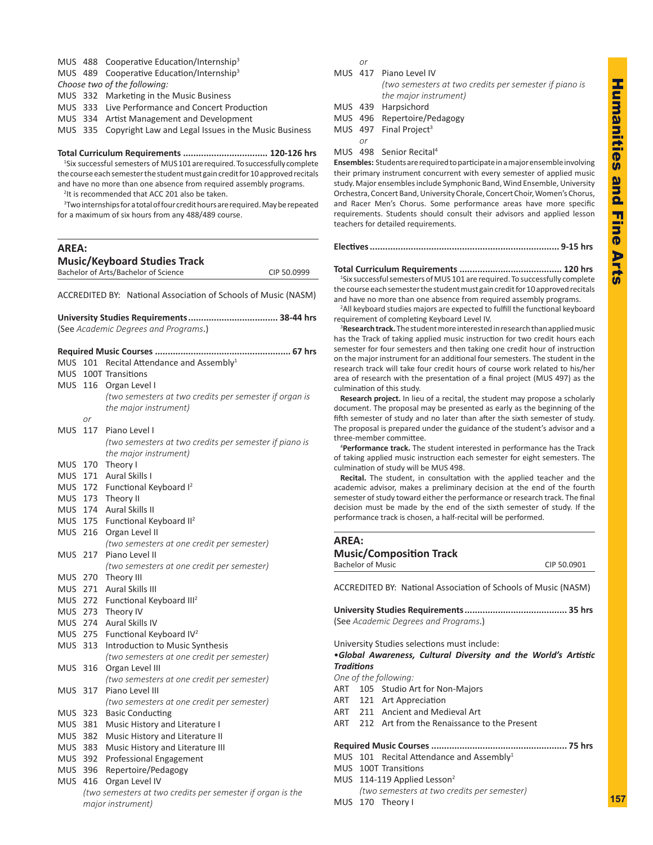## MUS 488 Cooperative Education/Internship<sup>3</sup>

MUS 489 Cooperative Education/Internship<sup>3</sup>

*Choose two of the following:*

MUS 332 Marketing in the Music Business

MUS 333 Live Performance and Concert Production

MUS 334 Artist Management and Development

MUS 335 Copyright Law and Legal Issues in the Music Business

## **Total Curriculum Requirements ................................. 120-126 hrs**

<sup>1</sup>Six successful semesters of MUS101 are required. To successfully complete the course each semester the student must gain credit for 10 approved recitals and have no more than one absence from required assembly programs.

<sup>2</sup>It is recommended that ACC 201 also be taken.

<sup>3</sup> Two internships for a total of four credit hours are required. May be repeated for a maximum of six hours from any 488/489 course.

| AREA:                                |             |
|--------------------------------------|-------------|
| <b>Music/Keyboard Studies Track</b>  |             |
| Bachelor of Arts/Bachelor of Science | CIP 50.0999 |

ACCREDITED BY: National Association of Schools of Music (NASM)

|            |     | (See Academic Degrees and Programs.)                       |
|------------|-----|------------------------------------------------------------|
|            |     |                                                            |
| <b>MUS</b> | 101 | Recital Attendance and Assembly <sup>1</sup>               |
| <b>MUS</b> |     | 100T Transitions                                           |
|            |     | MUS 116 Organ Level I                                      |
|            |     | (two semesters at two credits per semester if organ is     |
|            |     | the major instrument)                                      |
|            | or  |                                                            |
| <b>MUS</b> | 117 | Piano Level I                                              |
|            |     | (two semesters at two credits per semester if piano is     |
|            |     | the major instrument)                                      |
| <b>MUS</b> |     | 170 Theory I                                               |
| <b>MUS</b> | 171 | Aural Skills I                                             |
| <b>MUS</b> |     | 172 Functional Keyboard I <sup>2</sup>                     |
| MUS.       | 173 | Theory II                                                  |
| MUS.       | 174 | <b>Aural Skills II</b>                                     |
| <b>MUS</b> |     | 175 Functional Keyboard II <sup>2</sup>                    |
| MUS        | 216 | Organ Level II                                             |
|            |     | (two semesters at one credit per semester)                 |
| <b>MUS</b> | 217 | Piano Level II                                             |
|            |     | (two semesters at one credit per semester)                 |
| <b>MUS</b> | 270 | Theory III                                                 |
| <b>MUS</b> | 271 | <b>Aural Skills III</b>                                    |
| MUS        | 272 | Functional Keyboard III <sup>2</sup>                       |
|            |     | MUS 273 Theory IV                                          |
| MUS 274    |     | <b>Aural Skills IV</b>                                     |
|            |     | MUS 275 Functional Keyboard IV <sup>2</sup>                |
| MUS 313    |     | Introduction to Music Synthesis                            |
|            |     | (two semesters at one credit per semester)                 |
| MUS 316    |     | Organ Level III                                            |
|            |     | (two semesters at one credit per semester)                 |
| <b>MUS</b> | 317 | Piano Level III                                            |
|            |     | (two semesters at one credit per semester)                 |
| <b>MUS</b> | 323 | <b>Basic Conducting</b>                                    |
| <b>MUS</b> | 381 | Music History and Literature I                             |
| <b>MUS</b> | 382 | Music History and Literature II                            |
| <b>MUS</b> | 383 | Music History and Literature III                           |
| <b>MUS</b> |     | 392 Professional Engagement                                |
| <b>MUS</b> | 396 | Repertoire/Pedagogy                                        |
| <b>MUS</b> | 416 | Organ Level IV                                             |
|            |     | (two semesters at two credits per semester if organ is the |
|            |     | major instrument)                                          |
|            |     |                                                            |

*or* 

- MUS 417 Piano Level IV *(two semesters at two credits per semester if piano is the major instrument)*
- MUS 439 Harpsichord

MUS 496 Repertoire/Pedagogy

- MUS  $497$  Final Project<sup>3</sup>
	- *or*
- MUS 498 Senior Recital<sup>4</sup>

**Ensembles:** Students are required to participate in a major ensemble involving their primary instrument concurrent with every semester of applied music study. Major ensembles include Symphonic Band, Wind Ensemble, University Orchestra, Concert Band, University Chorale, Concert Choir, Women's Chorus, and Racer Men's Chorus. Some performance areas have more specific requirements. Students should consult their advisors and applied lesson teachers for detailed requirements.

### **Electives.......................................................................... 9-15 hrs**

**Total Curriculum Requirements ........................................ 120 hrs** 1 Six successful semesters of MUS 101 are required. To successfully complete the course each semester the student must gain credit for 10 approved recitals and have no more than one absence from required assembly programs.

<sup>2</sup>All keyboard studies majors are expected to fulfill the functional keyboard requirement of completing Keyboard Level IV.

3 **Research track.** The student more interested in research than applied music has the Track of taking applied music instruction for two credit hours each semester for four semesters and then taking one credit hour of instruction on the major instrument for an additional four semesters. The student in the research track will take four credit hours of course work related to his/her area of research with the presentation of a final project (MUS 497) as the culmination of this study.

**Research project.** In lieu of a recital, the student may propose a scholarly document. The proposal may be presented as early as the beginning of the fifth semester of study and no later than after the sixth semester of study. The proposal is prepared under the guidance of the student's advisor and a three-member committee.

4 **Performance track.** The student interested in performance has the Track of taking applied music instruction each semester for eight semesters. The culmination of study will be MUS 498.

**Recital.** The student, in consultation with the applied teacher and the academic advisor, makes a preliminary decision at the end of the fourth semester of study toward either the performance or research track. The final decision must be made by the end of the sixth semester of study. If the performance track is chosen, a half-recital will be performed.

| <b>AREA:</b>      |                          | <b>Music/Composition Track</b>                                 |             |
|-------------------|--------------------------|----------------------------------------------------------------|-------------|
|                   | <b>Bachelor of Music</b> |                                                                | CIP 50.0901 |
|                   |                          | ACCREDITED BY: National Association of Schools of Music (NASM) |             |
|                   |                          |                                                                |             |
|                   |                          | (See Academic Degrees and Programs.)                           |             |
|                   |                          | University Studies selections must include:                    |             |
|                   |                          | .Global Awareness, Cultural Diversity and the World's Artistic |             |
| <b>Traditions</b> |                          |                                                                |             |
|                   |                          | One of the following:                                          |             |
|                   |                          | ART 105 Studio Art for Non-Majors                              |             |
|                   |                          | ART 121 Art Appreciation                                       |             |
|                   |                          | ART 211 Ancient and Medieval Art                               |             |
|                   |                          | ART 212 Art from the Renaissance to the Present                |             |
|                   |                          |                                                                |             |
|                   |                          | MUS 101 Recital Attendance and Assembly <sup>1</sup>           |             |
|                   |                          | MUS 100T Transitions                                           |             |
|                   |                          | MUS 114-119 Applied Lesson <sup>2</sup>                        |             |
|                   |                          | (two semesters at two credits per semester)                    |             |
| MUS               |                          | 170 Theory I                                                   |             |
|                   |                          |                                                                |             |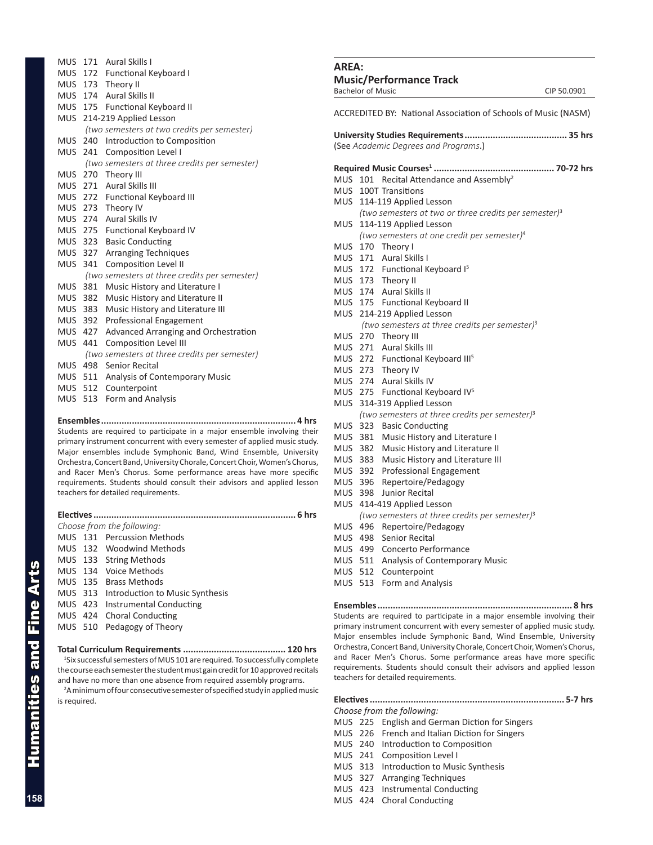|         | MUS 171 Aural Skills I                        |
|---------|-----------------------------------------------|
|         | MUS 172 Functional Keyboard I                 |
|         | MUS 173 Theory II                             |
|         | MUS 174 Aural Skills II                       |
|         | MUS 175 Functional Keyboard II                |
|         | MUS 214-219 Applied Lesson                    |
|         | (two semesters at two credits per semester)   |
| MUS 240 | Introduction to Composition                   |
|         | MUS 241 Composition Level I                   |
|         | (two semesters at three credits per semester) |
|         | MUS 270 Theory III                            |
|         | MUS 271 Aural Skills III                      |
|         | MUS 272 Functional Keyboard III               |
| MUS 273 | Theory IV                                     |
|         | MUS 274 Aural Skills IV                       |
|         | MUS 275 Functional Keyboard IV                |
|         | MUS 323 Basic Conducting                      |
| MUS 327 | <b>Arranging Techniques</b>                   |
| MUS 341 | <b>Composition Level II</b>                   |
|         | (two semesters at three credits per semester) |
| MUS 381 | Music History and Literature I                |
| MUS 382 | Music History and Literature II               |
| MUS 383 | Music History and Literature III              |
| MUS 392 | Professional Engagement                       |
| MUS 427 | Advanced Arranging and Orchestration          |
| MUS 441 | <b>Composition Level III</b>                  |
|         | (two semesters at three credits per semester) |
| MUS 498 | <b>Senior Recital</b>                         |
| MUS 511 | <b>Analysis of Contemporary Music</b>         |
| MUS 512 | Counterpoint                                  |
| MUS 513 | Form and Analysis                             |

**Ensembles............................................................................ 4 hrs** Students are required to participate in a major ensemble involving their primary instrument concurrent with every semester of applied music study. Major ensembles include Symphonic Band, Wind Ensemble, University Orchestra, Concert Band, University Chorale, Concert Choir, Women's Chorus, and Racer Men's Chorus. Some performance areas have more specific requirements. Students should consult their advisors and applied lesson teachers for detailed requirements.

| <b>Electives</b> | 6 hrs                                   |
|------------------|-----------------------------------------|
|                  | Choose from the following:              |
|                  | MUS 131 Percussion Methods              |
|                  | MUS 132 Woodwind Methods                |
|                  | MUS 133 String Methods                  |
|                  | MUS 134 Voice Methods                   |
|                  | MUS 135 Brass Methods                   |
|                  | MUS 313 Introduction to Music Synthesis |
|                  | MUS 423 Instrumental Conducting         |
|                  | MUS 424 Choral Conducting               |
|                  | MUS 510 Pedagogy of Theory              |
|                  |                                         |
|                  |                                         |

**Total Curriculum Requirements ........................................ 120 hrs** <sup>1</sup>Six successful semesters of MUS 101 are required. To successfully complete the course each semester the student must gain credit for 10 approved recitals and have no more than one absence from required assembly programs.

<sup>2</sup>A minimum of four consecutive semester of specified study in applied music is required.

## **AREA: Music/Performance Track** Bachelor of Music CIP 50.0901 ACCREDITED BY: National Association of Schools of Music (NASM) **University Studies Requirements........................................ 35 hrs** (See *Academic Degrees and Programs*.) **Required Music Courses1 ............................................... 70-72 hrs** MUS 101 Recital Attendance and Assembly<sup>2</sup> MUS 100T Transitions MUS 114-119 Applied Lesson *(two semesters at two or three credits per semester)*<sup>3</sup> MUS 114-119 Applied Lesson *(two semesters at one credit per semester)*<sup>4</sup> MUS 170 Theory I MUS 171 Aural Skills I MUS 172 Functional Keyboard I<sup>5</sup> MUS 173 Theory II MUS 174 Aural Skills II MUS 175 Functional Keyboard II MUS 214-219 Applied Lesson *(two semesters at three credits per semester)*<sup>3</sup> MUS 270 Theory III MUS 271 Aural Skills III MUS 272 Functional Keyboard III<sup>5</sup> MUS 273 Theory IV MUS 274 Aural Skills IV MUS 275 Functional Keyboard IV<sup>5</sup> MUS 314-319 Applied Lesson *(two semesters at three credits per semester)*<sup>3</sup> MUS 323 Basic Conducting MUS 381 Music History and Literature I MUS 382 Music History and Literature II MUS 383 Music History and Literature III MUS 392 Professional Engagement MUS 396 Repertoire/Pedagogy MUS 398 Junior Recital MUS 414-419 Applied Lesson *(two semesters at three credits per semester)*<sup>3</sup> MUS 496 Repertoire/Pedagogy

- MUS 498 Senior Recital
- MUS 499 Concerto Performance
- MUS 511 Analysis of Contemporary Music
- MUS 512 Counterpoint
- MUS 513 Form and Analysis

**Ensembles............................................................................ 8 hrs** Students are required to participate in a major ensemble involving their primary instrument concurrent with every semester of applied music study. Major ensembles include Symphonic Band, Wind Ensemble, University Orchestra, Concert Band, University Chorale, Concert Choir, Women's Chorus, and Racer Men's Chorus. Some performance areas have more specific requirements. Students should consult their advisors and applied lesson teachers for detailed requirements.

### **Electives............................................................................ 5-7 hrs** *Choose from the following:*

- MUS 225 English and German Diction for Singers
- MUS 226 French and Italian Diction for Singers
- MUS 240 Introduction to Composition
- MUS 241 Composition Level I
- MUS 313 Introduction to Music Synthesis
- MUS 327 Arranging Techniques
- MUS 423 Instrumental Conducting
- MUS 424 Choral Conducting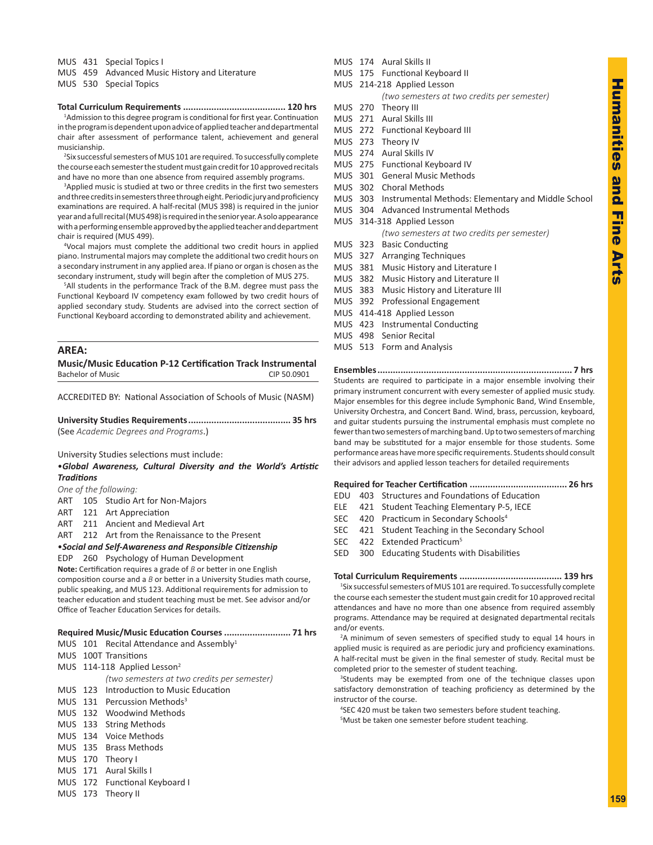MUS 431 Special Topics I

MUS 459 Advanced Music History and Literature

MUS 530 Special Topics

### **Total Curriculum Requirements ........................................ 120 hrs**

<sup>1</sup>Admission to this degree program is conditional for first year. Continuation in the program is dependent upon advice of applied teacher and departmental chair after assessment of performance talent, achievement and general musicianship.

<sup>2</sup>Six successful semesters of MUS 101 are required. To successfully complete the course each semester the student must gain credit for 10 approved recitals and have no more than one absence from required assembly programs.

<sup>3</sup>Applied music is studied at two or three credits in the first two semesters and three credits in semesters three through eight. Periodic jury and proficiency examinations are required. A half-recital (MUS 398) is required in the junior year and a full recital (MUS 498) is required in the senior year. A solo appearance with a performing ensemble approved by the applied teacher and department chair is required (MUS 499).

4 Vocal majors must complete the additional two credit hours in applied piano. Instrumental majors may complete the additional two credit hours on a secondary instrument in any applied area. If piano or organ is chosen as the secondary instrument, study will begin after the completion of MUS 275.

5 All students in the performance Track of the B.M. degree must pass the Functional Keyboard IV competency exam followed by two credit hours of applied secondary study. Students are advised into the correct section of Functional Keyboard according to demonstrated ability and achievement.

## **AREA:**

**Music/Music Education P-12 Certification Track Instrumental** Bachelor of Music CIP 50.0901

ACCREDITED BY: National Association of Schools of Music (NASM)

**University Studies Requirements........................................ 35 hrs** (See *Academic Degrees and Programs*.)

University Studies selections must include:

•*Global Awareness, Cultural Diversity and the World's Artistic Traditions*

*One of the following:*

- ART 105 Studio Art for Non-Majors
- ART 121 Art Appreciation
- ART 211 Ancient and Medieval Art
- ART 212 Art from the Renaissance to the Present

## •*Social and Self-Awareness and Responsible Citizenship*

EDP 260 Psychology of Human Development

**Note:** Certification requires a grade of *B* or better in one English composition course and a *B* or better in a University Studies math course, public speaking, and MUS 123. Additional requirements for admission to teacher education and student teaching must be met. See advisor and/or Office of Teacher Education Services for details.

## **Required Music/Music Education Courses .......................... 71 hrs**

- MUS 101 Recital Attendance and Assembly<sup>1</sup>
- MUS 100T Transitions
- MUS 114-118 Applied Lesson<sup>2</sup>

 *(two semesters at two credits per semester)*

- MUS 123 Introduction to Music Education
- MUS 131 Percussion Methods<sup>3</sup>
- MUS 132 Woodwind Methods
- MUS 133 String Methods
- MUS 134 Voice Methods
- MUS 135 Brass Methods
- MUS 170 Theory I
- MUS 171 Aural Skills I
- MUS 172 Functional Keyboard I
- MUS 173 Theory II
- MUS 174 Aural Skills II
- MUS 175 Functional Keyboard II MUS 214-218 Applied Lesson
	- *(two semesters at two credits per semester)*
- MUS 270 Theory III
- MUS 271 Aural Skills III
- MUS 272 Functional Keyboard III
- MUS 273 Theory IV
- MUS 274 Aural Skills IV
- MUS 275 Functional Keyboard IV
- MUS 301 General Music Methods
- MUS 302 Choral Methods
- MUS 303 Instrumental Methods: Elementary and Middle School
- MUS 304 Advanced Instrumental Methods
- MUS 314-318 Applied Lesson *(two semesters at two credits per semester)*
- MUS 323 Basic Conducting
- MUS 327 Arranging Techniques
- MUS 381 Music History and Literature I
- MUS 382 Music History and Literature II
- MUS 383 Music History and Literature III
- MUS 392 Professional Engagement
- MUS 414-418 Applied Lesson
- MUS 423 Instrumental Conducting
- MUS 498 Senior Recital
- MUS 513 Form and Analysis

**Ensembles............................................................................ 7 hrs** Students are required to participate in a major ensemble involving their primary instrument concurrent with every semester of applied music study. Major ensembles for this degree include Symphonic Band, Wind Ensemble, University Orchestra, and Concert Band. Wind, brass, percussion, keyboard, and guitar students pursuing the instrumental emphasis must complete no fewer than two semesters of marching band. Up to two semesters of marching band may be substituted for a major ensemble for those students. Some performance areas have more specific requirements. Students should consult their advisors and applied lesson teachers for detailed requirements

## **Required for Teacher Certification ...................................... 26 hrs**

- EDU 403 Structures and Foundations of Education
- ELE 421 Student Teaching Elementary P-5, IECE
- SEC 420 Practicum in Secondary Schools<sup>4</sup>
- SEC 421 Student Teaching in the Secondary School
- SEC 422 Extended Practicum<sup>5</sup>
- SED 300 Educating Students with Disabilities

**Total Curriculum Requirements ........................................ 139 hrs** 1 Six successful semesters of MUS 101 are required. To successfully complete the course each semester the student must gain credit for 10 approved recital attendances and have no more than one absence from required assembly programs. Attendance may be required at designated departmental recitals

and/or events. <sup>2</sup>A minimum of seven semesters of specified study to equal 14 hours in applied music is required as are periodic jury and proficiency examinations. A half-recital must be given in the final semester of study. Recital must be completed prior to the semester of student teaching.

<sup>3</sup>Students may be exempted from one of the technique classes upon satisfactory demonstration of teaching proficiency as determined by the instructor of the course.

4 SEC 420 must be taken two semesters before student teaching. 5 Must be taken one semester before student teaching.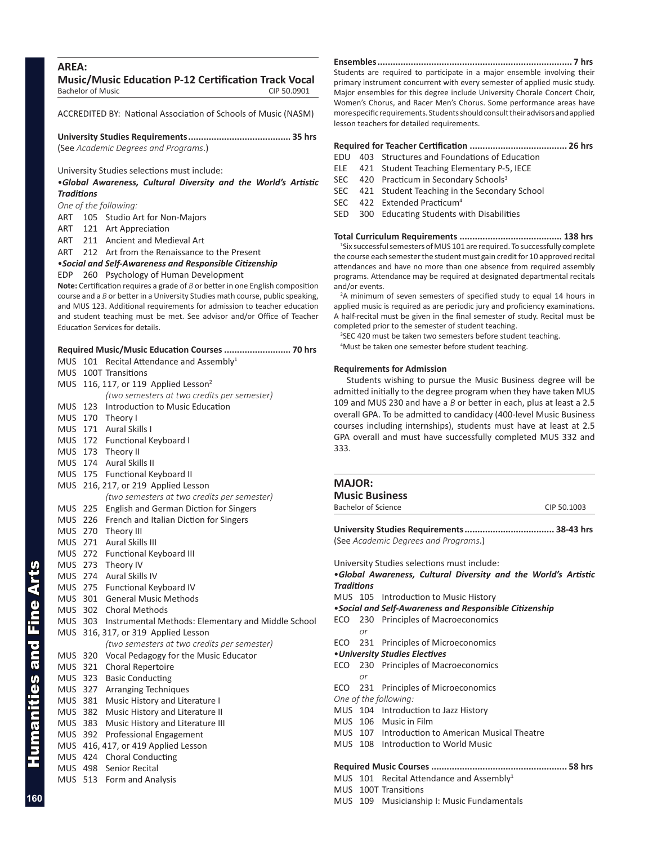## **AREA:**

**Music/Music Education P-12 Certification Track Vocal** Bachelor of Music CIP 50.0901

ACCREDITED BY: National Association of Schools of Music (NASM)

**University Studies Requirements........................................ 35 hrs** (See *Academic Degrees and Programs*.)

University Studies selections must include:

•*Global Awareness, Cultural Diversity and the World's Artistic Traditions*

## *One of the following:*

- ART 105 Studio Art for Non-Majors
- ART 121 Art Appreciation
- ART 211 Ancient and Medieval Art
- ART 212 Art from the Renaissance to the Present

•*Social and Self-Awareness and Responsible Citizenship*

### EDP 260 Psychology of Human Development

**Note:** Certification requires a grade of *B* or better in one English composition course and a *B* or better in a University Studies math course, public speaking, and MUS 123. Additional requirements for admission to teacher education and student teaching must be met. See advisor and/or Office of Teacher Education Services for details.

## **Required Music/Music Education Courses .......................... 70 hrs**

|            | MUS 101 Recital Attendance and Assembly <sup>1</sup>       |
|------------|------------------------------------------------------------|
|            | MUS 100T Transitions                                       |
|            | MUS 116, 117, or 119 Applied Lesson <sup>2</sup>           |
|            | (two semesters at two credits per semester)                |
| <b>MUS</b> | Introduction to Music Education<br>123                     |
| <b>MUS</b> | 170 Theory I                                               |
| <b>MUS</b> | 171 Aural Skills I                                         |
|            | MUS 172 Functional Keyboard I                              |
|            | MUS 173 Theory II                                          |
|            | MUS 174 Aural Skills II                                    |
|            | MUS 175 Functional Keyboard II                             |
|            | MUS 216, 217, or 219 Applied Lesson                        |
|            | (two semesters at two credits per semester)                |
| MUS 225    | <b>English and German Diction for Singers</b>              |
|            | MUS 226 French and Italian Diction for Singers             |
|            | MUS 270 Theory III                                         |
|            | MUS 271 Aural Skills III                                   |
|            | MUS 272 Functional Keyboard III                            |
| MUS.       | 273 Theory IV                                              |
| MUS        | 274 Aural Skills IV                                        |
|            | MUS 275 Functional Keyboard IV                             |
|            | MUS 301 General Music Methods                              |
|            | MUS 302 Choral Methods                                     |
|            | MUS 303 Instrumental Methods: Elementary and Middle School |
|            | MUS 316, 317, or 319 Applied Lesson                        |
|            | (two semesters at two credits per semester)                |
|            | MUS 320 Vocal Pedagogy for the Music Educator              |
| <b>MUS</b> | 321 Choral Repertoire                                      |
| <b>MUS</b> | 323<br><b>Basic Conducting</b>                             |
| <b>MUS</b> | 327 Arranging Techniques                                   |
|            | MUS 381 Music History and Literature I                     |
| <b>MUS</b> | 382 Music History and Literature II                        |
| <b>MUS</b> | 383<br>Music History and Literature III                    |
| MUS        | 392<br><b>Professional Engagement</b>                      |
| MUS.       | 416, 417, or 419 Applied Lesson                            |
|            | MUS 424 Choral Conducting                                  |
|            | MUS 498 Senior Recital                                     |
|            | MUS 513 Form and Analysis                                  |
|            |                                                            |
|            |                                                            |

**Ensembles............................................................................ 7 hrs** Students are required to participate in a major ensemble involving their primary instrument concurrent with every semester of applied music study. Major ensembles for this degree include University Chorale Concert Choir, Women's Chorus, and Racer Men's Chorus. Some performance areas have more specific requirements. Students should consult their advisors and applied lesson teachers for detailed requirements.

### **Required for Teacher Certification ...................................... 26 hrs**

- EDU 403 Structures and Foundations of Education
- ELE 421 Student Teaching Elementary P-5, IECE
- SEC 420 Practicum in Secondary Schools<sup>3</sup>
- SEC 421 Student Teaching in the Secondary School
- SEC 422 Extended Practicum<sup>4</sup>
- SED 300 Educating Students with Disabilities

**Total Curriculum Requirements ........................................ 138 hrs**

<sup>1</sup>Six successful semesters of MUS 101 are required. To successfully complete the course each semester the student must gain credit for 10 approved recital attendances and have no more than one absence from required assembly programs. Attendance may be required at designated departmental recitals and/or events.

<sup>2</sup>A minimum of seven semesters of specified study to equal 14 hours in applied music is required as are periodic jury and proficiency examinations. A half-recital must be given in the final semester of study. Recital must be completed prior to the semester of student teaching.

<sup>3</sup>SEC 420 must be taken two semesters before student teaching.

4 Must be taken one semester before student teaching.

### **Requirements for Admission**

Students wishing to pursue the Music Business degree will be admitted initially to the degree program when they have taken MUS 109 and MUS 230 and have a *B* or better in each, plus at least a 2.5 overall GPA. To be admitted to candidacy (400-level Music Business courses including internships), students must have at least at 2.5 GPA overall and must have successfully completed MUS 332 and 333.

## **MAJOR: Music Business** Bachelor of Science CIP 50.1003 **University Studies Requirements................................... 38-43 hrs** (See *Academic Degrees and Programs*.) University Studies selections must include: •*Global Awareness, Cultural Diversity and the World's Artistic Traditions* MUS 105 Introduction to Music History •*Social and Self-Awareness and Responsible Citizenship* ECO 230 Principles of Macroeconomics *or* ECO 231 Principles of Microeconomics •*University Studies Electives* ECO 230 Principles of Macroeconomics *or* ECO 231 Principles of Microeconomics *One of the following:* MUS 104 Introduction to Jazz History MUS 106 Music in Film MUS 107 Introduction to American Musical Theatre MUS 108 Introduction to World Music **Required Music Courses ..................................................... 58 hrs**

MUS  $101$  Recital Attendance and Assembly<sup>1</sup>

MUS 100T Transitions

MUS 109 Musicianship I: Music Fundamentals

Humanities and Fine Arts

Humanities and Fine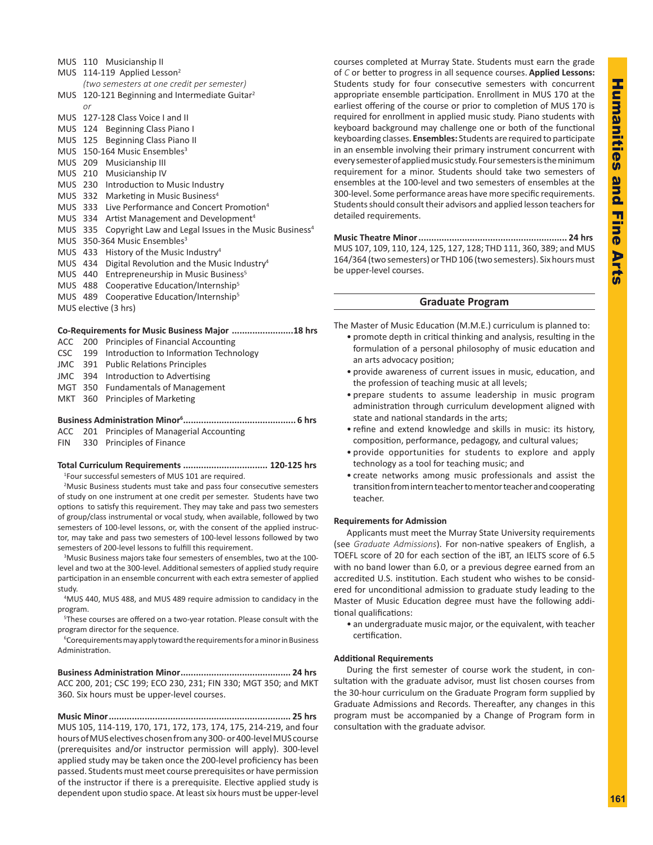|      |     | MUS 110 Musicianship II                                                                   |
|------|-----|-------------------------------------------------------------------------------------------|
|      |     | MUS 114-119 Applied Lesson <sup>2</sup>                                                   |
|      |     | (two semesters at one credit per semester)                                                |
| MUS. |     | 120-121 Beginning and Intermediate Guitar <sup>2</sup>                                    |
|      | or  |                                                                                           |
|      |     | MUS 127-128 Class Voice I and II                                                          |
|      |     | MUS 124 Beginning Class Piano I                                                           |
|      |     | MUS 125 Beginning Class Piano II                                                          |
|      |     | MUS 150-164 Music Ensembles <sup>3</sup>                                                  |
|      |     | MUS 209 Musicianship III                                                                  |
|      |     | MUS 210 Musicianship IV                                                                   |
|      |     | MUS 230 Introduction to Music Industry                                                    |
|      |     | MUS 332 Marketing in Music Business <sup>4</sup>                                          |
|      |     | MUS 333 Live Performance and Concert Promotion <sup>4</sup>                               |
|      |     | Artist Management and Development <sup>4</sup>                                            |
|      |     | Copyright Law and Legal Issues in the Music Business <sup>4</sup>                         |
|      |     | MUS 350-364 Music Ensembles <sup>3</sup>                                                  |
|      |     | History of the Music Industry <sup>4</sup>                                                |
|      |     | Digital Revolution and the Music Industry <sup>4</sup>                                    |
|      |     | Entrepreneurship in Music Business <sup>5</sup>                                           |
|      | 488 | Cooperative Education/Internship <sup>5</sup>                                             |
|      | 489 | Cooperative Education/Internship <sup>5</sup>                                             |
|      |     |                                                                                           |
|      |     | MUS 334<br>MUS 335<br>MUS 433<br>MUS 434<br>MUS 440<br>MUS<br>MUS<br>MUS elective (3 hrs) |

|  |  |  |  |  |  | Co-Requirements for Music Business Major  18 hrs |  |
|--|--|--|--|--|--|--------------------------------------------------|--|
|--|--|--|--|--|--|--------------------------------------------------|--|

- ACC 200 Principles of Financial Accounting
- CSC 199 Introduction to Information Technology
- JMC 391 Public Relations Principles
- JMC 394 Introduction to Advertising
- MGT 350 Fundamentals of Management
- MKT 360 Principles of Marketing

## **Business Administration Minor<sup>6</sup> ............................................ 6 hrs**

ACC 201 Principles of Managerial Accounting

FIN 330 Principles of Finance

### **Total Curriculum Requirements ................................. 120-125 hrs** 1 Four successful semesters of MUS 101 are required.

<sup>2</sup>Music Business students must take and pass four consecutive semesters of study on one instrument at one credit per semester. Students have two options to satisfy this requirement. They may take and pass two semesters of group/class instrumental or vocal study, when available, followed by two semesters of 100-level lessons, or, with the consent of the applied instructor, may take and pass two semesters of 100-level lessons followed by two semesters of 200-level lessons to fulfill this requirement.

<sup>3</sup>Music Business majors take four semesters of ensembles, two at the 100level and two at the 300-level. Additional semesters of applied study require participation in an ensemble concurrent with each extra semester of applied study.

4 MUS 440, MUS 488, and MUS 489 require admission to candidacy in the program.

5 These courses are offered on a two-year rotation. Please consult with the program director for the sequence.

6 Corequirements may apply toward the requirements for a minor in Business Administration.

**Business Administration Minor........................................... 24 hrs** ACC 200, 201; CSC 199; ECO 230, 231; FIN 330; MGT 350; and MKT 360. Six hours must be upper-level courses.

**Music Minor....................................................................... 25 hrs** MUS 105, 114-119, 170, 171, 172, 173, 174, 175, 214-219, and four hours of MUS electives chosen from any 300- or 400-level MUS course (prerequisites and/or instructor permission will apply). 300-level applied study may be taken once the 200-level proficiency has been passed. Students must meet course prerequisites or have permission of the instructor if there is a prerequisite. Elective applied study is dependent upon studio space. At least six hours must be upper-level courses completed at Murray State. Students must earn the grade of *C* or better to progress in all sequence courses. **Applied Lessons:**  Students study for four consecutive semesters with concurrent appropriate ensemble participation. Enrollment in MUS 170 at the earliest offering of the course or prior to completion of MUS 170 is required for enrollment in applied music study. Piano students with keyboard background may challenge one or both of the functional keyboarding classes. **Ensembles:** Students are required to participate in an ensemble involving their primary instrument concurrent with every semester of applied music study. Four semesters is the minimum requirement for a minor. Students should take two semesters of ensembles at the 100-level and two semesters of ensembles at the 300-level. Some performance areas have more specific requirements. Students should consult their advisors and applied lesson teachers for detailed requirements.

**Music Theatre Minor.......................................................... 24 hrs** MUS 107, 109, 110, 124, 125, 127, 128; THD 111, 360, 389; and MUS 164/364 (two semesters) or THD 106 (two semesters). Six hours must be upper-level courses.

### **Graduate Program**

The Master of Music Education (M.M.E.) curriculum is planned to:

- promote depth in critical thinking and analysis, resulting in the formulation of a personal philosophy of music education and an arts advocacy position;
- provide awareness of current issues in music, education, and the profession of teaching music at all levels;
- prepare students to assume leadership in music program administration through curriculum development aligned with state and national standards in the arts;
- refine and extend knowledge and skills in music: its history, composition, performance, pedagogy, and cultural values;
- provide opportunities for students to explore and apply technology as a tool for teaching music; and
- create networks among music professionals and assist the transition from intern teacher to mentor teacher and cooperating teacher.

## **Requirements for Admission**

Applicants must meet the Murray State University requirements (see *Graduate Admissions*). For non-native speakers of English, a TOEFL score of 20 for each section of the iBT, an IELTS score of 6.5 with no band lower than 6.0, or a previous degree earned from an accredited U.S. institution. Each student who wishes to be considered for unconditional admission to graduate study leading to the Master of Music Education degree must have the following additional qualifications:

• an undergraduate music major, or the equivalent, with teacher certification.

### **Additional Requirements**

During the first semester of course work the student, in consultation with the graduate advisor, must list chosen courses from the 30-hour curriculum on the Graduate Program form supplied by Graduate Admissions and Records. Thereafter, any changes in this program must be accompanied by a Change of Program form in consultation with the graduate advisor.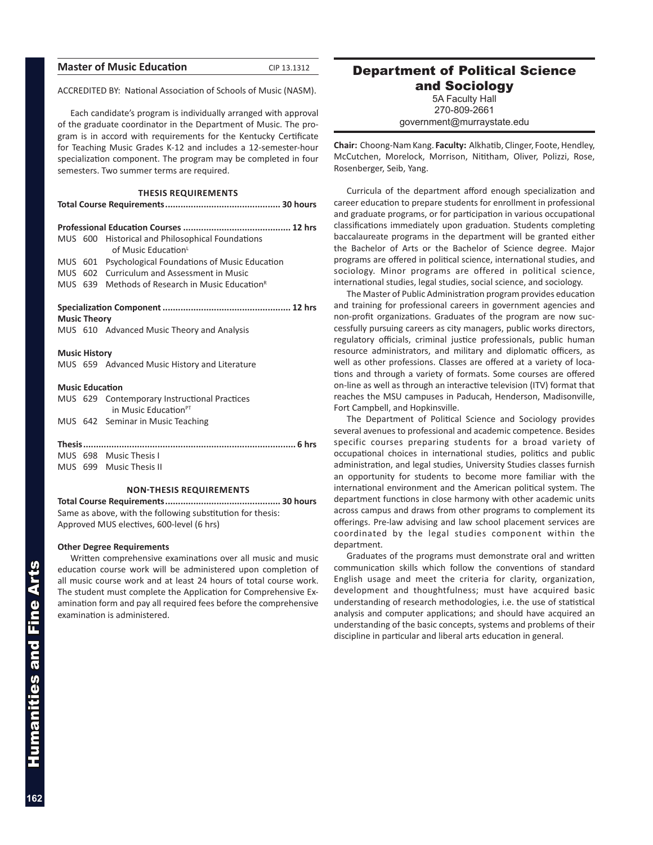| CIP 13.1312                                                                                                                                                                                                                                                                                                                                 |
|---------------------------------------------------------------------------------------------------------------------------------------------------------------------------------------------------------------------------------------------------------------------------------------------------------------------------------------------|
| ACCREDITED BY: National Association of Schools of Music (NASM).                                                                                                                                                                                                                                                                             |
| Each candidate's program is individually arranged with approval<br>of the graduate coordinator in the Department of Music. The pro-<br>gram is in accord with requirements for the Kentucky Certificate<br>for Teaching Music Grades K-12 and includes a 12-semester-hour<br>specialization component. The program may be completed in four |
|                                                                                                                                                                                                                                                                                                                                             |
|                                                                                                                                                                                                                                                                                                                                             |
|                                                                                                                                                                                                                                                                                                                                             |
|                                                                                                                                                                                                                                                                                                                                             |
| MUS 601 Psychological Foundations of Music Education                                                                                                                                                                                                                                                                                        |
|                                                                                                                                                                                                                                                                                                                                             |
|                                                                                                                                                                                                                                                                                                                                             |
|                                                                                                                                                                                                                                                                                                                                             |
|                                                                                                                                                                                                                                                                                                                                             |
|                                                                                                                                                                                                                                                                                                                                             |
|                                                                                                                                                                                                                                                                                                                                             |
|                                                                                                                                                                                                                                                                                                                                             |
|                                                                                                                                                                                                                                                                                                                                             |
|                                                                                                                                                                                                                                                                                                                                             |
|                                                                                                                                                                                                                                                                                                                                             |
|                                                                                                                                                                                                                                                                                                                                             |
|                                                                                                                                                                                                                                                                                                                                             |
|                                                                                                                                                                                                                                                                                                                                             |
|                                                                                                                                                                                                                                                                                                                                             |

### **NON-THESIS REQUIREMENTS**

**Total Course Requirements............................................. 30 hours** Same as above, with the following substitution for thesis: Approved MUS electives, 600-level (6 hrs)

### **Other Degree Requirements**

Written comprehensive examinations over all music and music education course work will be administered upon completion of all music course work and at least 24 hours of total course work. The student must complete the Application for Comprehensive Examination form and pay all required fees before the comprehensive examination is administered.

## Department of Political Science

and Sociology 5A Faculty Hall 270-809-2661 government@murraystate.edu

**Chair:** Choong-Nam Kang. **Faculty:** Alkhatib, Clinger, Foote, Hendley, McCutchen, Morelock, Morrison, Nititham, Oliver, Polizzi, Rose, Rosenberger, Seib, Yang.

Curricula of the department afford enough specialization and career education to prepare students for enrollment in professional and graduate programs, or for participation in various occupational classifications immediately upon graduation. Students completing baccalaureate programs in the department will be granted either the Bachelor of Arts or the Bachelor of Science degree. Major programs are offered in political science, international studies, and sociology. Minor programs are offered in political science, international studies, legal studies, social science, and sociology.

The Master of Public Administration program provides education and training for professional careers in government agencies and non-profit organizations. Graduates of the program are now successfully pursuing careers as city managers, public works directors, regulatory officials, criminal justice professionals, public human resource administrators, and military and diplomatic officers, as well as other professions. Classes are offered at a variety of locations and through a variety of formats. Some courses are offered on-line as well as through an interactive television (ITV) format that reaches the MSU campuses in Paducah, Henderson, Madisonville, Fort Campbell, and Hopkinsville.

The Department of Political Science and Sociology provides several avenues to professional and academic competence. Besides specific courses preparing students for a broad variety of occupational choices in international studies, politics and public administration, and legal studies, University Studies classes furnish an opportunity for students to become more familiar with the international environment and the American political system. The department functions in close harmony with other academic units across campus and draws from other programs to complement its offerings. Pre-law advising and law school placement services are coordinated by the legal studies component within the department.

Graduates of the programs must demonstrate oral and written communication skills which follow the conventions of standard English usage and meet the criteria for clarity, organization, development and thoughtfulness; must have acquired basic understanding of research methodologies, i.e. the use of statistical analysis and computer applications; and should have acquired an understanding of the basic concepts, systems and problems of their discipline in particular and liberal arts education in general.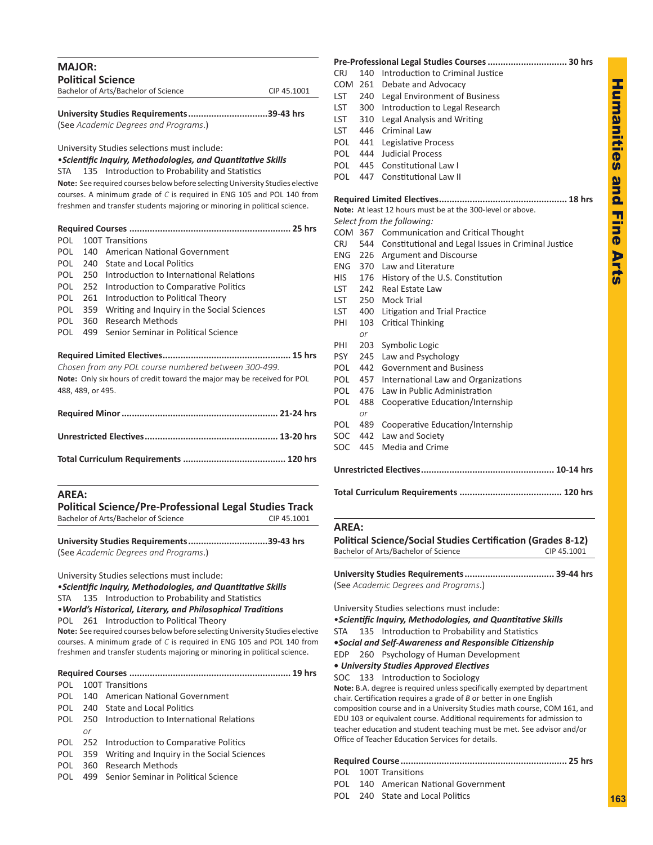| <b>MAJOR:</b>                        |             |
|--------------------------------------|-------------|
| <b>Political Science</b>             |             |
| Bachelor of Arts/Bachelor of Science | CIP 45.1001 |
|                                      |             |

| University Studies Requirements39-43 hrs |  |
|------------------------------------------|--|
| (See Academic Degrees and Programs.)     |  |

University Studies selections must include:

•*Scientific Inquiry, Methodologies, and Quantitative Skills* STA 135 Introduction to Probability and Statistics

**Note:** See required courses below before selecting University Studies elective courses. A minimum grade of *C* is required in ENG 105 and POL 140 from freshmen and transfer students majoring or minoring in political science.

|                                                                                |     | 25 hrs                                     |  |
|--------------------------------------------------------------------------------|-----|--------------------------------------------|--|
| POL                                                                            |     | 100T Transitions                           |  |
| POL                                                                            | 140 | American National Government               |  |
| POL.                                                                           | 240 | State and Local Politics                   |  |
| <b>POL</b>                                                                     | 250 | Introduction to International Relations    |  |
| <b>POL</b>                                                                     | 252 | Introduction to Comparative Politics       |  |
| POL.                                                                           | 261 | Introduction to Political Theory           |  |
| POL.                                                                           | 359 | Writing and Inquiry in the Social Sciences |  |
| POL.                                                                           | 360 | Research Methods                           |  |
| <b>POL</b>                                                                     | 499 | Senior Seminar in Political Science        |  |
|                                                                                |     |                                            |  |
| Chosen from any POL course numbered between 300-499.                           |     |                                            |  |
| <b>Note:</b> Only six hours of credit toward the major may be received for POL |     |                                            |  |
| 488, 489, or 495.                                                              |     |                                            |  |
|                                                                                |     |                                            |  |
|                                                                                |     |                                            |  |

## **AREA:**

**Political Science/Pre-Professional Legal Studies Track** Bachelor of Arts/Bachelor of Science CIP 45.1001

**University Studies Requirements...............................39-43 hrs** (See *Academic Degrees and Programs*.)

University Studies selections must include:

•*Scientific Inquiry, Methodologies, and Quantitative Skills* STA 135 Introduction to Probability and Statistics

•*World's Historical, Literary, and Philosophical Traditions*

POL 261 Introduction to Political Theory

**Note:** See required courses below before selecting University Studies elective courses. A minimum grade of *C* is required in ENG 105 and POL 140 from freshmen and transfer students majoring or minoring in political science.

|--|--|--|

POL 100T Transitions

- POL 140 American National Government
- POL 240 State and Local Politics
- POL 250 Introduction to International Relations *or*
- POL 252 Introduction to Comparative Politics
- POL 359 Writing and Inquiry in the Social Sciences
- POL 360 Research Methods
- POL 499 Senior Seminar in Political Science

|            |           | Pre-Professional Legal Studies Courses  30 hrs             |
|------------|-----------|------------------------------------------------------------|
| <b>CRJ</b> | 140       | Introduction to Criminal Justice                           |
| COM        | 261       | Debate and Advocacy                                        |
| LST        | 240       | Legal Environment of Business                              |
| <b>LST</b> | 300       | Introduction to Legal Research                             |
| <b>LST</b> | 310       | Legal Analysis and Writing                                 |
| <b>LST</b> | 446       | Criminal Law                                               |
| <b>POL</b> | 441       | Legislative Process                                        |
| POL        | 444       | <b>Judicial Process</b>                                    |
| <b>POL</b> | 445       | <b>Constitutional Law I</b>                                |
| <b>POL</b> |           | 447 Constitutional Law II                                  |
|            |           |                                                            |
|            |           | Note: At least 12 hours must be at the 300-level or above. |
|            |           | Select from the following:                                 |
|            |           | COM 367 Communication and Critical Thought                 |
| CRJ –      |           | 544 Constitutional and Legal Issues in Criminal Justice    |
| <b>ENG</b> | 226       | <b>Argument and Discourse</b>                              |
| <b>ENG</b> |           | 370 Law and Literature                                     |
| HIS.       |           | 176 History of the U.S. Constitution                       |
| LST        | 242       | Real Estate Law                                            |
| <b>LST</b> |           | 250 Mock Trial                                             |
| <b>LST</b> | 400       | Litigation and Trial Practice                              |
| PHI        | 103<br>or | <b>Critical Thinking</b>                                   |
| PHI        | 203       | Symbolic Logic                                             |
| <b>PSY</b> | 245       | Law and Psychology                                         |
| <b>POL</b> | 442       | <b>Government and Business</b>                             |
| POL        | 457       | International Law and Organizations                        |
| <b>POL</b> | 476       | Law in Public Administration                               |
| <b>POL</b> | 488<br>or | Cooperative Education/Internship                           |
| POL        | 489       | Cooperative Education/Internship                           |
| <b>SOC</b> | 442       | Law and Society                                            |
| SOC        | 445       | Media and Crime                                            |
|            |           |                                                            |
|            |           |                                                            |

## **AREA:**

| Political Science/Social Studies Certification (Grades 8-12) |             |  |  |  |
|--------------------------------------------------------------|-------------|--|--|--|
| Bachelor of Arts/Bachelor of Science                         | CIP 45.1001 |  |  |  |
| (See Academic Dearees and Proarams.)                         |             |  |  |  |

University Studies selections must include:

•*Scientific Inquiry, Methodologies, and Quantitative Skills* STA 135 Introduction to Probability and Statistics **•***Social and Self-Awareness and Responsible Citizenship* EDP 260 Psychology of Human Development **•** *University Studies Approved Electives*

SOC 133 Introduction to Sociology

**Note:** B.A. degree is required unless specifically exempted by department chair. Certification requires a grade of *B* or better in one English composition course and in a University Studies math course, COM 161, and EDU 103 or equivalent course. Additional requirements for admission to teacher education and student teaching must be met. See advisor and/or Office of Teacher Education Services for details.

## **Required Course................................................................. 25 hrs**

- POL 100T Transitions POL 140 American National Government
- POL 240 State and Local Politics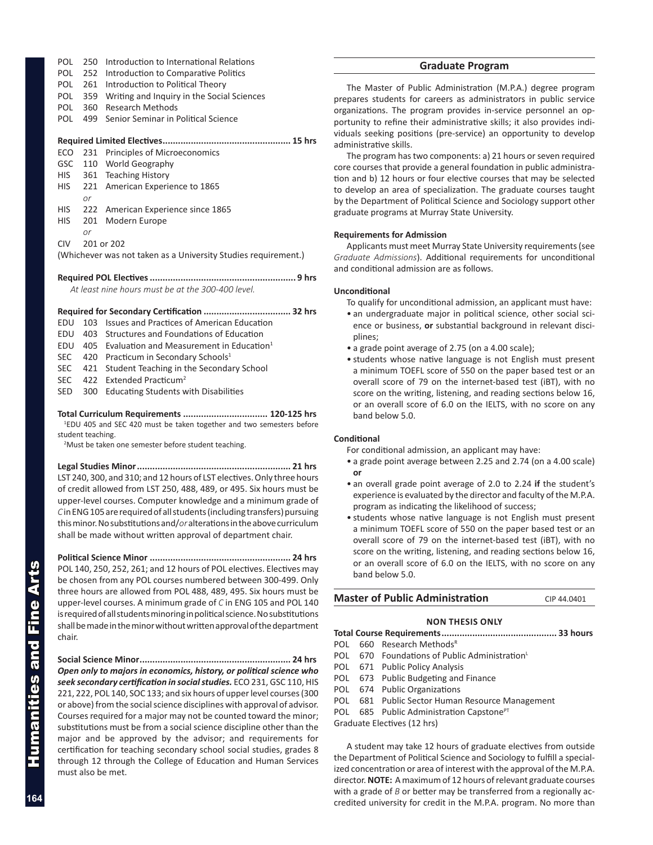- POL 250 Introduction to International Relations
- POL 252 Introduction to Comparative Politics
- POL 261 Introduction to Political Theory
- POL 359 Writing and Inquiry in the Social Sciences
- POL 360 Research Methods
- POL 499 Senior Seminar in Political Science

## **Required Limited Electives.................................................. 15 hrs**

- ECO 231 Principles of Microeconomics GSC 110 World Geography HIS 361 Teaching History HIS 221 American Experience to 1865 *or* HIS 222 American Experience since 1865 HIS 201 Modern Europe *or*
- CIV 201 or 202

(Whichever was not taken as a University Studies requirement.)

## **Required POL Electives......................................................... 9 hrs**

*At least nine hours must be at the 300-400 level.*

## **Required for Secondary Certification .................................. 32 hrs**

- EDU 103 Issues and Practices of American Education
- EDU 403 Structures and Foundations of Education
- EDU 405 Evaluation and Measurement in Education $1$
- SEC 420 Practicum in Secondary Schools<sup>1</sup>
- SEC 421 Student Teaching in the Secondary School
- SEC 422 Extended Practicum<sup>2</sup>
- SED 300 Educating Students with Disabilities

**Total Curriculum Requirements ................................. 120-125 hrs** 1 EDU 405 and SEC 420 must be taken together and two semesters before student teaching.

<sup>2</sup>Must be taken one semester before student teaching.

**Legal Studies Minor............................................................ 21 hrs** LST 240, 300, and 310; and 12 hours of LST electives. Only three hours of credit allowed from LST 250, 488, 489, or 495. Six hours must be upper-level courses. Computer knowledge and a minimum grade of *C* in ENG 105 are required of all students (including transfers) pursuing this minor. No substitutions and/*or* alterations in the above curriculum shall be made without written approval of department chair.

**Political Science Minor ....................................................... 24 hrs** POL 140, 250, 252, 261; and 12 hours of POL electives. Electives may be chosen from any POL courses numbered between 300-499. Only three hours are allowed from POL 488, 489, 495. Six hours must be upper-level courses. A minimum grade of *C* in ENG 105 and POL 140 is required of all students minoring in political science. No substitutions shall be made in the minor without written approval of the department chair.

**Social Science Minor........................................................... 24 hrs** *Open only to majors in economics, history, or political science who seek secondary certification in social studies.* ECO 231, GSC 110, HIS 221, 222, POL 140, SOC 133; and six hours of upper level courses (300 or above) from the social science disciplines with approval of advisor. Courses required for a major may not be counted toward the minor; substitutions must be from a social science discipline other than the major and be approved by the advisor; and requirements for certification for teaching secondary school social studies, grades 8 through 12 through the College of Education and Human Services must also be met.

## **Graduate Program**

The Master of Public Administration (M.P.A.) degree program prepares students for careers as administrators in public service organizations. The program provides in-service personnel an opportunity to refine their administrative skills; it also provides individuals seeking positions (pre-service) an opportunity to develop administrative skills.

The program has two components: a) 21 hours or seven required core courses that provide a general foundation in public administration and b) 12 hours or four elective courses that may be selected to develop an area of specialization. The graduate courses taught by the Department of Political Science and Sociology support other graduate programs at Murray State University.

## **Requirements for Admission**

Applicants must meet Murray State University requirements (see *Graduate Admissions*). Additional requirements for unconditional and conditional admission are as follows.

## **Unconditional**

To qualify for unconditional admission, an applicant must have:

- an undergraduate major in political science, other social science or business, **or** substantial background in relevant disciplines;
- a grade point average of 2.75 (on a 4.00 scale);
- students whose native language is not English must present a minimum TOEFL score of 550 on the paper based test or an overall score of 79 on the internet-based test (iBT), with no score on the writing, listening, and reading sections below 16, or an overall score of 6.0 on the IELTS, with no score on any band below 5.0.

## **Conditional**

For conditional admission, an applicant may have:

- a grade point average between 2.25 and 2.74 (on a 4.00 scale) **or**
- an overall grade point average of 2.0 to 2.24 **if** the student's experience is evaluated by the director and faculty of the M.P.A. program as indicating the likelihood of success;
- students whose native language is not English must present a minimum TOEFL score of 550 on the paper based test or an overall score of 79 on the internet-based test (iBT), with no score on the writing, listening, and reading sections below 16, or an overall score of 6.0 on the IELTS, with no score on any band below 5.0.

## **Master of Public Administration** CIP 44.0401

## **NON THESIS only**

**Total Course Requirements............................................. 33 hours**

- POL 660 Research Methods<sup>R</sup>
- POL 670 Foundations of Public Administration<sup>L</sup>
- POL 671 Public Policy Analysis
- POL 673 Public Budgeting and Finance
- POL 674 Public Organizations
- POL 681 Public Sector Human Resource Management
- POL 685 Public Administration Capstone<sup>PT</sup>

Graduate Electives (12 hrs)

A student may take 12 hours of graduate electives from outside the Department of Political Science and Sociology to fulfill a specialized concentration or area of interest with the approval of the M.P.A. director. **NOTE:** A maximum of 12 hours of relevant graduate courses with a grade of *B* or better may be transferred from a regionally accredited university for credit in the M.P.A. program. No more than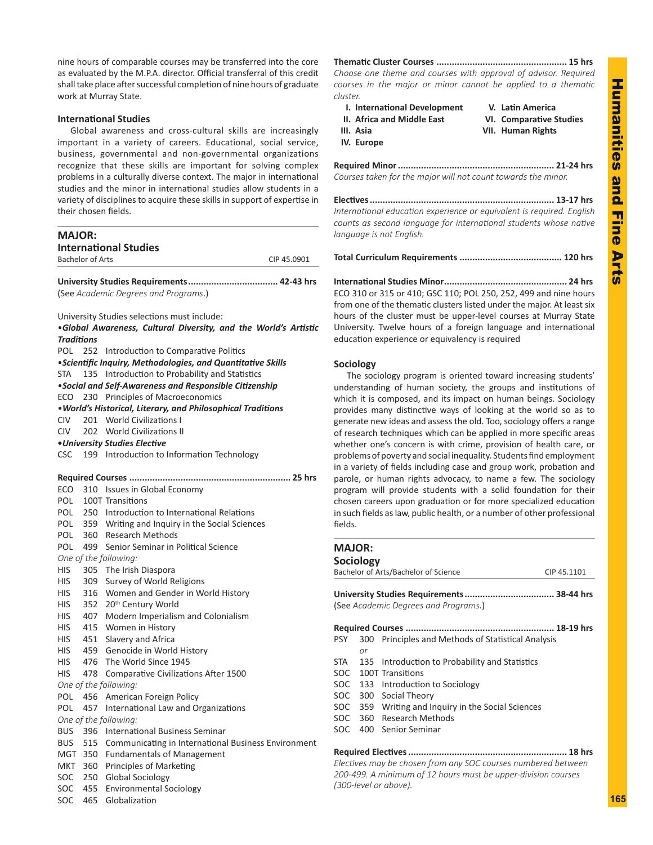nine hours of comparable courses may be transferred into the core as evaluated by the M.P.A. director. Official transferral of this credit shall take place after successful completion of nine hours of graduate work at Murray State.

## **International Studies**

Global awareness and cross-cultural skills are increasingly important in a variety of careers. Educational, social service, business, governmental and non-governmental organizations recognize that these skills are important for solving complex problems in a culturally diverse context. The major in international studies and the minor in international studies allow students in a variety of disciplines to acquire these skills in support of expertise in their chosen fields.

| <b>MAJOR:</b>     |                         |                                                                           |             |  |  |  |
|-------------------|-------------------------|---------------------------------------------------------------------------|-------------|--|--|--|
|                   |                         | <b>International Studies</b>                                              |             |  |  |  |
|                   | <b>Bachelor of Arts</b> |                                                                           | CIP 45.0901 |  |  |  |
|                   |                         |                                                                           |             |  |  |  |
|                   |                         |                                                                           |             |  |  |  |
|                   |                         | (See Academic Degrees and Programs.)                                      |             |  |  |  |
|                   |                         |                                                                           |             |  |  |  |
|                   |                         | University Studies selections must include:                               |             |  |  |  |
|                   |                         | .Global Awareness, Cultural Diversity, and the World's Artistic           |             |  |  |  |
| <b>Traditions</b> |                         |                                                                           |             |  |  |  |
| POL               | 252                     | Introduction to Comparative Politics                                      |             |  |  |  |
|                   |                         |                                                                           |             |  |  |  |
|                   |                         | <i><b>•Scientific Inquiry, Methodologies, and Quantitative Skills</b></i> |             |  |  |  |
|                   |                         | STA 135 Introduction to Probability and Statistics                        |             |  |  |  |
|                   |                         | •Social and Self-Awareness and Responsible Citizenship                    |             |  |  |  |
|                   |                         | ECO 230 Principles of Macroeconomics                                      |             |  |  |  |
|                   |                         | . World's Historical, Literary, and Philosophical Traditions              |             |  |  |  |
| CIV -             |                         | 201 World Civilizations I                                                 |             |  |  |  |
| <b>CIV</b>        |                         | 202 World Civilizations II                                                |             |  |  |  |
|                   |                         | •University Studies Elective                                              |             |  |  |  |
|                   |                         | CSC 199 Introduction to Information Technology                            |             |  |  |  |
|                   |                         |                                                                           |             |  |  |  |
|                   |                         | Required Courses                                                          |             |  |  |  |
| ECO               |                         | 310 Issues in Global Economy                                              |             |  |  |  |
|                   |                         | POL 100T Transitions                                                      |             |  |  |  |
|                   |                         | POL 250 Introduction to International Relations                           |             |  |  |  |
| POL               |                         | 359 Writing and Inquiry in the Social Sciences                            |             |  |  |  |
| <b>POL</b>        |                         | 360 Research Methods                                                      |             |  |  |  |
| POL               |                         | 499 Senior Seminar in Political Science                                   |             |  |  |  |
|                   |                         | One of the following:                                                     |             |  |  |  |
| HIS               |                         | 305 The Irish Diaspora                                                    |             |  |  |  |
| <b>HIS</b>        |                         | 309 Survey of World Religions                                             |             |  |  |  |
| <b>HIS</b>        |                         | 316 Women and Gender in World History                                     |             |  |  |  |
| HIS               |                         | 352 20 <sup>th</sup> Century World                                        |             |  |  |  |
| HIS               |                         | 407 Modern Imperialism and Colonialism                                    |             |  |  |  |
| HIS               |                         | 415 Women in History                                                      |             |  |  |  |
| <b>HIS</b>        |                         | 451 Slavery and Africa                                                    |             |  |  |  |
| <b>HIS</b>        |                         | 459 Genocide in World History                                             |             |  |  |  |
|                   |                         | 476 The World Since 1945                                                  |             |  |  |  |
| <b>HIS</b>        |                         |                                                                           |             |  |  |  |
| <b>HIS</b>        | 478                     | Comparative Civilizations After 1500                                      |             |  |  |  |
|                   |                         | One of the following:                                                     |             |  |  |  |
| POL               |                         | 456 American Foreign Policy                                               |             |  |  |  |
|                   |                         | POL 457 International Law and Organizations                               |             |  |  |  |
|                   |                         | One of the following:                                                     |             |  |  |  |
| <b>BUS</b>        | 396                     | <b>International Business Seminar</b>                                     |             |  |  |  |
| <b>BUS</b>        | 515                     | Communicating in International Business Environment                       |             |  |  |  |
| MGT               |                         | 350 Fundamentals of Management                                            |             |  |  |  |
| MKT               |                         | 360 Principles of Marketing                                               |             |  |  |  |
| <b>SOC</b>        | 250                     | <b>Global Sociology</b>                                                   |             |  |  |  |
| <b>SOC</b>        | 455                     | <b>Environmental Sociology</b>                                            |             |  |  |  |
| SOC               | 465                     | Globalization                                                             |             |  |  |  |

**Thematic Cluster Courses ................................................... 15 hrs** *Choose one theme and courses with approval of advisor. Required courses in the major or minor cannot be applied to a thematic cluster.*

- **I. International Development V. Latin America**
	-
- **III. Asia VII. Human Rights**
- **IV. Europe**

**II. Africa and Middle East VI. Comparative Studies**

**Required Minor............................................................. 21-24 hrs** *Courses taken for the major will not count towards the minor.*

**Electives........................................................................ 13-17 hrs** *International education experience or equivalent is required. English counts as second language for international students whose native language is not English.*

**Total Curriculum Requirements ........................................ 120 hrs**

**International Studies Minor................................................ 24 hrs** ECO 310 or 315 or 410; GSC 110; POL 250, 252, 499 and nine hours from one of the thematic clusters listed under the major. At least six hours of the cluster must be upper-level courses at Murray State University. Twelve hours of a foreign language and international education experience or equivalency is required

## **Sociology**

The sociology program is oriented toward increasing students' understanding of human society, the groups and institutions of which it is composed, and its impact on human beings. Sociology provides many distinctive ways of looking at the world so as to generate new ideas and assess the old. Too, sociology offers a range of research techniques which can be applied in more specific areas whether one's concern is with crime, provision of health care, or problems of poverty and social inequality. Students find employment in a variety of fields including case and group work, probation and parole, or human rights advocacy, to name a few. The sociology program will provide students with a solid foundation for their chosen careers upon graduation or for more specialized education in such fields as law, public health, or a number of other professional fields.

## **MAJOR: Sociology** Bachelor of Arts/Bachelor of Science CIP 45.1101 **University Studies Requirements................................... 38-44 hrs** (See *Academic Degrees and Programs*.) **Required Courses .......................................................... 18-19 hrs** PSY 300 Principles and Methods of Statistical Analysis *or* STA 135 Introduction to Probability and Statistics SOC 100T Transitions SOC 133 Introduction to Sociology SOC 300 Social Theory SOC 359 Writing and Inquiry in the Social Sciences SOC 360 Research Methods SOC 400 Senior Seminar

**Required Electives.............................................................. 18 hrs** *Electives may be chosen from any SOC courses numbered between 200-499. A minimum of 12 hours must be upper-division courses (300-level or above).*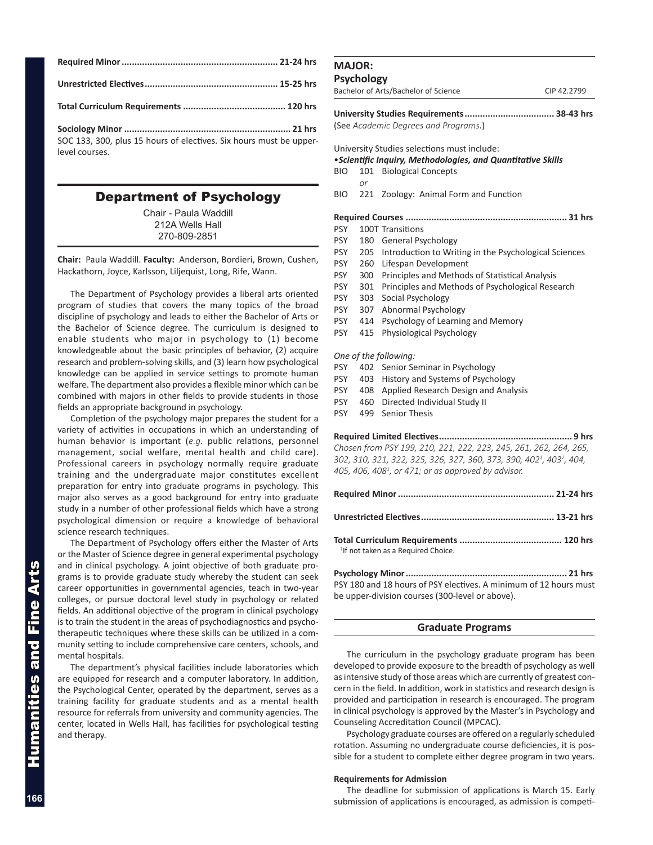| SOC 133, 300, plus 15 hours of electives. Six hours must be upper-<br>level courses. |  |
|--------------------------------------------------------------------------------------|--|

## Department of Psychology

Chair - Paula Waddill 212A Wells Hall 270-809-2851

**Chair:** Paula Waddill. **Faculty:** Anderson, Bordieri, Brown, Cushen, Hackathorn, Joyce, Karlsson, Liljequist, Long, Rife, Wann.

The Department of Psychology provides a liberal arts oriented program of studies that covers the many topics of the broad discipline of psychology and leads to either the Bachelor of Arts or the Bachelor of Science degree. The curriculum is designed to enable students who major in psychology to (1) become knowledgeable about the basic principles of behavior, (2) acquire research and problem-solving skills, and (3) learn how psychological knowledge can be applied in service settings to promote human welfare. The department also provides a flexible minor which can be combined with majors in other fields to provide students in those fields an appropriate background in psychology.

Completion of the psychology major prepares the student for a variety of activities in occupations in which an understanding of human behavior is important (*e.g.* public relations, personnel management, social welfare, mental health and child care). Professional careers in psychology normally require graduate training and the undergraduate major constitutes excellent preparation for entry into graduate programs in psychology. This major also serves as a good background for entry into graduate study in a number of other professional fields which have a strong psychological dimension or require a knowledge of behavioral science research techniques.

The Department of Psychology offers either the Master of Arts or the Master of Science degree in general experimental psychology and in clinical psychology. A joint objective of both graduate programs is to provide graduate study whereby the student can seek career opportunities in governmental agencies, teach in two-year colleges, or pursue doctoral level study in psychology or related fields. An additional objective of the program in clinical psychology is to train the student in the areas of psychodiagnostics and psychotherapeutic techniques where these skills can be utilized in a community setting to include comprehensive care centers, schools, and mental hospitals.

The department's physical facilities include laboratories which are equipped for research and a computer laboratory. In addition, the Psychological Center, operated by the department, serves as a training facility for graduate students and as a mental health resource for referrals from university and community agencies. The center, located in Wells Hall, has facilities for psychological testing and therapy.

## **MAJOR:**

### **Psychology**

 *or*

Bachelor of Arts/Bachelor of Science CIP 42.2799

**University Studies Requirements................................... 38-43 hrs**

(See *Academic Degrees and Programs*.)

University Studies selections must include:

## •*Scientific Inquiry, Methodologies, and Quantitative Skills*

- BIO 101 Biological Concepts
- BIO 221 Zoology: Animal Form and Function
- **Required Courses ............................................................... 31 hrs**
- PSY 100T Transitions
- PSY 180 General Psychology
- PSY 205 Introduction to Writing in the Psychological Sciences
- PSY 260 Lifespan Development
- PSY 300 Principles and Methods of Statistical Analysis
- PSY 301 Principles and Methods of Psychological Research
- PSY 303 Social Psychology
- PSY 307 Abnormal Psychology
- PSY 414 Psychology of Learning and Memory
- PSY 415 Physiological Psychology

### *One of the following:*

- PSY 402 Senior Seminar in Psychology
- PSY 403 History and Systems of Psychology
- PSY 408 Applied Research Design and Analysis
- PSY 460 Directed Individual Study II
- PSY 499 Senior Thesis

### **Required Limited Electives.................................................... 9 hrs**

*Chosen from PSY 199, 210, 221, 222, 223, 245, 261, 262, 264, 265, 302, 310, 321, 322, 325, 326, 327, 360, 373, 390, 4021 , 4031 , 404, 405, 406, 4081 , or 471; or as approved by advisor.*

| <sup>1</sup> If not taken as a Reguired Choice. |  |
|-------------------------------------------------|--|

**Psychology Minor............................................................... 21 hrs** PSY 180 and 18 hours of PSY electives. A minimum of 12 hours must be upper-division courses (300-level or above).

## **Graduate Programs**

The curriculum in the psychology graduate program has been developed to provide exposure to the breadth of psychology as well as intensive study of those areas which are currently of greatest concern in the field. In addition, work in statistics and research design is provided and participation in research is encouraged. The program in clinical psychology is approved by the Master's in Psychology and Counseling Accreditation Council (MPCAC).

Psychology graduate courses are offered on a regularly scheduled rotation. Assuming no undergraduate course deficiencies, it is possible for a student to complete either degree program in two years.

### **Requirements for Admission**

The deadline for submission of applications is March 15. Early submission of applications is encouraged, as admission is competi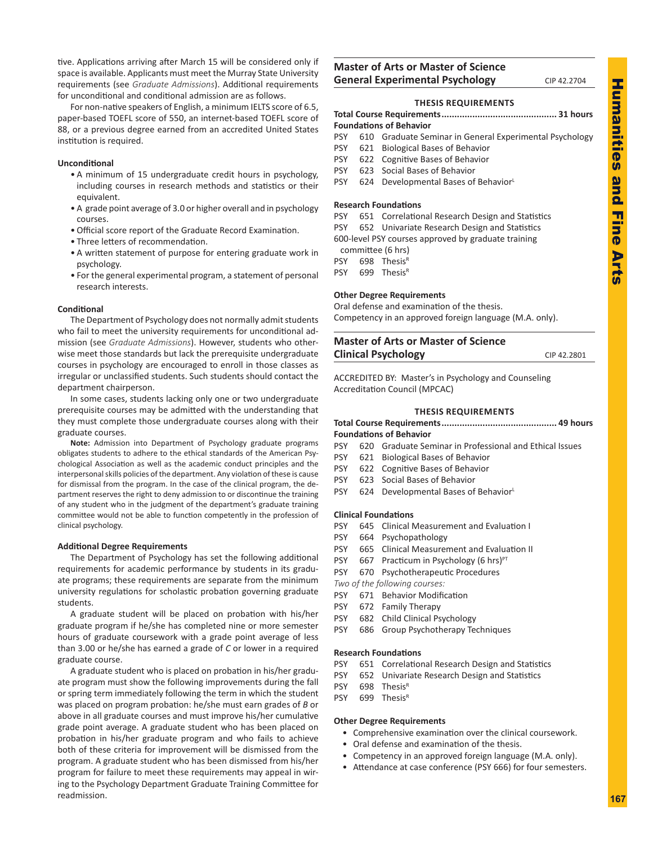tive. Applications arriving after March 15 will be considered only if space is available. Applicants must meet the Murray State University requirements (see *Graduate Admissions*). Additional requirements for unconditional and conditional admission are as follows.

For non-native speakers of English, a minimum IELTS score of 6.5, paper-based TOEFL score of 550, an internet-based TOEFL score of 88, or a previous degree earned from an accredited United States institution is required.

## **Unconditional**

- A minimum of 15 undergraduate credit hours in psychology, including courses in research methods and statistics or their equivalent.
- A grade point average of 3.0 or higher overall and in psychology courses.
- Official score report of the Graduate Record Examination.
- Three letters of recommendation.
- A written statement of purpose for entering graduate work in psychology.
- For the general experimental program, a statement of personal research interests.

### **Conditional**

The Department of Psychology does not normally admit students who fail to meet the university requirements for unconditional admission (see *Graduate Admissions*). However, students who otherwise meet those standards but lack the prerequisite undergraduate courses in psychology are encouraged to enroll in those classes as irregular or unclassified students. Such students should contact the department chairperson.

In some cases, students lacking only one or two undergraduate prerequisite courses may be admitted with the understanding that they must complete those undergraduate courses along with their graduate courses.

**Note:** Admission into Department of Psychology graduate programs obligates students to adhere to the ethical standards of the American Psychological Association as well as the academic conduct principles and the interpersonal skills policies of the department. Any violation of these is cause for dismissal from the program. In the case of the clinical program, the department reserves the right to deny admission to or discontinue the training of any student who in the judgment of the department's graduate training committee would not be able to function competently in the profession of clinical psychology.

### **Additional Degree Requirements**

The Department of Psychology has set the following additional requirements for academic performance by students in its graduate programs; these requirements are separate from the minimum university regulations for scholastic probation governing graduate students.

A graduate student will be placed on probation with his/her graduate program if he/she has completed nine or more semester hours of graduate coursework with a grade point average of less than 3.00 or he/she has earned a grade of *C* or lower in a required graduate course.

A graduate student who is placed on probation in his/her graduate program must show the following improvements during the fall or spring term immediately following the term in which the student was placed on program probation: he/she must earn grades of *B* or above in all graduate courses and must improve his/her cumulative grade point average. A graduate student who has been placed on probation in his/her graduate program and who fails to achieve both of these criteria for improvement will be dismissed from the program. A graduate student who has been dismissed from his/her program for failure to meet these requirements may appeal in wiring to the Psychology Department Graduate Training Committee for readmission.

## **Master of Arts or Master of Science General Experimental Psychology** CIP 42.2704

## **THESIS REQUIREMENTS**

- **Total Course Requirements............................................. 31 hours Foundations of Behavior**
- PSY 610 Graduate Seminar in General Experimental Psychology
- PSY 621 Biological Bases of Behavior
- PSY 622 Cognitive Bases of Behavior
- PSY 623 Social Bases of Behavior
- PSY 624 Developmental Bases of Behavior

### **Research Foundations**

- PSY 651 Correlational Research Design and Statistics PSY 652 Univariate Research Design and Statistics 600-level PSY courses approved by graduate training
- committee (6 hrs)
- PSY 698 Thesis<sup>R</sup>
- PSY 699 Thesis<sup>R</sup>

#### **Other Degree Requirements**

Oral defense and examination of the thesis. Competency in an approved foreign language (M.A. only).

## **Master of Arts or Master of Science Clinical Psychology** CIP 42.2801

ACCREDITED BY: Master's in Psychology and Counseling Accreditation Council (MPCAC)

### **THESIS REQUIREMENTS**

### **Total Course Requirements............................................. 49 hours Foundations of Behavior**

- PSY 620 Graduate Seminar in Professional and Ethical Issues
- PSY 621 Biological Bases of Behavior
- PSY 622 Cognitive Bases of Behavior
- PSY 623 Social Bases of Behavior
- PSY 624 Developmental Bases of Behavior

### **Clinical Foundations**

- PSY 645 Clinical Measurement and Evaluation I
- PSY 664 Psychopathology
- PSY 665 Clinical Measurement and Evaluation II
- PSY 667 Practicum in Psychology (6 hrs) $PT$
- PSY 670 Psychotherapeutic Procedures
- *Two of the following courses:*
- PSY 671 Behavior Modification
- PSY 672 Family Therapy
- PSY 682 Child Clinical Psychology
- PSY 686 Group Psychotherapy Techniques

#### **Research Foundations**

- PSY 651 Correlational Research Design and Statistics
- PSY 652 Univariate Research Design and Statistics
- PSY 698 ThesisR
- PSY 699 ThesisR

### **Other Degree Requirements**

- Comprehensive examination over the clinical coursework.
- Oral defense and examination of the thesis.
- Competency in an approved foreign language (M.A. only).
- Attendance at case conference (PSY 666) for four semesters.